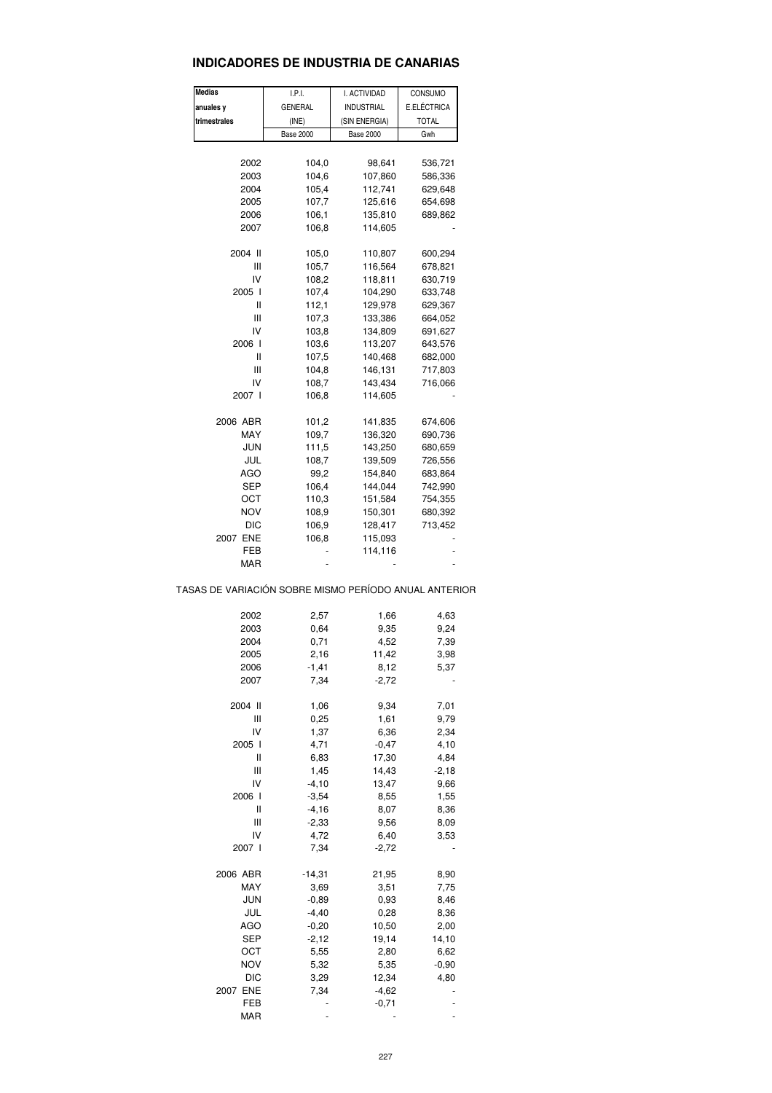### **INDICADORES DE INDUSTRIA DE CANARIAS**

| <b>Medias</b>                                         | I.P.I.           | I. ACTIVIDAD      | CONSUMO      |  |
|-------------------------------------------------------|------------------|-------------------|--------------|--|
| anuales y                                             | <b>GENERAL</b>   | <b>INDUSTRIAL</b> | E.ELÉCTRICA  |  |
| trimestrales                                          | (INE)            | (SIN ENERGIA)     | <b>TOTAL</b> |  |
|                                                       | <b>Base 2000</b> | <b>Base 2000</b>  | Gwh          |  |
|                                                       |                  |                   |              |  |
| 2002                                                  | 104,0            | 98,641            | 536,721      |  |
| 2003                                                  | 104,6            | 107,860           | 586,336      |  |
| 2004                                                  | 105,4            | 112,741           | 629,648      |  |
| 2005                                                  | 107,7            | 125,616           | 654,698      |  |
| 2006                                                  | 106,1            | 135,810           | 689,862      |  |
| 2007                                                  | 106,8            | 114,605           |              |  |
| 2004 II                                               | 105,0            | 110,807           | 600,294      |  |
| Ш                                                     | 105,7            | 116,564           | 678,821      |  |
| IV                                                    | 108,2            | 118,811           | 630,719      |  |
| 2005 l                                                | 107,4            | 104,290           | 633,748      |  |
| II                                                    | 112,1            | 129,978           | 629,367      |  |
| Ш                                                     | 107,3            | 133,386           | 664,052      |  |
| IV                                                    | 103,8            | 134,809           | 691,627      |  |
| 2006 l                                                | 103,6            | 113,207           | 643,576      |  |
| Ш                                                     | 107,5            | 140,468           | 682,000      |  |
| Ш                                                     | 104,8            | 146,131           | 717,803      |  |
| IV                                                    | 108,7            | 143,434           | 716,066      |  |
| 2007                                                  | 106,8            | 114,605           |              |  |
| 2006 ABR                                              | 101,2            | 141,835           | 674,606      |  |
| MAY                                                   | 109,7            | 136,320           | 690,736      |  |
| JUN                                                   | 111,5            | 143,250           | 680,659      |  |
| JUL                                                   | 108,7            | 139,509           | 726,556      |  |
| AGO                                                   | 99,2             | 154,840           | 683,864      |  |
| SEP                                                   | 106,4            | 144,044           | 742,990      |  |
| ост                                                   | 110,3            | 151,584           | 754,355      |  |
| <b>NOV</b>                                            | 108,9            | 150,301           | 680,392      |  |
| DIC                                                   | 106,9            | 128,417           | 713,452      |  |
| 2007 ENE                                              | 106,8            | 115,093           |              |  |
| FEB                                                   |                  | 114,116           | -            |  |
| MAR                                                   |                  |                   |              |  |
| TASAS DE VARIACIÓN SOBRE MISMO PERÍODO ANUAL ANTERIOR |                  |                   |              |  |
| 2002                                                  | 2,57             | 1,66              | 4,63         |  |
| 2003                                                  | 0,64             | 9,35              | 9,24         |  |
| 2004                                                  | 0,71             | 4,52              | 7,39         |  |
| 2005                                                  | 2,16             | 11,42             | 3,98         |  |
| 2006                                                  | -1,41            | 8,12              | 5,37         |  |
| 2007                                                  | 7,34             | -2,72             |              |  |
| 2004 II                                               |                  |                   | 7,01         |  |
| Ш                                                     | 1,06<br>0,25     | 9,34<br>1,61      | 9,79         |  |
| IV                                                    | 1,37             | 6,36              | 2,34         |  |
| 2005 l                                                | 4,71             | $-0,47$           | 4,10         |  |
| Ш                                                     | 6,83             | 17,30             | 4,84         |  |
| Ш                                                     | 1,45             | 14,43             | $-2,18$      |  |
| IV                                                    | $-4, 10$         | 13,47             | 9,66         |  |
| 2006 l                                                | $-3,54$          | 8,55              | 1,55         |  |
| Ш                                                     | $-4, 16$         | 8,07              | 8,36         |  |
| Ш                                                     | $-2,33$          | 9,56              | 8,09         |  |
| IV                                                    | 4,72             | 6,40              | 3,53         |  |
| 2007 l                                                | 7,34             | $-2,72$           |              |  |
| 2006 ABR                                              | $-14,31$         | 21,95             | 8,90         |  |
| MAY                                                   | 3,69             | 3,51              | 7,75         |  |
| JUN                                                   | $-0,89$          | 0,93              | 8,46         |  |
| JUL                                                   | $-4,40$          | 0,28              | 8,36         |  |
| AGO                                                   | $-0,20$          | 10,50             | 2,00         |  |
| <b>SEP</b>                                            | $-2,12$          | 19,14             | 14,10        |  |
| OCT                                                   | 5,55             | 2,80              | 6,62         |  |
| <b>NOV</b>                                            | 5,32             | 5,35              | $-0,90$      |  |
| <b>DIC</b>                                            | 3,29             | 12,34             | 4,80         |  |
| <b>ENE</b><br>2007                                    | 7,34             | $-4,62$           |              |  |
| FEB                                                   |                  | $-0,71$           |              |  |
| <b>MAR</b>                                            |                  |                   |              |  |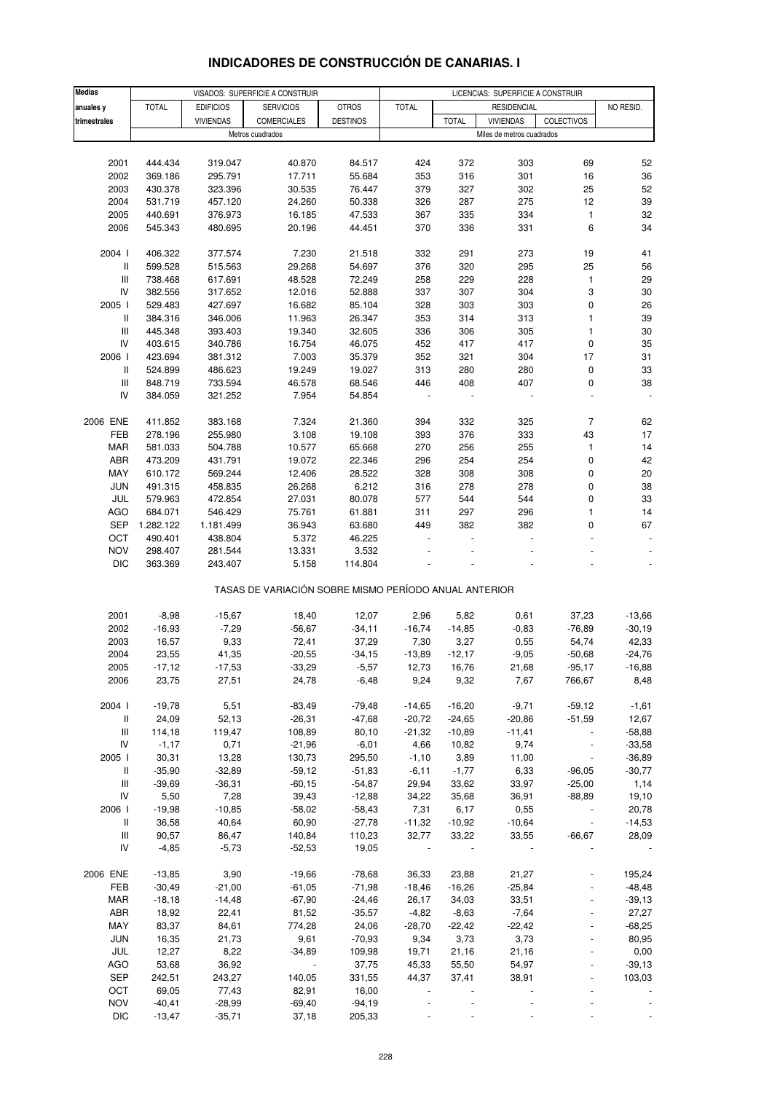| Medias                             |              |                  | VISADOS: SUPERFICIE A CONSTRUIR                       |                 | LICENCIAS: SUPERFICIE A CONSTRUIR |              |                           |                          |           |
|------------------------------------|--------------|------------------|-------------------------------------------------------|-----------------|-----------------------------------|--------------|---------------------------|--------------------------|-----------|
| anuales y                          | <b>TOTAL</b> | <b>EDIFICIOS</b> | <b>SERVICIOS</b>                                      | <b>OTROS</b>    | <b>TOTAL</b>                      |              | <b>RESIDENCIAL</b>        |                          | NO RESID. |
| trimestrales                       |              | <b>VIVIENDAS</b> | COMERCIALES                                           | <b>DESTINOS</b> |                                   | <b>TOTAL</b> | <b>VIVIENDAS</b>          | COLECTIVOS               |           |
|                                    |              |                  | Metros cuadrados                                      |                 |                                   |              | Miles de metros cuadrados |                          |           |
|                                    |              |                  |                                                       |                 |                                   |              |                           |                          |           |
| 2001                               | 444.434      |                  | 40.870                                                | 84.517          | 424                               | 372          | 303                       | 69                       | 52        |
|                                    |              | 319.047          |                                                       |                 |                                   |              |                           |                          |           |
| 2002                               | 369.186      | 295.791          | 17.711                                                | 55.684          | 353                               | 316          | 301                       | 16                       | 36        |
| 2003                               | 430.378      | 323.396          | 30.535                                                | 76.447          | 379                               | 327          | 302                       | 25                       | 52        |
| 2004                               | 531.719      | 457.120          | 24.260                                                | 50.338          | 326                               | 287          | 275                       | 12                       | 39        |
| 2005                               | 440.691      | 376.973          | 16.185                                                | 47.533          | 367                               | 335          | 334                       | 1                        | 32        |
| 2006                               | 545.343      | 480.695          | 20.196                                                | 44.451          | 370                               | 336          | 331                       | 6                        | 34        |
|                                    |              |                  |                                                       |                 |                                   |              |                           |                          |           |
| 2004 l                             | 406.322      | 377.574          | 7.230                                                 | 21.518          | 332                               | 291          | 273                       | 19                       | 41        |
| Ш                                  | 599.528      | 515.563          | 29.268                                                | 54.697          | 376                               | 320          | 295                       | 25                       | 56        |
| Ш                                  | 738.468      | 617.691          | 48.528                                                | 72.249          | 258                               | 229          | 228                       | 1                        | 29        |
| IV                                 | 382.556      | 317.652          | 12.016                                                | 52.888          | 337                               | 307          | 304                       | 3                        | 30        |
| 2005 l                             | 529.483      | 427.697          | 16.682                                                | 85.104          | 328                               | 303          | 303                       | 0                        | 26        |
| Ш                                  | 384.316      | 346.006          | 11.963                                                | 26.347          | 353                               | 314          | 313                       | 1                        | 39        |
| Ш                                  | 445.348      | 393.403          | 19.340                                                | 32.605          | 336                               | 306          | 305                       | 1                        | 30        |
| IV                                 | 403.615      | 340.786          | 16.754                                                | 46.075          | 452                               | 417          | 417                       | 0                        | 35        |
| 2006                               | 423.694      | 381.312          | 7.003                                                 | 35.379          | 352                               | 321          | 304                       | 17                       | 31        |
| Ш                                  | 524.899      | 486.623          | 19.249                                                | 19.027          | 313                               | 280          | 280                       | 0                        | 33        |
| Ш                                  | 848.719      | 733.594          | 46.578                                                | 68.546          | 446                               | 408          | 407                       | 0                        | 38        |
| IV                                 | 384.059      | 321.252          | 7.954                                                 | 54.854          |                                   |              |                           |                          |           |
|                                    |              |                  |                                                       |                 |                                   |              |                           |                          |           |
| 2006 ENE                           | 411.852      | 383.168          | 7.324                                                 | 21.360          | 394                               | 332          | 325                       | 7                        | 62        |
| FEB                                | 278.196      | 255.980          | 3.108                                                 | 19.108          | 393                               | 376          | 333                       | 43                       | 17        |
| MAR                                | 581.033      | 504.788          | 10.577                                                | 65.668          | 270                               | 256          | 255                       | 1                        | 14        |
| ABR                                | 473.209      | 431.791          | 19.072                                                | 22.346          | 296                               | 254          | 254                       | 0                        | 42        |
| MAY                                | 610.172      | 569.244          | 12.406                                                | 28.522          | 328                               | 308          | 308                       | 0                        | 20        |
| <b>JUN</b>                         | 491.315      | 458.835          | 26.268                                                | 6.212           | 316                               | 278          | 278                       | 0                        | 38        |
| JUL                                | 579.963      | 472.854          | 27.031                                                | 80.078          | 577                               | 544          | 544                       | 0                        | 33        |
| AGO                                | 684.071      | 546.429          | 75.761                                                | 61.881          | 311                               | 297          | 296                       | 1                        | 14        |
| <b>SEP</b>                         | 1.282.122    | 1.181.499        | 36.943                                                | 63.680          | 449                               | 382          | 382                       | 0                        | 67        |
| OCT                                | 490.401      | 438.804          | 5.372                                                 | 46.225          |                                   |              |                           |                          |           |
| <b>NOV</b>                         | 298.407      | 281.544          | 13.331                                                | 3.532           |                                   |              |                           |                          |           |
| <b>DIC</b>                         | 363.369      | 243.407          | 5.158                                                 | 114.804         |                                   |              |                           |                          |           |
|                                    |              |                  |                                                       |                 |                                   |              |                           |                          |           |
|                                    |              |                  | TASAS DE VARIACIÓN SOBRE MISMO PERÍODO ANUAL ANTERIOR |                 |                                   |              |                           |                          |           |
|                                    |              |                  |                                                       |                 |                                   |              |                           |                          |           |
| 2001                               | $-8,98$      | $-15,67$         | 18,40                                                 | 12,07           | 2,96                              | 5,82         | 0,61                      | 37,23                    | $-13,66$  |
| 2002                               | $-16,93$     | $-7,29$          | $-56,67$                                              | $-34,11$        | $-16,74$                          | $-14,85$     | $-0,83$                   | $-76,89$                 | $-30,19$  |
| 2003                               | 16,57        | 9,33             | 72,41                                                 | 37,29           | 7,30                              | 3,27         | 0,55                      | 54,74                    | 42,33     |
| 2004                               | 23,55        | 41,35            | $-20,55$                                              | $-34,15$        | $-13,89$                          | $-12,17$     | $-9,05$                   | $-50,68$                 | $-24,76$  |
| 2005                               | -17,12       | $-17,53$         | -33,29                                                | $-5,57$         | 12,73                             | 16,76        | 21,68                     | $-95,17$                 | $-16,88$  |
| 2006                               | 23,75        | 27,51            | 24,78                                                 | $-6,48$         | 9,24                              | 9,32         | 7,67                      | 766,67                   | 8,48      |
|                                    |              |                  |                                                       |                 |                                   |              |                           |                          |           |
| 2004 l                             | $-19,78$     | 5,51             | $-83,49$                                              | $-79,48$        | $-14,65$                          | $-16,20$     | $-9,71$                   | $-59,12$                 | $-1,61$   |
| Ш                                  | 24,09        | 52,13            | $-26,31$                                              | $-47,68$        | $-20,72$                          | $-24,65$     | $-20,86$                  | $-51,59$                 | 12,67     |
| $\ensuremath{\mathsf{III}}\xspace$ | 114,18       | 119,47           | 108,89                                                | 80,10           | $-21,32$                          | $-10,89$     | $-11,41$                  | $\blacksquare$           | $-58,88$  |
| IV                                 | $-1,17$      | 0,71             | $-21,96$                                              | $-6,01$         | 4,66                              | 10,82        | 9,74                      |                          | $-33,58$  |
| 2005                               | 30,31        | 13,28            | 130,73                                                | 295,50          | $-1,10$                           | 3,89         | 11,00                     |                          | $-36,89$  |
| Ш                                  | $-35,90$     | $-32,89$         | $-59,12$                                              | $-51,83$        | $-6, 11$                          | $-1,77$      | 6,33                      | $-96,05$                 | $-30,77$  |
| $\ensuremath{\mathsf{III}}\xspace$ | $-39,69$     | $-36,31$         | $-60, 15$                                             | $-54,87$        | 29,94                             | 33,62        | 33,97                     | $-25,00$                 | 1,14      |
| IV                                 | 5,50         | 7,28             | 39,43                                                 | $-12,88$        | 34,22                             | 35,68        | 36,91                     | $-88,89$                 | 19,10     |
| 2006                               | $-19,98$     | $-10,85$         | $-58,02$                                              | $-58,43$        | 7,31                              | 6,17         | 0,55                      | $\overline{\phantom{a}}$ | 20,78     |
| Ш                                  | 36,58        | 40,64            | 60,90                                                 | $-27,78$        | -11,32                            | $-10,92$     | $-10,64$                  |                          | $-14,53$  |
| Ш                                  | 90,57        | 86,47            | 140,84                                                | 110,23          | 32,77                             | 33,22        | 33,55                     | $-66,67$                 | 28,09     |
| IV                                 | $-4,85$      | $-5,73$          | $-52,53$                                              | 19,05           | $\overline{\phantom{a}}$          |              |                           |                          |           |
|                                    |              |                  |                                                       |                 |                                   |              |                           |                          |           |
| 2006 ENE                           | $-13,85$     | 3,90             | $-19,66$                                              | $-78,68$        | 36,33                             | 23,88        | 21,27                     |                          | 195,24    |
| FEB                                | $-30,49$     | $-21,00$         | $-61,05$                                              | $-71,98$        | $-18,46$                          | $-16,26$     | $-25,84$                  |                          | $-48,48$  |
| MAR                                | $-18,18$     | $-14,48$         | $-67,90$                                              | $-24,46$        | 26,17                             | 34,03        | 33,51                     |                          | $-39,13$  |
| ABR                                | 18,92        | 22,41            | 81,52                                                 | $-35,57$        | $-4,82$                           | $-8,63$      | $-7,64$                   |                          | 27,27     |
| MAY                                | 83,37        | 84,61            | 774,28                                                | 24,06           | $-28,70$                          | $-22,42$     | $-22,42$                  |                          | $-68,25$  |
| JUN                                | 16,35        | 21,73            | 9,61                                                  | $-70,93$        | 9,34                              | 3,73         | 3,73                      |                          | 80,95     |
| JUL                                | 12,27        | 8,22             | $-34,89$                                              | 109,98          | 19,71                             | 21,16        | 21,16                     |                          | 0,00      |
| AGO                                | 53,68        | 36,92            | $\overline{\phantom{a}}$                              | 37,75           | 45,33                             | 55,50        | 54,97                     |                          | $-39,13$  |
| <b>SEP</b>                         | 242,51       | 243,27           | 140,05                                                | 331,55          | 44,37                             | 37,41        | 38,91                     |                          | 103,03    |
| OCT                                | 69,05        | 77,43            | 82,91                                                 | 16,00           |                                   |              |                           |                          |           |
| <b>NOV</b>                         | $-40,41$     | $-28,99$         | $-69,40$                                              | $-94,19$        |                                   |              |                           |                          |           |
| $\mathsf{DIC}$                     | $-13,47$     | $-35,71$         | 37,18                                                 | 205,33          |                                   |              |                           |                          |           |

### **INDICADORES DE CONSTRUCCIÓN DE CANARIAS. I**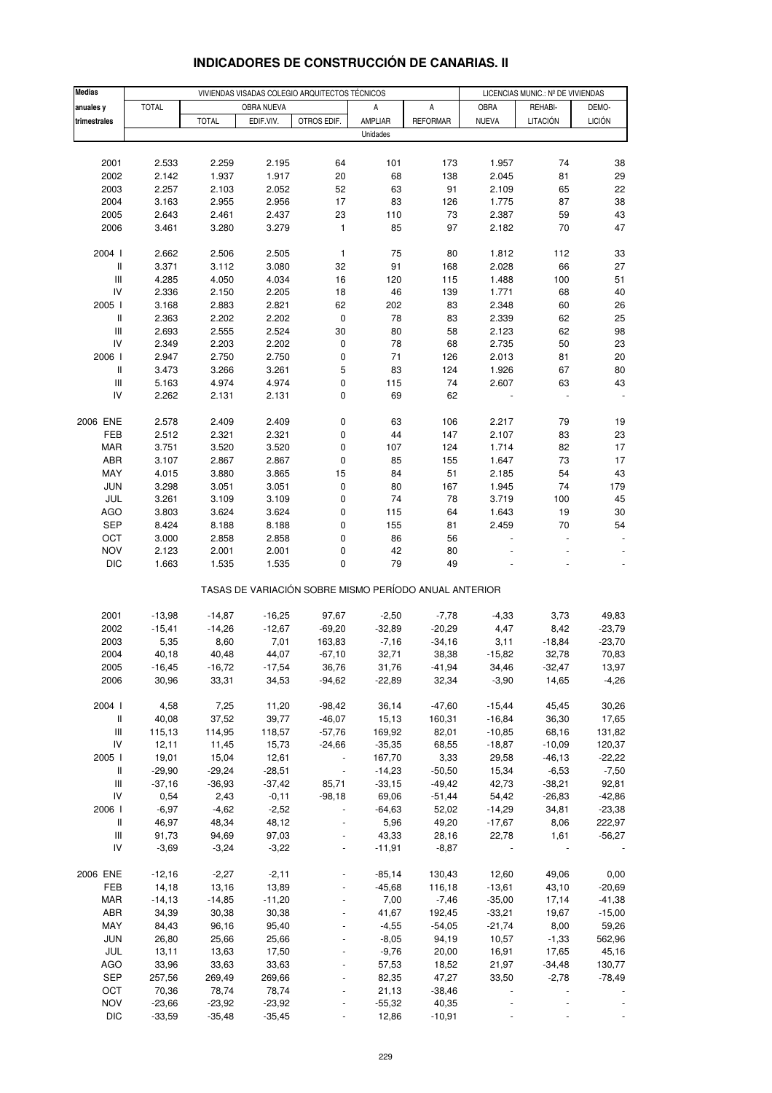| <b>Medias</b>                      |                   |                   |                | VIVIENDAS VISADAS COLEGIO ARQUITECTOS TÉCNICOS        |                   |                 |                  | LICENCIAS MUNIC.: Nº DE VIVIENDAS |                  |
|------------------------------------|-------------------|-------------------|----------------|-------------------------------------------------------|-------------------|-----------------|------------------|-----------------------------------|------------------|
| anuales y                          | <b>TOTAL</b>      |                   | OBRA NUEVA     |                                                       | Α                 | A               | OBRA             | REHABI-                           | DEMO-            |
| trimestrales                       |                   | <b>TOTAL</b>      | EDIF.VIV.      | OTROS EDIF.                                           | AMPLIAR           | <b>REFORMAR</b> | <b>NUEVA</b>     | LITACIÓN                          | <b>LICIÓN</b>    |
|                                    |                   |                   |                |                                                       | Unidades          |                 |                  |                                   |                  |
|                                    |                   |                   |                |                                                       |                   |                 |                  |                                   |                  |
| 2001                               | 2.533             | 2.259             | 2.195          | 64                                                    | 101               | 173             | 1.957            | 74                                | 38               |
| 2002                               | 2.142             | 1.937             | 1.917          | 20                                                    | 68                | 138             | 2.045            | 81                                | 29               |
| 2003                               | 2.257             | 2.103             | 2.052          | 52                                                    | 63                | 91              | 2.109            | 65                                | 22               |
| 2004                               | 3.163             | 2.955             | 2.956          | 17                                                    | 83                | 126             | 1.775            | 87                                | 38               |
| 2005                               | 2.643             | 2.461             | 2.437          | 23                                                    | 110               | $73\,$          | 2.387            | 59                                | 43               |
| 2006                               | 3.461             | 3.280             | 3.279          | 1                                                     | 85                | 97              | 2.182            | 70                                | 47               |
|                                    |                   |                   |                |                                                       |                   |                 |                  |                                   |                  |
| 2004 l                             | 2.662             | 2.506             | 2.505          | $\mathbf{1}$                                          | 75                | 80              | 1.812            | 112                               | 33               |
| $\mathbf{II}$                      | 3.371             | 3.112             | 3.080          | 32                                                    | 91                | 168             | 2.028            | 66                                | 27               |
| $\ensuremath{\mathsf{III}}\xspace$ | 4.285             | 4.050             | 4.034          | $16$                                                  | 120               | 115             | 1.488            | 100                               | 51               |
| IV                                 | 2.336             | 2.150             | 2.205          | 18                                                    | 46                | 139             | 1.771            | 68                                | 40               |
| 2005 l                             | 3.168             | 2.883             | 2.821          | 62                                                    | 202               | 83              | 2.348            | 60                                | 26               |
| $\, \parallel$                     | 2.363             | 2.202             | 2.202          | 0                                                     | 78                | 83              | 2.339            | 62                                | 25               |
| $\ensuremath{\mathsf{III}}\xspace$ | 2.693             | 2.555             | 2.524          | 30                                                    | 80                | 58              | 2.123            | 62                                | 98               |
| IV                                 | 2.349             | 2.203             | 2.202          | 0                                                     | 78                | 68              | 2.735            | 50                                | 23               |
| 2006                               | 2.947             | 2.750             | 2.750          | 0                                                     | 71                | 126             | 2.013            | 81                                | 20               |
| $\, \parallel$                     | 3.473             | 3.266             | 3.261          | 5                                                     | 83                | 124             | 1.926            | 67                                | 80               |
| Ш                                  | 5.163             | 4.974             | 4.974          | 0                                                     | 115               | 74              | 2.607            | 63                                | 43               |
| IV                                 | 2.262             | 2.131             | 2.131          | $\pmb{0}$                                             | 69                | 62              |                  |                                   |                  |
|                                    |                   |                   |                |                                                       |                   |                 |                  |                                   |                  |
| 2006 ENE<br>FEB                    | 2.578<br>2.512    | 2.409<br>2.321    | 2.409<br>2.321 | 0<br>0                                                | 63<br>44          | 106<br>147      | 2.217<br>2.107   | 79<br>83                          | 19<br>23         |
| <b>MAR</b>                         | 3.751             | 3.520             | 3.520          | 0                                                     | 107               | 124             | 1.714            | 82                                | 17               |
| ABR                                | 3.107             | 2.867             | 2.867          | 0                                                     | 85                | 155             | 1.647            | 73                                | 17               |
| MAY                                | 4.015             | 3.880             | 3.865          | 15                                                    | 84                | 51              | 2.185            | 54                                | 43               |
| <b>JUN</b>                         | 3.298             | 3.051             | 3.051          | 0                                                     | 80                | 167             | 1.945            | 74                                | 179              |
| JUL                                | 3.261             | 3.109             | 3.109          | 0                                                     | 74                | 78              | 3.719            | 100                               | 45               |
| <b>AGO</b>                         | 3.803             | 3.624             | 3.624          | $\mathbf 0$                                           | 115               | 64              | 1.643            | 19                                | 30               |
| <b>SEP</b>                         | 8.424             | 8.188             | 8.188          | 0                                                     | 155               | 81              | 2.459            | 70                                | 54               |
| OCT                                | 3.000             | 2.858             | 2.858          | 0                                                     | 86                | 56              |                  |                                   |                  |
| <b>NOV</b>                         | 2.123             | 2.001             | 2.001          | $\pmb{0}$                                             | 42                | 80              |                  |                                   |                  |
| <b>DIC</b>                         | 1.663             | 1.535             | 1.535          | $\mathbf 0$                                           | 79                | 49              |                  |                                   |                  |
|                                    |                   |                   |                | TASAS DE VARIACIÓN SOBRE MISMO PERÍODO ANUAL ANTERIOR |                   |                 |                  |                                   |                  |
|                                    |                   |                   |                |                                                       |                   |                 |                  |                                   |                  |
| 2001                               | $-13,98$          | $-14,87$          | $-16,25$       | 97,67                                                 | $-2,50$           | $-7,78$         | $-4,33$          | 3,73                              | 49,83            |
| 2002                               | $-15,41$          | $-14,26$          | $-12,67$       | $-69,20$                                              | $-32,89$          | $-20,29$        | 4,47             | 8,42                              | $-23,79$         |
| 2003                               | 5,35              | 8,60              | 7,01           | 163,83                                                | $-7,16$           | $-34,16$        | 3,11             | $-18,84$                          | $-23,70$         |
| 2004                               | 40,18             | 40,48             | 44,07          | $-67,10$                                              | 32,71             | 38,38           | $-15,82$         | 32,78                             | 70,83            |
| 2005<br>2006                       | $-16,45$<br>30,96 | $-16,72$<br>33,31 | $-17,54$       | 36,76                                                 | 31,76<br>$-22,89$ | -41,94<br>32,34 | 34,46<br>$-3,90$ | $-32,47$                          | 13,97<br>$-4,26$ |
|                                    |                   |                   | 34,53          | -94,62                                                |                   |                 |                  | 14,65                             |                  |
| 2004 l                             | 4,58              | 7,25              | 11,20          | $-98,42$                                              | 36,14             | $-47,60$        | $-15,44$         | 45,45                             | 30,26            |
| $\, \parallel$                     | 40,08             | 37,52             | 39,77          | $-46,07$                                              | 15, 13            | 160,31          | $-16,84$         | 36,30                             | 17,65            |
| $\ensuremath{\mathsf{III}}\xspace$ | 115,13            | 114,95            | 118,57         | $-57,76$                                              | 169,92            | 82,01           | $-10,85$         | 68,16                             | 131,82           |
| IV                                 | 12,11             | 11,45             | 15,73          | $-24,66$                                              | $-35,35$          | 68,55           | $-18,87$         | $-10,09$                          | 120,37           |
| 2005 l                             | 19,01             | 15,04             | 12,61          | $\overline{\phantom{a}}$                              | 167,70            | 3,33            | 29,58            | $-46, 13$                         | $-22,22$         |
| $\, \parallel$                     | $-29,90$          | $-29,24$          | $-28,51$       | $\overline{\phantom{a}}$                              | $-14,23$          | $-50,50$        | 15,34            | $-6,53$                           | $-7,50$          |
| $\ensuremath{\mathsf{III}}\xspace$ | $-37,16$          | $-36,93$          | -37,42         | 85,71                                                 | $-33,15$          | $-49,42$        | 42,73            | $-38,21$                          | 92,81            |
| IV                                 | 0,54              | 2,43              | $-0,11$        | $-98,18$                                              | 69,06             | $-51,44$        | 54,42            | $-26,83$                          | $-42,86$         |
| 2006                               | $-6,97$           | $-4,62$           | $-2,52$        | $\blacksquare$                                        | $-64,63$          | 52,02           | $-14,29$         | 34,81                             | $-23,38$         |
| Ш                                  | 46,97             | 48,34             | 48,12          |                                                       | 5,96              | 49,20           | $-17,67$         | 8,06                              | 222,97           |
| $\ensuremath{\mathsf{III}}\xspace$ | 91,73             | 94,69             | 97,03          |                                                       | 43,33             | 28,16           | 22,78            | 1,61                              | $-56,27$         |
| IV                                 | $-3,69$           | $-3,24$           | $-3,22$        | $\overline{\phantom{a}}$                              | $-11,91$          | $-8,87$         |                  |                                   |                  |
| 2006 ENE                           | $-12,16$          | $-2,27$           | $-2,11$        |                                                       | $-85,14$          | 130,43          | 12,60            | 49,06                             | 0,00             |
| FEB                                | 14,18             | 13,16             | 13,89          |                                                       | $-45,68$          | 116,18          | $-13,61$         | 43,10                             | $-20,69$         |
| <b>MAR</b>                         | $-14, 13$         | $-14,85$          | $-11,20$       |                                                       | 7,00              | $-7,46$         | $-35,00$         | 17,14                             | $-41,38$         |
| ABR                                | 34,39             | 30,38             | 30,38          |                                                       | 41,67             | 192,45          | $-33,21$         | 19,67                             | $-15,00$         |
| MAY                                | 84,43             | 96,16             | 95,40          |                                                       | $-4,55$           | $-54,05$        | $-21,74$         | 8,00                              | 59,26            |
| <b>JUN</b>                         | 26,80             | 25,66             | 25,66          |                                                       | $-8,05$           | 94,19           | 10,57            | $-1,33$                           | 562,96           |
| JUL                                | 13,11             | 13,63             | 17,50          |                                                       | $-9,76$           | 20,00           | 16,91            | 17,65                             | 45,16            |
| AGO                                | 33,96             | 33,63             | 33,63          |                                                       | 57,53             | 18,52           | 21,97            | $-34,48$                          | 130,77           |
| SEP                                | 257,56            | 269,49            | 269,66         |                                                       | 82,35             | 47,27           | 33,50            | $-2,78$                           | $-78,49$         |
| OCT                                | 70,36             | 78,74             | 78,74          |                                                       | 21,13             | $-38,46$        |                  |                                   |                  |
| <b>NOV</b>                         | $-23,66$          | $-23,92$          | $-23,92$       |                                                       | $-55,32$          | 40,35           |                  |                                   |                  |
| <b>DIC</b>                         | $-33,59$          | $-35,48$          | $-35,45$       |                                                       | 12,86             | $-10,91$        |                  |                                   |                  |

### **INDICADORES DE CONSTRUCCIÓN DE CANARIAS. II**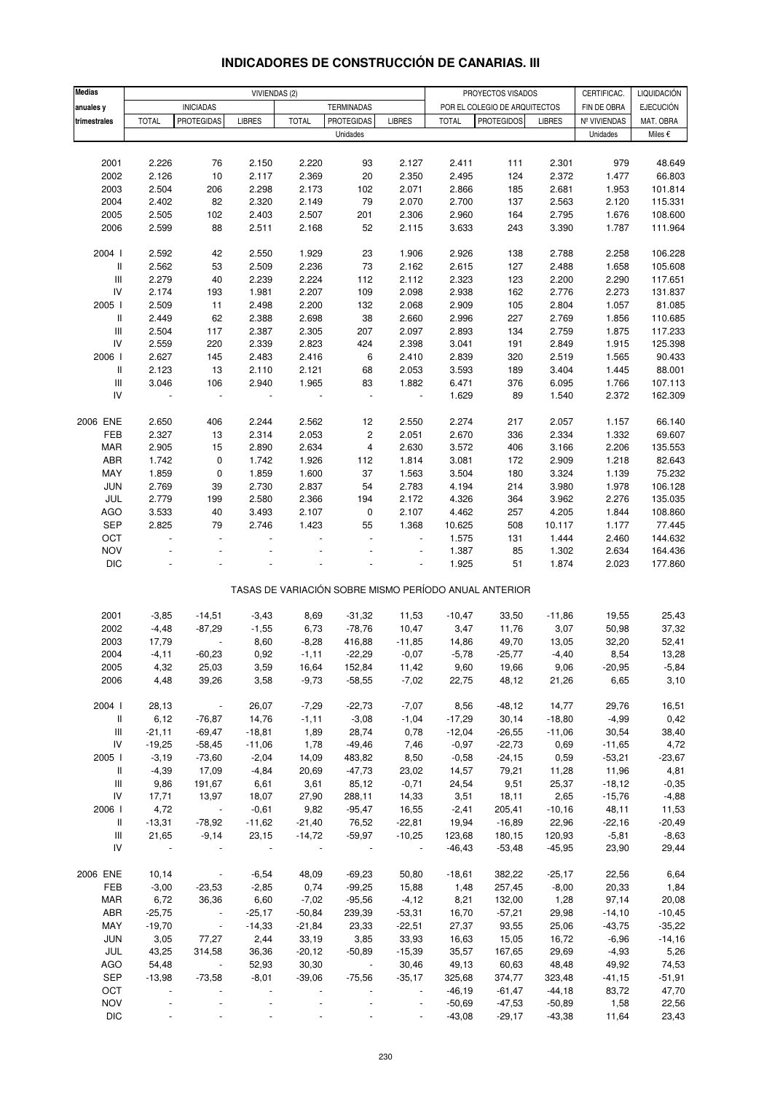| <b>Medias</b>                      |               |                          | VIVIENDAS (2) |              |                          |                          |              | PROYECTOS VISADOS                                     |               | CERTIFICAC.  | LIQUIDACIÓN      |
|------------------------------------|---------------|--------------------------|---------------|--------------|--------------------------|--------------------------|--------------|-------------------------------------------------------|---------------|--------------|------------------|
| anuales y                          |               | <b>INICIADAS</b>         |               |              | TERMINADAS               |                          |              | POR EL COLEGIO DE ARQUITECTOS                         |               | FIN DE OBRA  | <b>EJECUCIÓN</b> |
| trimestrales                       | <b>TOTAL</b>  | <b>PROTEGIDAS</b>        | <b>LIBRES</b> | <b>TOTAL</b> | <b>PROTEGIDAS</b>        | <b>LIBRES</b>            | <b>TOTAL</b> | <b>PROTEGIDOS</b>                                     | <b>LIBRES</b> | Nº VIVIENDAS | MAT. OBRA        |
|                                    |               |                          |               |              | Unidades                 |                          |              |                                                       |               | Unidades     | Miles €          |
|                                    |               |                          |               |              |                          |                          |              |                                                       |               |              |                  |
| 2001                               | 2.226         | 76                       | 2.150         | 2.220        | 93                       | 2.127                    | 2.411        | 111                                                   | 2.301         | 979          | 48.649           |
| 2002                               | 2.126         | 10                       | 2.117         | 2.369        | 20                       | 2.350                    | 2.495        | 124                                                   | 2.372         | 1.477        | 66.803           |
| 2003                               | 2.504         | 206                      | 2.298         | 2.173        | 102                      | 2.071                    | 2.866        | 185                                                   | 2.681         | 1.953        | 101.814          |
| 2004                               | 2.402         | 82                       | 2.320         | 2.149        | 79                       | 2.070                    | 2.700        | 137                                                   | 2.563         | 2.120        | 115.331          |
| 2005                               | 2.505         | 102                      | 2.403         | 2.507        | 201                      | 2.306                    | 2.960        | 164                                                   | 2.795         | 1.676        | 108.600          |
| 2006                               | 2.599         | 88                       | 2.511         | 2.168        | 52                       | 2.115                    | 3.633        | 243                                                   | 3.390         | 1.787        | 111.964          |
|                                    |               |                          |               |              |                          |                          |              |                                                       |               |              |                  |
| 2004 l                             | 2.592         | 42                       | 2.550         | 1.929        | 23                       | 1.906                    | 2.926        | 138                                                   | 2.788         | 2.258        | 106.228          |
| Ш                                  | 2.562         | 53                       | 2.509         | 2.236        | 73                       | 2.162                    | 2.615        | 127                                                   | 2.488         | 1.658        | 105.608          |
| $\ensuremath{\mathsf{III}}\xspace$ | 2.279         | 40                       | 2.239         | 2.224        | 112                      | 2.112                    | 2.323        | 123                                                   | 2.200         | 2.290        | 117.651          |
| IV                                 | 2.174         | 193                      | 1.981         | 2.207        | 109                      | 2.098                    | 2.938        | 162                                                   | 2.776         | 2.273        | 131.837          |
| 2005 l                             | 2.509         | 11                       | 2.498         | 2.200        | 132                      | 2.068                    | 2.909        | 105                                                   | 2.804         | 1.057        | 81.085           |
| Ш                                  | 2.449         | 62                       | 2.388         | 2.698        | 38                       | 2.660                    | 2.996        | 227                                                   | 2.769         | 1.856        | 110.685          |
| $\ensuremath{\mathsf{III}}\xspace$ | 2.504         | 117                      | 2.387         | 2.305        | 207                      | 2.097                    | 2.893        | 134                                                   | 2.759         | 1.875        | 117.233          |
| IV                                 | 2.559         | 220                      | 2.339         | 2.823        | 424                      | 2.398                    | 3.041        | 191                                                   | 2.849         | 1.915        | 125.398          |
| 2006                               | 2.627         | 145                      | 2.483         | 2.416        | 6                        | 2.410                    | 2.839        | 320                                                   | 2.519         | 1.565        | 90.433           |
| II                                 | 2.123         | 13                       | 2.110         | 2.121        | 68                       | 2.053                    | 3.593        | 189                                                   | 3.404         | 1.445        | 88.001           |
| $\ensuremath{\mathsf{III}}\xspace$ | 3.046         | 106                      | 2.940         | 1.965        | 83                       | 1.882                    | 6.471        | 376                                                   | 6.095         | 1.766        | 107.113          |
| IV                                 |               | $\overline{\phantom{a}}$ |               |              | $\overline{\phantom{a}}$ | $\overline{\phantom{a}}$ | 1.629        | 89                                                    | 1.540         | 2.372        | 162.309          |
|                                    |               |                          |               |              |                          |                          |              |                                                       |               |              |                  |
| 2006 ENE                           | 2.650         | 406                      | 2.244         | 2.562        | 12                       | 2.550                    | 2.274        | 217                                                   | 2.057         | 1.157        | 66.140           |
| FEB                                | 2.327         | 13                       | 2.314         | 2.053        | 2                        | 2.051                    | 2.670        | 336                                                   | 2.334         | 1.332        | 69.607           |
| <b>MAR</b>                         | 2.905         | 15                       | 2.890         | 2.634        | 4                        | 2.630                    | 3.572        | 406                                                   | 3.166         | 2.206        | 135.553          |
| ABR                                | 1.742         | $\pmb{0}$                | 1.742         | 1.926        | 112                      | 1.814                    | 3.081        | 172                                                   | 2.909         | 1.218        | 82.643           |
| MAY                                | 1.859         | $\mathbf 0$              | 1.859         | 1.600        | 37                       | 1.563                    | 3.504        | 180                                                   | 3.324         | 1.139        | 75.232           |
| JUN                                | 2.769         | 39                       | 2.730         | 2.837        | 54                       | 2.783                    | 4.194        | 214                                                   | 3.980         | 1.978        | 106.128          |
| JUL                                | 2.779         | 199                      | 2.580         | 2.366        | 194                      | 2.172                    | 4.326        | 364                                                   | 3.962         | 2.276        | 135.035          |
| AGO                                | 3.533         | 40                       | 3.493         | 2.107        | $\pmb{0}$                | 2.107                    | 4.462        | 257                                                   | 4.205         | 1.844        | 108.860          |
| SEP                                | 2.825         | 79                       | 2.746         | 1.423        | 55                       | 1.368                    | 10.625       | 508                                                   | 10.117        | 1.177        | 77.445           |
| OCT                                |               | ÷.                       |               |              |                          | $\ddot{\phantom{1}}$     | 1.575        | 131                                                   | 1.444         | 2.460        | 144.632          |
| <b>NOV</b>                         |               |                          |               |              |                          | $\overline{a}$           | 1.387        | 85                                                    | 1.302         | 2.634        | 164.436          |
| <b>DIC</b>                         |               |                          |               |              |                          |                          | 1.925        | 51                                                    | 1.874         | 2.023        | 177.860          |
|                                    |               |                          |               |              |                          |                          |              |                                                       |               |              |                  |
|                                    |               |                          |               |              |                          |                          |              | TASAS DE VARIACIÓN SOBRE MISMO PERÍODO ANUAL ANTERIOR |               |              |                  |
|                                    |               |                          |               |              |                          |                          |              |                                                       |               |              |                  |
| 2001                               | $-3,85$       | $-14,51$                 | $-3,43$       | 8,69         | $-31,32$                 | 11,53                    | $-10,47$     | 33,50                                                 | $-11,86$      | 19,55        | 25,43            |
| 2002                               | $-4,48$       | $-87,29$                 | $-1,55$       | 6,73         | $-78,76$                 | 10,47                    | 3,47         | 11,76                                                 | 3,07          | 50,98        | 37,32            |
| 2003                               | 17,79         |                          | 8,60          | $-8,28$      | 416,88                   | $-11,85$                 | 14,86        | 49,70                                                 | 13,05         | 32,20        | 52,41            |
| 2004                               | $-4, 11$      | $-60,23$                 | 0,92          | $-1, 11$     | $-22,29$                 | $-0,07$                  | $-5,78$      | $-25,77$                                              | $-4,40$       | 8,54         | 13,28            |
| 2005                               | 4,32          | 25,03                    | 3,59          | 16,64        | 152,84                   | 11,42                    | 9,60         | 19,66                                                 | 9,06          | $-20,95$     | $-5,84$          |
| 2006                               | 4,48          | 39,26                    | 3,58          | $-9,73$      | $-58,55$                 | $-7,02$                  | 22,75        | 48,12                                                 | 21,26         | 6,65         | 3,10             |
|                                    |               |                          |               |              |                          |                          |              |                                                       |               |              |                  |
| 2004 l                             | 28,13         | $\sim$ $-$               | 26,07         | $-7,29$      | $-22,73$                 | $-7,07$                  | 8,56         | $-48,12$                                              | 14,77         | 29,76        | 16,51            |
| Ш                                  | 6,12          | $-76,87$                 | 14,76         | $-1,11$      | $-3,08$                  | $-1,04$                  | $-17,29$     | 30,14                                                 | $-18,80$      | $-4,99$      | 0,42             |
| Ш                                  | $-21,11$      | $-69,47$                 | $-18,81$      | 1,89         | 28,74                    | 0,78                     | $-12,04$     | $-26,55$                                              | $-11,06$      | 30,54        | 38,40            |
| ${\sf IV}$                         | $-19,25$      | $-58,45$                 | $-11,06$      | 1,78         | $-49,46$                 | 7,46                     | $-0,97$      | $-22,73$                                              | 0,69          | $-11,65$     | 4,72             |
| 2005                               | $-3,19$       | $-73,60$                 | $-2,04$       | 14,09        | 483,82                   | 8,50                     | $-0,58$      | $-24,15$                                              | 0,59          | $-53,21$     | $-23,67$         |
| Ш                                  | $-4,39$       | 17,09                    | $-4,84$       | 20,69        | $-47,73$                 | 23,02                    | 14,57        | 79,21                                                 | 11,28         | 11,96        | 4,81             |
| Ш                                  | 9,86          | 191,67                   | 6,61          | 3,61         | 85,12                    | $-0,71$                  | 24,54        | 9,51                                                  | 25,37         | $-18,12$     | $-0,35$          |
| IV                                 | 17,71         | 13,97                    | 18,07         | 27,90        | 288,11                   | 14,33                    | 3,51         | 18,11                                                 | 2,65          | $-15,76$     | $-4,88$          |
| 2006 l                             | 4,72          | $\sim 10$                | $-0,61$       | 9,82         | $-95,47$                 | 16,55                    | $-2,41$      | 205,41                                                | $-10,16$      | 48,11        | 11,53            |
| Ш                                  | $-13,31$      | $-78,92$                 | $-11,62$      | $-21,40$     | 76,52                    | $-22,81$                 | 19,94        | $-16,89$                                              | 22,96         | $-22,16$     | $-20,49$         |
| Ш                                  | 21,65         | $-9,14$                  | 23,15         | $-14,72$     | $-59,97$                 | $-10,25$                 | 123,68       | 180,15                                                | 120,93        | $-5,81$      | $-8,63$          |
| IV                                 | $\sim$ $\sim$ |                          | $\sim$        |              |                          | $\blacksquare$           | $-46,43$     | $-53,48$                                              | $-45,95$      | 23,90        | 29,44            |
|                                    |               |                          |               |              |                          |                          |              |                                                       |               |              |                  |
| 2006 ENE                           | 10,14         | $\overline{\phantom{a}}$ | $-6,54$       | 48,09        | $-69,23$                 | 50,80                    | $-18,61$     | 382,22                                                | $-25,17$      | 22,56        | 6,64             |
| FEB                                | $-3,00$       | $-23,53$                 | $-2,85$       | 0,74         | $-99,25$                 | 15,88                    | 1,48         | 257,45                                                | $-8,00$       | 20,33        | 1,84             |
| <b>MAR</b>                         | 6,72          | 36,36                    | 6,60          | $-7,02$      | $-95,56$                 | $-4,12$                  | 8,21         | 132,00                                                | 1,28          | 97,14        | 20,08            |
| ABR                                | $-25,75$      | $\sim$ $-$               | $-25,17$      | $-50,84$     | 239,39                   | $-53,31$                 | 16,70        | $-57,21$                                              | 29,98         | $-14,10$     | $-10,45$         |
| MAY                                | $-19,70$      | $\sim 100$               | $-14,33$      | $-21,84$     | 23,33                    | $-22,51$                 | 27,37        | 93,55                                                 | 25,06         | $-43,75$     | $-35,22$         |
| JUN                                | 3,05          | 77,27                    | 2,44          | 33,19        | 3,85                     | 33,93                    | 16,63        | 15,05                                                 | 16,72         | $-6,96$      | $-14,16$         |
| JUL                                | 43,25         | 314,58                   | 36,36         | $-20,12$     | $-50,89$                 | $-15,39$                 | 35,57        | 167,65                                                | 29,69         | $-4,93$      | 5,26             |
| AGO                                | 54,48         | $\sim$                   | 52,93         | 30,30        | $\sim$                   | 30,46                    | 49,13        | 60,63                                                 | 48,48         | 49,92        | 74,53            |
| SEP                                | $-13,98$      | $-73,58$                 | $-8,01$       | $-39,06$     | $-75,56$                 | $-35,17$                 | 325,68       | 374,77                                                | 323,48        | $-41,15$     | $-51,91$         |
| OCT                                |               |                          |               |              |                          |                          | $-46,19$     | -61,47                                                | $-44,18$      | 83,72        | 47,70            |
| <b>NOV</b>                         |               |                          |               |              |                          |                          | $-50,69$     | $-47,53$                                              | $-50,89$      | 1,58         | 22,56            |
| <b>DIC</b>                         |               |                          |               |              |                          |                          | $-43,08$     | $-29,17$                                              | $-43,38$      | 11,64        | 23,43            |

### **INDICADORES DE CONSTRUCCIÓN DE CANARIAS. III**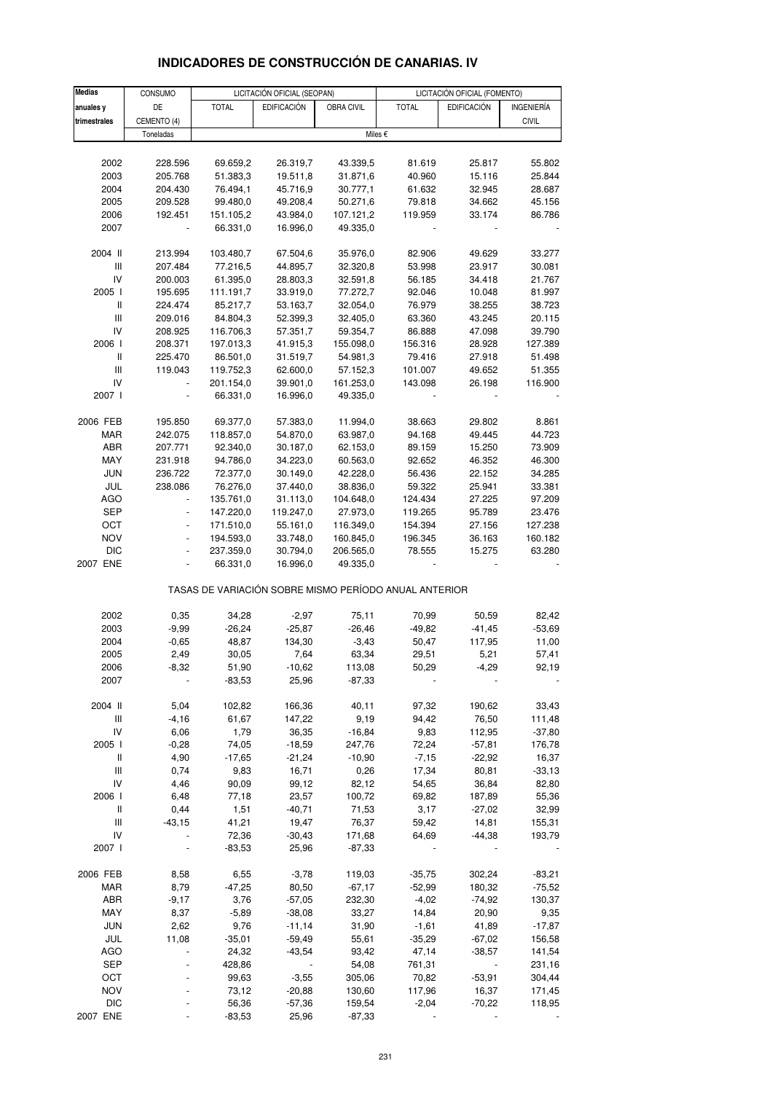| <b>Medias</b>                           | CONSUMO            |                                                       | LICITACIÓN OFICIAL (SEOPAN) |                      | LICITACIÓN OFICIAL (FOMENTO) |                    |                   |
|-----------------------------------------|--------------------|-------------------------------------------------------|-----------------------------|----------------------|------------------------------|--------------------|-------------------|
| anuales y                               | DE                 | <b>TOTAL</b>                                          | EDIFICACIÓN                 | OBRA CIVIL           | <b>TOTAL</b>                 | <b>EDIFICACIÓN</b> | INGENIERÍA        |
| trimestrales                            | CEMENTO (4)        |                                                       |                             |                      |                              |                    | <b>CIVIL</b>      |
|                                         | Toneladas          |                                                       |                             |                      | Miles €                      |                    |                   |
|                                         |                    |                                                       |                             |                      |                              |                    |                   |
| 2002                                    | 228.596            | 69.659,2                                              | 26.319,7                    | 43.339,5             | 81.619                       | 25.817             | 55.802            |
| 2003                                    | 205.768            | 51.383,3                                              | 19.511,8                    | 31.871,6             | 40.960                       | 15.116             | 25.844            |
| 2004                                    | 204.430            | 76.494,1                                              | 45.716,9                    | 30.777,1             | 61.632                       | 32.945             | 28.687            |
| 2005                                    | 209.528            | 99.480,0                                              | 49.208,4                    | 50.271,6             | 79.818                       | 34.662             | 45.156            |
| 2006                                    | 192.451            | 151.105,2                                             | 43.984,0                    | 107.121,2            | 119.959                      | 33.174             | 86.786            |
| 2007                                    |                    | 66.331,0                                              | 16.996,0                    | 49.335,0             |                              |                    |                   |
|                                         |                    |                                                       |                             |                      |                              |                    |                   |
| 2004 II                                 | 213.994            | 103.480,7                                             | 67.504,6                    | 35.976,0             | 82.906                       | 49.629             | 33.277            |
| Ш                                       | 207.484            | 77.216,5                                              | 44.895,7                    | 32.320,8             | 53.998                       | 23.917             | 30.081            |
| IV                                      | 200.003            | 61.395,0                                              | 28.803,3                    | 32.591,8             | 56.185                       | 34.418             | 21.767            |
| 2005 l                                  | 195.695            | 111.191,7                                             | 33.919,0                    | 77.272,7             | 92.046                       | 10.048             | 81.997            |
| $\,$ $\,$ $\,$ $\,$                     | 224.474            | 85.217,7                                              | 53.163,7                    | 32.054,0             | 76.979                       | 38.255             | 38.723            |
| Ш                                       | 209.016            | 84.804,3                                              | 52.399,3                    | 32.405,0             | 63.360                       | 43.245             | 20.115            |
| IV                                      | 208.925            | 116.706,3                                             | 57.351,7                    | 59.354,7             | 86.888                       | 47.098             | 39.790            |
| 2006                                    | 208.371            | 197.013,3                                             | 41.915,3                    | 155.098,0            | 156.316                      | 28.928<br>27.918   | 127.389<br>51.498 |
| Ш<br>$\ensuremath{\mathsf{III}}\xspace$ | 225.470<br>119.043 | 86.501,0<br>119.752,3                                 | 31.519,7<br>62.600,0        | 54.981,3<br>57.152,3 | 79.416<br>101.007            | 49.652             | 51.355            |
| IV                                      | ÷,                 | 201.154,0                                             | 39.901,0                    | 161.253,0            | 143.098                      | 26.198             | 116.900           |
| 2007 l                                  |                    | 66.331,0                                              | 16.996,0                    | 49.335,0             |                              |                    |                   |
|                                         |                    |                                                       |                             |                      |                              |                    |                   |
| 2006 FEB                                | 195.850            | 69.377,0                                              | 57.383,0                    | 11.994,0             | 38.663                       | 29.802             | 8.861             |
| MAR                                     | 242.075            | 118.857,0                                             | 54.870,0                    | 63.987,0             | 94.168                       | 49.445             | 44.723            |
| ABR                                     | 207.771            | 92.340,0                                              | 30.187,0                    | 62.153,0             | 89.159                       | 15.250             | 73.909            |
| MAY                                     | 231.918            | 94.786,0                                              | 34.223,0                    | 60.563,0             | 92.652                       | 46.352             | 46.300            |
| <b>JUN</b>                              | 236.722            | 72.377,0                                              | 30.149,0                    | 42.228,0             | 56.436                       | 22.152             | 34.285            |
| JUL                                     | 238.086            | 76.276,0                                              | 37.440,0                    | 38.836,0             | 59.322                       | 25.941             | 33.381            |
| <b>AGO</b>                              | $\blacksquare$     | 135.761,0                                             | 31.113,0                    | 104.648,0            | 124.434                      | 27.225             | 97.209            |
| <b>SEP</b>                              | $\blacksquare$     | 147.220,0                                             | 119.247,0                   | 27.973,0             | 119.265                      | 95.789             | 23.476            |
| OCT                                     |                    | 171.510,0                                             | 55.161,0                    | 116.349,0            | 154.394                      | 27.156             | 127.238           |
| <b>NOV</b>                              | $\blacksquare$     | 194.593,0                                             | 33.748,0                    | 160.845,0            | 196.345                      | 36.163             | 160.182           |
| <b>DIC</b>                              |                    | 237.359,0                                             | 30.794,0                    | 206.565,0            | 78.555                       | 15.275             | 63.280            |
| 2007 ENE                                |                    | 66.331,0                                              | 16.996,0                    | 49.335,0             |                              |                    |                   |
|                                         |                    | TASAS DE VARIACIÓN SOBRE MISMO PERÍODO ANUAL ANTERIOR |                             |                      |                              |                    |                   |
|                                         |                    |                                                       |                             |                      |                              |                    |                   |
| 2002                                    | 0,35               | 34,28                                                 | $-2,97$                     | 75,11                | 70,99                        | 50,59              | 82,42             |
| 2003                                    | $-9,99$            | $-26,24$                                              | $-25,87$                    | $-26,46$             | $-49,82$                     | $-41,45$           | $-53,69$          |
| 2004                                    | $-0,65$            | 48,87                                                 | 134,30                      | $-3,43$              | 50,47                        | 117,95             | 11,00             |
| 2005                                    | 2,49               | 30,05                                                 | 7,64                        | 63,34                | 29,51                        | 5,21               | 57,41             |
| 2006                                    | -8,32              | 51,90                                                 | -10,62                      | 113,08               | 50,29                        | -4,29              | 92,19             |
| 2007                                    |                    | $-83,53$                                              | 25,96                       | $-87,33$             |                              |                    |                   |
|                                         |                    |                                                       |                             |                      |                              |                    |                   |
| 2004 II                                 | 5,04               | 102,82                                                | 166,36                      | 40,11                | 97,32                        | 190,62             | 33,43             |
| Ш                                       | $-4,16$            | 61,67                                                 | 147,22                      | 9,19                 | 94,42                        | 76,50              | 111,48            |
| IV                                      | 6,06               | 1,79                                                  | 36,35                       | $-16,84$             | 9,83                         | 112,95             | $-37,80$          |
| 2005                                    | $-0,28$            | 74,05                                                 | $-18,59$                    | 247,76               | 72,24                        | $-57,81$           | 176,78            |
| Ш                                       | 4,90               | $-17,65$                                              | $-21,24$                    | $-10,90$             | $-7,15$                      | $-22,92$           | 16,37             |
| $\ensuremath{\mathsf{III}}\xspace$      | 0,74               | 9,83                                                  | 16,71                       | 0,26                 | 17,34                        | 80,81              | $-33,13$          |
| IV                                      | 4,46               | 90,09                                                 | 99,12                       | 82,12                | 54,65                        | 36,84              | 82,80             |
| 2006                                    | 6,48               | 77,18                                                 | 23,57                       | 100,72               | 69,82                        | 187,89             | 55,36             |
| Ш<br>Ш                                  | 0,44<br>$-43, 15$  | 1,51                                                  | $-40,71$<br>19,47           | 71,53<br>76,37       | 3,17<br>59,42                | $-27,02$           | 32,99             |
| IV                                      |                    | 41,21<br>72,36                                        | $-30,43$                    | 171,68               | 64,69                        | 14,81<br>$-44,38$  | 155,31<br>193,79  |
| 2007 l                                  |                    | $-83,53$                                              | 25,96                       | $-87,33$             |                              |                    |                   |
|                                         |                    |                                                       |                             |                      |                              |                    |                   |
| 2006 FEB                                | 8,58               | 6,55                                                  | $-3,78$                     | 119,03               | $-35,75$                     | 302,24             | $-83,21$          |
| MAR                                     | 8,79               | $-47,25$                                              | 80,50                       | $-67,17$             | $-52,99$                     | 180,32             | $-75,52$          |
| ABR                                     | $-9,17$            | 3,76                                                  | $-57,05$                    | 232,30               | $-4,02$                      | $-74,92$           | 130,37            |
| MAY                                     | 8,37               | $-5,89$                                               | $-38,08$                    | 33,27                | 14,84                        | 20,90              | 9,35              |
| <b>JUN</b>                              | 2,62               | 9,76                                                  | $-11,14$                    | 31,90                | $-1,61$                      | 41,89              | $-17,87$          |
| JUL                                     | 11,08              | $-35,01$                                              | $-59,49$                    | 55,61                | $-35,29$                     | $-67,02$           | 156,58            |
| <b>AGO</b>                              |                    | 24,32                                                 | $-43,54$                    | 93,42                | 47,14                        | $-38,57$           | 141,54            |
| <b>SEP</b>                              |                    | 428,86                                                |                             | 54,08                | 761,31                       |                    | 231,16            |
| OCT                                     |                    | 99,63                                                 | $-3,55$                     | 305,06               | 70,82                        | $-53,91$           | 304,44            |
| <b>NOV</b>                              |                    | 73,12                                                 | $-20,88$                    | 130,60               | 117,96                       | 16,37              | 171,45            |
| <b>DIC</b>                              |                    | 56,36                                                 | $-57,36$                    | 159,54               | $-2,04$                      | $-70,22$           | 118,95            |

### **INDICADORES DE CONSTRUCCIÓN DE CANARIAS. IV**

2007 ENE - -83,53 25,96 -87,33 - - -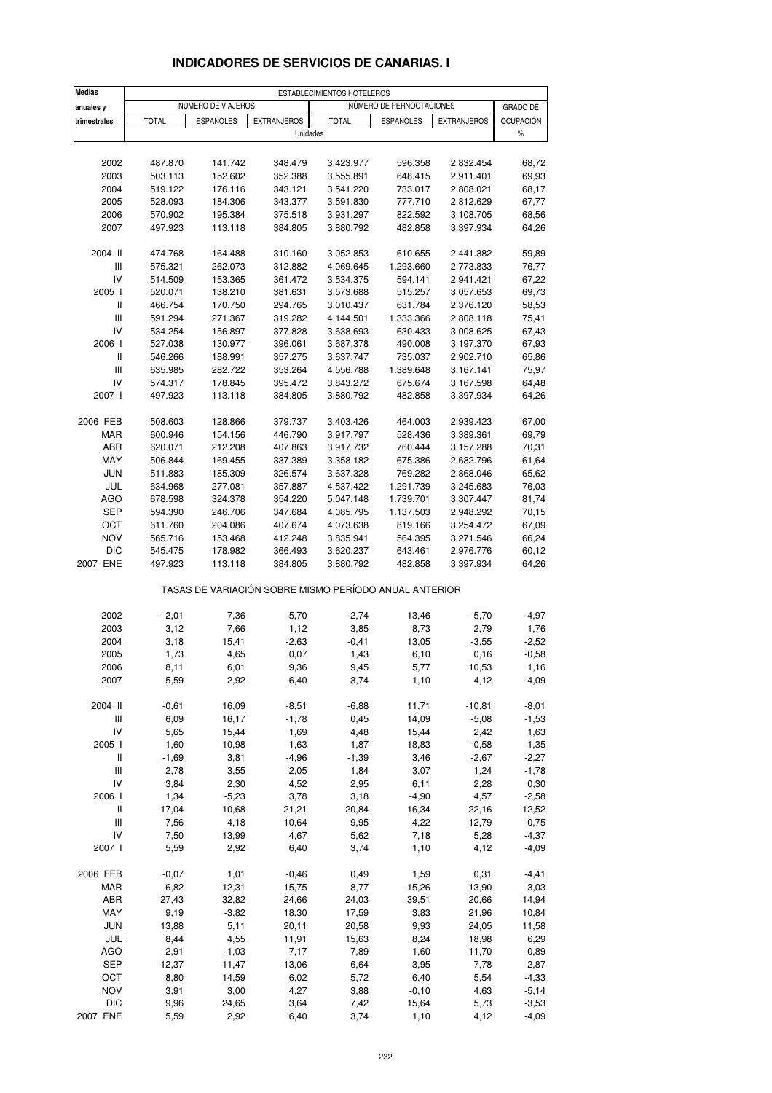| <b>Medias</b>                      | ESTABLECIMIENTOS HOTELEROS |                    |                    |                        |                                                       |                        |                  |  |
|------------------------------------|----------------------------|--------------------|--------------------|------------------------|-------------------------------------------------------|------------------------|------------------|--|
| anuales y                          |                            | NÚMERO DE VIAJEROS |                    |                        | NÚMERO DE PERNOCTACIONES                              |                        | <b>GRADO DE</b>  |  |
| trimestrales                       | <b>TOTAL</b>               | <b>ESPAÑOLES</b>   | <b>EXTRANJEROS</b> | <b>TOTAL</b>           | <b>ESPAÑOLES</b>                                      | <b>EXTRANJEROS</b>     | <b>OCUPACIÓN</b> |  |
|                                    |                            |                    |                    | Unidades               |                                                       |                        | $\%$             |  |
|                                    |                            |                    |                    |                        |                                                       |                        |                  |  |
| 2002                               | 487.870                    | 141.742            | 348.479            | 3.423.977              | 596.358                                               | 2.832.454              | 68,72            |  |
| 2003                               | 503.113                    | 152.602            | 352.388            | 3.555.891              | 648.415                                               | 2.911.401              | 69,93            |  |
| 2004                               | 519.122                    | 176.116            | 343.121            | 3.541.220              | 733.017                                               | 2.808.021              | 68,17            |  |
| 2005                               | 528.093                    | 184.306            | 343.377            | 3.591.830              | 777.710                                               | 2.812.629              | 67,77            |  |
| 2006                               | 570.902                    | 195.384            | 375.518            | 3.931.297              | 822.592                                               | 3.108.705              | 68,56            |  |
| 2007                               | 497.923                    | 113.118            | 384.805            | 3.880.792              | 482.858                                               | 3.397.934              | 64,26            |  |
|                                    |                            |                    |                    |                        |                                                       |                        |                  |  |
| 2004 II                            | 474.768                    | 164.488            | 310.160            | 3.052.853              | 610.655                                               | 2.441.382              | 59,89            |  |
| Ш                                  | 575.321                    | 262.073            | 312.882            | 4.069.645              | 1.293.660                                             | 2.773.833              | 76,77            |  |
| IV                                 | 514.509                    | 153.365            | 361.472            | 3.534.375              | 594.141                                               | 2.941.421              | 67,22            |  |
| 2005 l                             | 520.071                    | 138.210            | 381.631            | 3.573.688              | 515.257                                               | 3.057.653              | 69,73            |  |
| Ш                                  | 466.754                    | 170.750            | 294.765            | 3.010.437              | 631.784                                               | 2.376.120              | 58,53            |  |
| Ш                                  | 591.294                    | 271.367            | 319.282            | 4.144.501              | 1.333.366                                             | 2.808.118              | 75,41            |  |
| IV                                 | 534.254                    | 156.897            | 377.828            | 3.638.693              | 630.433                                               | 3.008.625              | 67,43            |  |
| 2006                               | 527.038                    | 130.977            | 396.061            | 3.687.378              | 490.008                                               | 3.197.370              | 67,93            |  |
| Ш                                  | 546.266                    | 188.991            | 357.275            | 3.637.747              | 735.037                                               | 2.902.710              | 65,86            |  |
| Ш                                  | 635.985                    | 282.722            | 353.264            | 4.556.788              | 1.389.648                                             | 3.167.141              | 75,97            |  |
| IV                                 | 574.317                    | 178.845            | 395.472            | 3.843.272              | 675.674                                               | 3.167.598              | 64,48            |  |
| 2007 l                             | 497.923                    | 113.118            | 384.805            | 3.880.792              | 482.858                                               | 3.397.934              | 64,26            |  |
|                                    |                            |                    |                    |                        |                                                       |                        |                  |  |
| 2006 FEB                           | 508.603                    | 128.866            | 379.737<br>446.790 | 3.403.426              | 464.003                                               | 2.939.423              | 67,00            |  |
| <b>MAR</b><br>ABR                  | 600.946<br>620.071         | 154.156<br>212.208 | 407.863            | 3.917.797<br>3.917.732 | 528.436<br>760.444                                    | 3.389.361<br>3.157.288 | 69,79<br>70,31   |  |
| MAY                                | 506.844                    | 169.455            | 337.389            | 3.358.182              | 675.386                                               | 2.682.796              | 61,64            |  |
| <b>JUN</b>                         | 511.883                    | 185.309            | 326.574            | 3.637.328              | 769.282                                               | 2.868.046              | 65,62            |  |
| JUL                                | 634.968                    | 277.081            | 357.887            | 4.537.422              | 1.291.739                                             | 3.245.683              | 76,03            |  |
| <b>AGO</b>                         | 678.598                    | 324.378            | 354.220            | 5.047.148              | 1.739.701                                             | 3.307.447              | 81,74            |  |
| <b>SEP</b>                         | 594.390                    | 246.706            | 347.684            | 4.085.795              | 1.137.503                                             | 2.948.292              | 70,15            |  |
| ОСТ                                | 611.760                    | 204.086            | 407.674            | 4.073.638              | 819.166                                               | 3.254.472              | 67,09            |  |
| <b>NOV</b>                         | 565.716                    | 153.468            | 412.248            | 3.835.941              | 564.395                                               | 3.271.546              | 66,24            |  |
| <b>DIC</b>                         | 545.475                    | 178.982            | 366.493            | 3.620.237              | 643.461                                               | 2.976.776              | 60,12            |  |
| 2007 ENE                           | 497.923                    | 113.118            | 384.805            | 3.880.792              | 482.858                                               | 3.397.934              | 64,26            |  |
|                                    |                            |                    |                    |                        | TASAS DE VARIACIÓN SOBRE MISMO PERÍODO ANUAL ANTERIOR |                        |                  |  |
| 2002                               | $-2,01$                    | 7,36               | $-5,70$            | $-2,74$                | 13,46                                                 | $-5,70$                | $-4,97$          |  |
| 2003                               | 3,12                       | 7,66               | 1,12               | 3,85                   | 8,73                                                  | 2,79                   | 1,76             |  |
| 2004                               | 3,18                       | 15,41              | $-2,63$            | $-0,41$                | 13,05                                                 | $-3,55$                | $-2,52$          |  |
| 2005                               | 1,73                       | 4,65               | 0,07               | 1,43                   | 6,10                                                  | 0, 16                  | $-0,58$          |  |
| 2006                               | 8,11                       | 6,01               | 9,36               | 9,45                   | 5,77                                                  | 10,53                  | 1,16             |  |
| 2007                               | 5,59                       | 2,92               | 6,40               | 3,74                   | 1,10                                                  | 4,12                   | $-4,09$          |  |
|                                    |                            |                    |                    |                        |                                                       |                        |                  |  |
| 2004 II                            | $-0,61$                    | 16,09              | $-8,51$            | $-6,88$                | 11,71                                                 | $-10,81$               | $-8,01$          |  |
| $\ensuremath{\mathsf{III}}\xspace$ | 6,09                       | 16,17              | $-1,78$            | 0,45                   | 14,09                                                 | $-5,08$                | $-1,53$          |  |
| IV                                 | 5,65                       | 15,44              | 1,69               | 4,48                   | 15,44                                                 | 2,42                   | 1,63             |  |
| 2005 l<br>Ш                        | 1,60<br>$-1,69$            | 10,98<br>3,81      | $-1,63$<br>$-4,96$ | 1,87<br>$-1,39$        | 18,83<br>3,46                                         | $-0,58$<br>$-2,67$     | 1,35<br>$-2,27$  |  |
| Ш                                  | 2,78                       | 3,55               | 2,05               | 1,84                   | 3,07                                                  | 1,24                   | $-1,78$          |  |
| IV                                 | 3,84                       | 2,30               | 4,52               | 2,95                   | 6,11                                                  | 2,28                   | 0,30             |  |
| 2006 l                             | 1,34                       | $-5,23$            | 3,78               | 3,18                   | $-4,90$                                               | 4,57                   | $-2,58$          |  |
| Ш                                  | 17,04                      | 10,68              | 21,21              | 20,84                  | 16,34                                                 | 22,16                  | 12,52            |  |
| $\ensuremath{\mathsf{III}}\xspace$ | 7,56                       | 4,18               | 10,64              | 9,95                   | 4,22                                                  | 12,79                  | 0,75             |  |
| IV                                 | 7,50                       | 13,99              | 4,67               | 5,62                   | 7,18                                                  | 5,28                   | $-4,37$          |  |
| 2007 l                             | 5,59                       | 2,92               | 6,40               | 3,74                   | 1,10                                                  | 4,12                   | $-4,09$          |  |
|                                    |                            |                    |                    |                        |                                                       |                        |                  |  |
| 2006 FEB                           | $-0,07$                    | 1,01               | $-0,46$            | 0,49                   | 1,59                                                  | 0,31                   | $-4, 41$         |  |
| MAR                                | 6,82                       | $-12,31$           | 15,75              | 8,77                   | $-15,26$                                              | 13,90                  | 3,03             |  |
| ABR<br>MAY                         | 27,43<br>9,19              | 32,82<br>$-3,82$   | 24,66<br>18,30     | 24,03                  | 39,51<br>3,83                                         | 20,66<br>21,96         | 14,94            |  |
| <b>JUN</b>                         | 13,88                      | 5,11               | 20,11              | 17,59<br>20,58         | 9,93                                                  | 24,05                  | 10,84<br>11,58   |  |
| JUL                                | 8,44                       | 4,55               | 11,91              | 15,63                  | 8,24                                                  | 18,98                  | 6,29             |  |
| <b>AGO</b>                         | 2,91                       | $-1,03$            | 7,17               | 7,89                   | 1,60                                                  | 11,70                  | $-0,89$          |  |
| <b>SEP</b>                         | 12,37                      | 11,47              | 13,06              | 6,64                   | 3,95                                                  | 7,78                   | $-2,87$          |  |
| OCT                                | 8,80                       | 14,59              | 6,02               | 5,72                   | 6,40                                                  | 5,54                   | $-4,33$          |  |
| <b>NOV</b>                         | 3,91                       | 3,00               | 4,27               | 3,88                   | $-0,10$                                               | 4,63                   | $-5,14$          |  |
| <b>DIC</b>                         | 9,96                       | 24,65              | 3,64               | 7,42                   | 15,64                                                 | 5,73                   | $-3,53$          |  |
| 2007 ENE                           | 5,59                       | 2,92               | 6,40               | 3,74                   | 1,10                                                  | 4,12                   | $-4,09$          |  |

### **INDICADORES DE SERVICIOS DE CANARIAS. I**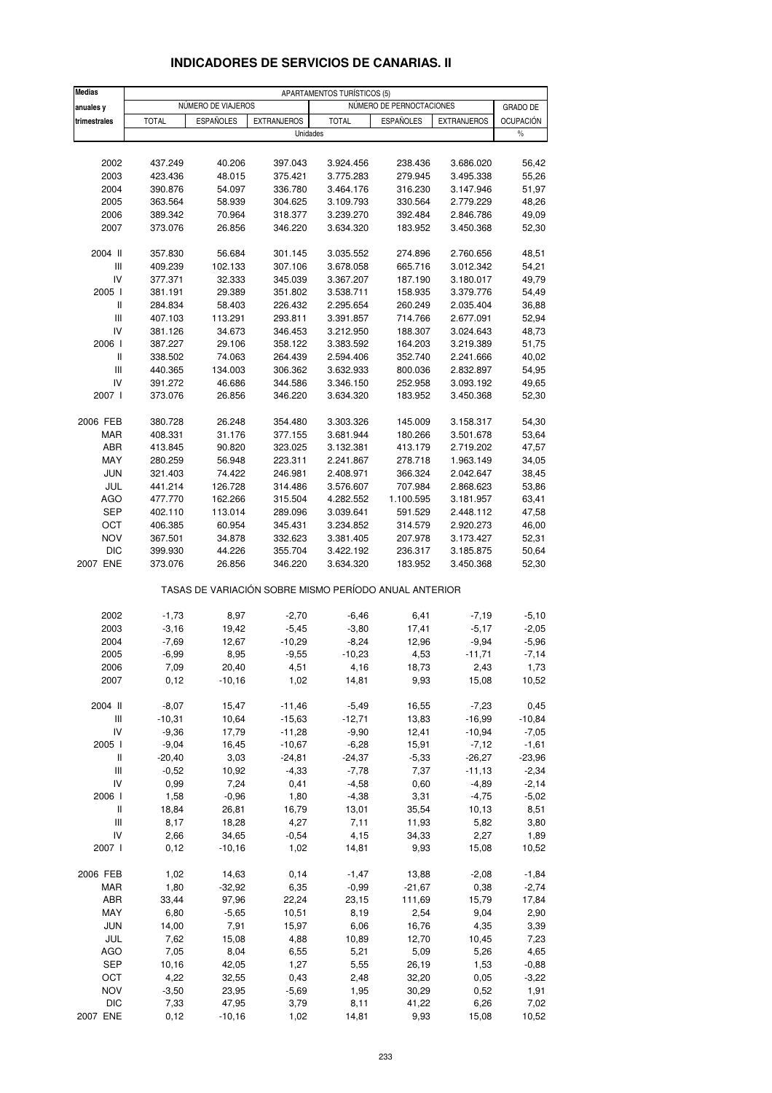| <b>Medias</b>                      | APARTAMENTOS TURÍSTICOS (5) |                    |                    |                        |                                                       |                        |                  |  |
|------------------------------------|-----------------------------|--------------------|--------------------|------------------------|-------------------------------------------------------|------------------------|------------------|--|
| anuales y                          |                             | NÚMERO DE VIAJEROS |                    |                        | NÚMERO DE PERNOCTACIONES                              |                        | <b>GRADO DE</b>  |  |
| trimestrales                       | <b>TOTAL</b>                | <b>ESPAÑOLES</b>   | <b>EXTRANJEROS</b> | <b>TOTAL</b>           | <b>ESPAÑOLES</b>                                      | <b>EXTRANJEROS</b>     | <b>OCUPACIÓN</b> |  |
|                                    |                             |                    |                    | Unidades               |                                                       |                        | $\%$             |  |
|                                    |                             |                    |                    |                        |                                                       |                        |                  |  |
| 2002                               | 437.249                     | 40.206             | 397.043            | 3.924.456              | 238.436                                               | 3.686.020              | 56,42            |  |
| 2003                               | 423.436                     | 48.015             | 375.421            | 3.775.283              | 279.945                                               | 3.495.338              | 55,26            |  |
| 2004                               | 390.876                     | 54.097             | 336.780            | 3.464.176              | 316.230                                               | 3.147.946              | 51,97            |  |
| 2005                               | 363.564                     | 58.939             | 304.625            | 3.109.793              | 330.564                                               | 2.779.229              | 48,26            |  |
| 2006                               | 389.342                     | 70.964             | 318.377            | 3.239.270              | 392.484                                               | 2.846.786              | 49,09            |  |
| 2007                               | 373.076                     | 26.856             | 346.220            | 3.634.320              | 183.952                                               | 3.450.368              | 52,30            |  |
| 2004 II                            | 357.830                     | 56.684             | 301.145            | 3.035.552              | 274.896                                               | 2.760.656              | 48,51            |  |
| Ш                                  | 409.239                     | 102.133            | 307.106            | 3.678.058              | 665.716                                               | 3.012.342              | 54,21            |  |
| IV                                 | 377.371                     | 32.333             | 345.039            | 3.367.207              | 187.190                                               | 3.180.017              | 49,79            |  |
| 2005 l<br>Ш                        | 381.191                     | 29.389             | 351.802            | 3.538.711              | 158.935                                               | 3.379.776              | 54,49            |  |
| Ш                                  | 284.834<br>407.103          | 58.403<br>113.291  | 226.432<br>293.811 | 2.295.654<br>3.391.857 | 260.249<br>714.766                                    | 2.035.404<br>2.677.091 | 36,88<br>52,94   |  |
| IV                                 | 381.126                     | 34.673             | 346.453            | 3.212.950              | 188.307                                               | 3.024.643              | 48,73            |  |
| 2006                               | 387.227                     | 29.106             | 358.122            | 3.383.592              | 164.203                                               | 3.219.389              | 51,75            |  |
| Ш                                  | 338.502                     | 74.063             | 264.439            | 2.594.406              | 352.740                                               | 2.241.666              | 40,02            |  |
| Ш                                  | 440.365                     | 134.003            | 306.362            | 3.632.933              | 800.036                                               | 2.832.897              | 54,95            |  |
| IV                                 | 391.272                     | 46.686             | 344.586            | 3.346.150              | 252.958                                               | 3.093.192              | 49,65            |  |
| 2007 l                             | 373.076                     | 26.856             | 346.220            | 3.634.320              | 183.952                                               | 3.450.368              | 52,30            |  |
|                                    |                             |                    |                    |                        |                                                       |                        |                  |  |
| 2006 FEB                           | 380.728                     | 26.248             | 354.480            | 3.303.326              | 145.009                                               | 3.158.317              | 54,30            |  |
| <b>MAR</b>                         | 408.331                     | 31.176             | 377.155            | 3.681.944              | 180.266                                               | 3.501.678              | 53,64            |  |
| ABR                                | 413.845                     | 90.820             | 323.025            | 3.132.381              | 413.179                                               | 2.719.202              | 47,57            |  |
| MAY                                | 280.259                     | 56.948             | 223.311            | 2.241.867              | 278.718                                               | 1.963.149              | 34,05            |  |
| <b>JUN</b>                         | 321.403                     | 74.422             | 246.981            | 2.408.971              | 366.324                                               | 2.042.647              | 38,45            |  |
| JUL                                | 441.214                     | 126.728            | 314.486            | 3.576.607              | 707.984                                               | 2.868.623              | 53,86            |  |
| <b>AGO</b>                         | 477.770                     | 162.266            | 315.504            | 4.282.552              | 1.100.595                                             | 3.181.957              | 63,41            |  |
| <b>SEP</b>                         | 402.110                     | 113.014            | 289.096            | 3.039.641              | 591.529                                               | 2.448.112              | 47,58            |  |
| OCT                                | 406.385                     | 60.954             | 345.431            | 3.234.852              | 314.579                                               | 2.920.273              | 46,00            |  |
| <b>NOV</b><br><b>DIC</b>           | 367.501                     | 34.878             | 332.623<br>355.704 | 3.381.405              | 207.978                                               | 3.173.427              | 52,31<br>50,64   |  |
| 2007 ENE                           | 399.930<br>373.076          | 44.226<br>26.856   | 346.220            | 3.422.192<br>3.634.320 | 236.317<br>183.952                                    | 3.185.875<br>3.450.368 | 52,30            |  |
|                                    |                             |                    |                    |                        | TASAS DE VARIACIÓN SOBRE MISMO PERÍODO ANUAL ANTERIOR |                        |                  |  |
| 2002                               | $-1,73$                     | 8,97               | $-2,70$            | $-6,46$                | 6,41                                                  | $-7,19$                | $-5,10$          |  |
| 2003                               | $-3,16$                     | 19,42              | $-5,45$            | $-3,80$                | 17,41                                                 | $-5,17$                | $-2,05$          |  |
| 2004                               | $-7,69$                     | 12,67              | $-10,29$           | $-8,24$                | 12,96                                                 | $-9,94$                | $-5,96$          |  |
| 2005                               | $-6,99$                     | 8,95               | $-9,55$            | $-10,23$               | 4,53                                                  | $-11,71$               | $-7,14$          |  |
| 2006                               | 7,09                        | 20,40              | 4,51               | 4,16                   | 18,73                                                 | 2,43                   | 1,73             |  |
| 2007                               | 0,12                        | $-10,16$           | 1,02               | 14,81                  | 9,93                                                  | 15,08                  | 10,52            |  |
| 2004 II                            | $-8,07$                     | 15,47              | $-11,46$           | $-5,49$                | 16,55                                                 | $-7,23$                | 0,45             |  |
| $\ensuremath{\mathsf{III}}\xspace$ | $-10,31$                    | 10,64              | $-15,63$           | $-12,71$               | 13,83                                                 | $-16,99$               | $-10,84$         |  |
| IV                                 | $-9,36$                     | 17,79              | $-11,28$           | $-9,90$                | 12,41                                                 | $-10,94$               | $-7,05$          |  |
| 2005 l                             | $-9,04$                     | 16,45              | $-10,67$           | $-6,28$                | 15,91                                                 | $-7,12$                | $-1,61$          |  |
| Ш                                  | $-20,40$                    | 3,03               | $-24,81$           | $-24,37$               | $-5,33$                                               | $-26,27$               | $-23,96$         |  |
| Ш                                  | $-0,52$                     | 10,92              | $-4,33$            | $-7,78$                | 7,37                                                  | $-11,13$               | $-2,34$          |  |
| IV                                 | 0,99                        | 7,24               | 0,41               | $-4,58$                | 0,60                                                  | $-4,89$                | $-2,14$          |  |
| 2006 l                             | 1,58                        | $-0,96$            | 1,80               | $-4,38$                | 3,31                                                  | $-4,75$                | $-5,02$          |  |
| Ш                                  | 18,84                       | 26,81              | 16,79              | 13,01                  | 35,54                                                 | 10,13                  | 8,51             |  |
| Ш                                  | 8,17                        | 18,28              | 4,27               | 7,11                   | 11,93                                                 | 5,82                   | 3,80             |  |
| IV                                 | 2,66                        | 34,65              | $-0,54$            | 4,15                   | 34,33                                                 | 2,27                   | 1,89             |  |
| 2007 l                             | 0,12                        | $-10,16$           | 1,02               | 14,81                  | 9,93                                                  | 15,08                  | 10,52            |  |
| 2006 FEB                           | 1,02                        | 14,63              | 0,14               | $-1,47$                | 13,88                                                 | $-2,08$                | $-1,84$          |  |
| <b>MAR</b>                         | 1,80                        | $-32,92$           | 6,35               | $-0,99$                | $-21,67$                                              | 0,38                   | $-2,74$          |  |
| ABR                                | 33,44                       | 97,96              | 22,24              | 23,15                  | 111,69                                                | 15,79                  | 17,84            |  |
| MAY                                | 6,80                        | $-5,65$            | 10,51              | 8,19                   | 2,54                                                  | 9,04                   | 2,90             |  |
| <b>JUN</b>                         | 14,00                       | 7,91               | 15,97              | 6,06                   | 16,76                                                 | 4,35                   | 3,39             |  |
| JUL                                | 7,62                        | 15,08              | 4,88               | 10,89                  | 12,70                                                 | 10,45                  | 7,23             |  |
| <b>AGO</b>                         | 7,05                        | 8,04               | 6,55               | 5,21                   | 5,09                                                  | 5,26                   | 4,65             |  |
| <b>SEP</b>                         | 10,16                       | 42,05              | 1,27               | 5,55                   | 26,19                                                 | 1,53                   | $-0,88$          |  |
| OCT                                | 4,22                        | 32,55              | 0,43               | 2,48                   | 32,20                                                 | 0,05                   | $-3,22$          |  |
| <b>NOV</b>                         | $-3,50$                     | 23,95              | $-5,69$            | 1,95                   | 30,29                                                 | 0,52                   | 1,91             |  |
| <b>DIC</b>                         | 7,33                        | 47,95              | 3,79               | 8,11                   | 41,22                                                 | 6,26                   | 7,02             |  |
| 2007 ENE                           | 0,12                        | $-10,16$           | 1,02               | 14,81                  | 9,93                                                  | 15,08                  | 10,52            |  |

### **INDICADORES DE SERVICIOS DE CANARIAS. II**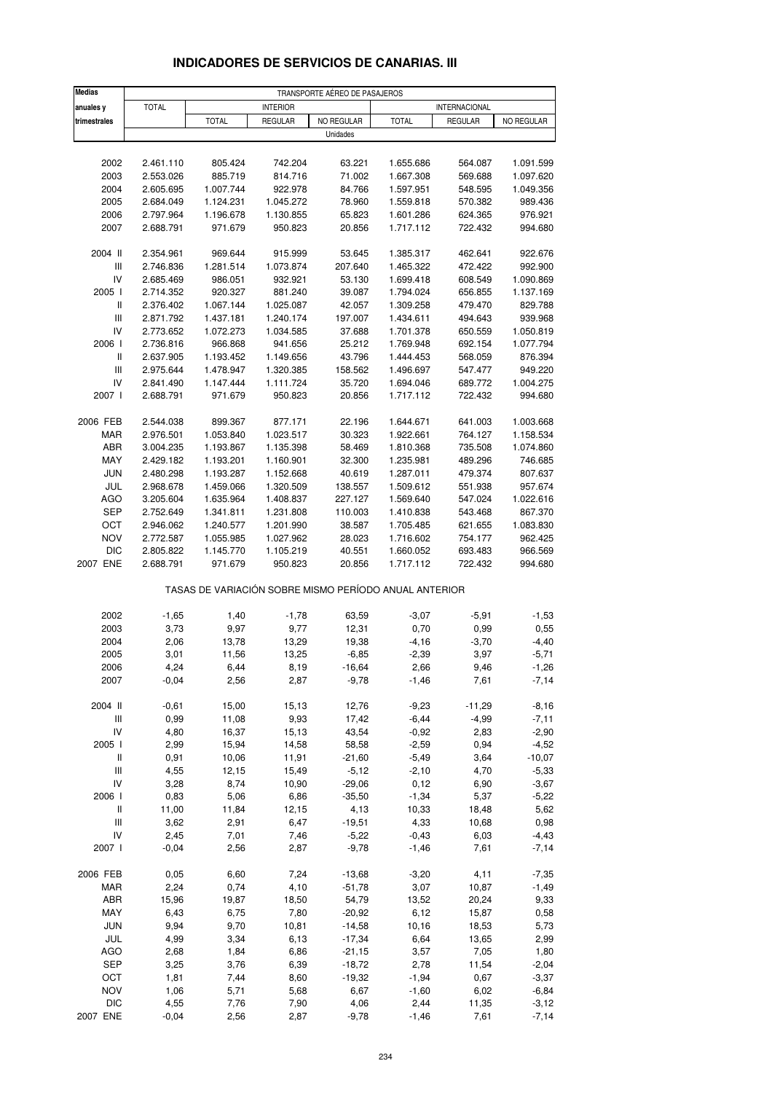| <b>Medias</b>                      | TRANSPORTE AÉREO DE PASAJEROS |                                                       |                      |                      |                        |                    |                    |
|------------------------------------|-------------------------------|-------------------------------------------------------|----------------------|----------------------|------------------------|--------------------|--------------------|
| anuales y                          | <b>TOTAL</b>                  |                                                       | <b>INTERIOR</b>      |                      |                        | INTERNACIONAL      |                    |
| trimestrales                       |                               | <b>TOTAL</b>                                          | REGULAR              | NO REGULAR           | <b>TOTAL</b>           | <b>REGULAR</b>     | NO REGULAR         |
|                                    |                               |                                                       |                      | Unidades             |                        |                    |                    |
|                                    |                               |                                                       |                      |                      |                        |                    |                    |
| 2002                               | 2.461.110                     | 805.424                                               | 742.204              | 63.221               | 1.655.686              | 564.087            | 1.091.599          |
| 2003                               | 2.553.026                     | 885.719                                               | 814.716              | 71.002               | 1.667.308              | 569.688            | 1.097.620          |
| 2004                               | 2.605.695                     | 1.007.744                                             | 922.978              | 84.766               | 1.597.951              | 548.595            | 1.049.356          |
| 2005                               | 2.684.049                     | 1.124.231                                             | 1.045.272            | 78.960               | 1.559.818              | 570.382            | 989.436            |
| 2006                               | 2.797.964                     | 1.196.678                                             | 1.130.855            | 65.823               | 1.601.286              | 624.365            | 976.921            |
| 2007                               | 2.688.791                     | 971.679                                               | 950.823              | 20.856               | 1.717.112              | 722.432            | 994.680            |
| 2004 II                            | 2.354.961                     | 969.644                                               | 915.999              | 53.645               | 1.385.317              | 462.641            | 922.676            |
| Ш                                  | 2.746.836                     | 1.281.514                                             | 1.073.874            | 207.640              | 1.465.322              | 472.422            | 992.900            |
| IV                                 | 2.685.469                     | 986.051                                               | 932.921              | 53.130               | 1.699.418              | 608.549            | 1.090.869          |
| 2005 l                             | 2.714.352                     | 920.327                                               | 881.240              | 39.087               | 1.794.024              | 656.855            | 1.137.169          |
| $\, \parallel$                     | 2.376.402                     | 1.067.144                                             | 1.025.087            | 42.057               | 1.309.258              | 479.470            | 829.788            |
| Ш                                  | 2.871.792                     | 1.437.181                                             | 1.240.174            | 197.007              | 1.434.611              | 494.643            | 939.968            |
| IV                                 | 2.773.652                     | 1.072.273                                             | 1.034.585            | 37.688               | 1.701.378              | 650.559            | 1.050.819          |
| 2006                               | 2.736.816                     | 966.868                                               | 941.656              | 25.212               | 1.769.948              | 692.154            | 1.077.794          |
| Ш                                  | 2.637.905                     | 1.193.452                                             | 1.149.656            | 43.796               | 1.444.453              | 568.059            | 876.394            |
| $\ensuremath{\mathsf{III}}\xspace$ | 2.975.644                     | 1.478.947                                             | 1.320.385            | 158.562              | 1.496.697              | 547.477            | 949.220            |
| IV                                 | 2.841.490                     | 1.147.444                                             | 1.111.724            | 35.720               | 1.694.046              | 689.772            | 1.004.275          |
| 2007 l                             | 2.688.791                     | 971.679                                               | 950.823              | 20.856               | 1.717.112              | 722.432            | 994.680            |
| 2006 FEB                           | 2.544.038                     | 899.367                                               | 877.171              | 22.196               | 1.644.671              | 641.003            | 1.003.668          |
| MAR                                | 2.976.501                     | 1.053.840                                             | 1.023.517            | 30.323               | 1.922.661              | 764.127            | 1.158.534          |
| ABR                                | 3.004.235                     | 1.193.867                                             | 1.135.398            | 58.469               | 1.810.368              | 735.508            | 1.074.860          |
| MAY                                | 2.429.182                     | 1.193.201                                             | 1.160.901            | 32.300               | 1.235.981              | 489.296            | 746.685            |
| <b>JUN</b>                         | 2.480.298                     | 1.193.287                                             | 1.152.668            | 40.619               | 1.287.011              | 479.374            | 807.637            |
| JUL                                | 2.968.678                     | 1.459.066                                             | 1.320.509            | 138.557              | 1.509.612              | 551.938            | 957.674            |
| <b>AGO</b>                         | 3.205.604                     | 1.635.964                                             | 1.408.837            | 227.127              | 1.569.640              | 547.024            | 1.022.616          |
| <b>SEP</b>                         | 2.752.649                     | 1.341.811                                             | 1.231.808            | 110.003              | 1.410.838              | 543.468            | 867.370            |
| OCT                                | 2.946.062                     | 1.240.577                                             | 1.201.990            | 38.587               | 1.705.485              | 621.655            | 1.083.830          |
| <b>NOV</b>                         | 2.772.587                     | 1.055.985                                             | 1.027.962            | 28.023               | 1.716.602              | 754.177            | 962.425            |
| <b>DIC</b><br>2007 ENE             | 2.805.822<br>2.688.791        | 1.145.770<br>971.679                                  | 1.105.219<br>950.823 | 40.551<br>20.856     | 1.660.052<br>1.717.112 | 693.483<br>722.432 | 966.569<br>994.680 |
|                                    |                               |                                                       |                      |                      |                        |                    |                    |
|                                    |                               | TASAS DE VARIACIÓN SOBRE MISMO PERÍODO ANUAL ANTERIOR |                      |                      |                        |                    |                    |
| 2002                               | $-1,65$                       | 1,40                                                  | $-1,78$              | 63,59                | $-3,07$                | $-5,91$            | $-1,53$            |
| 2003                               | 3,73                          | 9,97                                                  | 9,77                 | 12,31                | 0,70                   | 0,99               | 0,55               |
| 2004                               | 2,06                          | 13,78                                                 | 13,29                | 19,38                | $-4,16$                | $-3,70$            | $-4,40$            |
| 2005                               | 3,01                          | 11,56                                                 | 13,25                | $-6,85$              | $-2,39$                | 3,97               | $-5,71$            |
| 2006                               | 4,24                          | 6,44                                                  | 8,19                 | -16,64               | 2,66                   | 9,46               | -1,26              |
| 2007                               | $-0,04$                       | 2,56                                                  | 2,87                 | $-9,78$              | $-1,46$                | 7,61               | $-7,14$            |
| 2004 II                            | $-0,61$                       | 15,00                                                 | 15,13                | 12,76                | $-9,23$                | $-11,29$           | $-8,16$            |
| $\ensuremath{\mathsf{III}}\xspace$ | 0,99                          | 11,08                                                 | 9,93                 | 17,42                | $-6,44$                | $-4,99$            | $-7,11$            |
| IV                                 | 4,80                          | 16,37                                                 | 15,13                | 43,54                | $-0,92$                | 2,83               | $-2,90$            |
| 2005 l                             | 2,99                          | 15,94                                                 | 14,58                | 58,58                | $-2,59$                | 0,94               | $-4,52$            |
| Ш                                  | 0,91                          | 10,06                                                 | 11,91                | $-21,60$             | $-5,49$                | 3,64               | $-10,07$           |
| $\ensuremath{\mathsf{III}}\xspace$ | 4,55                          | 12,15                                                 | 15,49                | $-5,12$              | $-2,10$                | 4,70               | $-5,33$            |
| IV                                 | 3,28                          | 8,74                                                  | 10,90                | $-29,06$             | 0,12                   | 6,90               | $-3,67$            |
| 2006 l                             | 0,83                          | 5,06                                                  | 6,86                 | $-35,50$             | $-1,34$                | 5,37               | $-5,22$            |
| $\, \parallel$                     | 11,00                         | 11,84                                                 | 12,15                | 4,13                 | 10,33                  | 18,48              | 5,62               |
| $\ensuremath{\mathsf{III}}\xspace$ | 3,62                          | 2,91                                                  | 6,47                 | $-19,51$             | 4,33                   | 10,68              | 0,98               |
| IV<br>2007 l                       | 2,45<br>$-0,04$               | 7,01<br>2,56                                          | 7,46<br>2,87         | $-5,22$<br>$-9,78$   | $-0,43$<br>$-1,46$     | 6,03<br>7,61       | $-4,43$<br>$-7,14$ |
|                                    |                               |                                                       |                      |                      |                        |                    |                    |
| 2006 FEB                           | 0,05                          | 6,60                                                  | 7,24                 | $-13,68$             | $-3,20$                | 4,11               | $-7,35$            |
| MAR                                | 2,24                          | 0,74                                                  | 4,10                 | $-51,78$             | 3,07                   | 10,87              | $-1,49$            |
| ABR                                | 15,96                         | 19,87                                                 | 18,50                | 54,79                | 13,52                  | 20,24              | 9,33               |
| MAY                                | 6,43                          | 6,75                                                  | 7,80                 | $-20,92$             | 6,12                   | 15,87              | 0,58               |
| <b>JUN</b><br>JUL                  | 9,94<br>4,99                  | 9,70<br>3,34                                          | 10,81<br>6,13        | $-14,58$<br>$-17,34$ | 10,16<br>6,64          | 18,53<br>13,65     | 5,73<br>2,99       |
| AGO                                | 2,68                          | 1,84                                                  | 6,86                 | $-21,15$             | 3,57                   | 7,05               | 1,80               |
| SEP                                | 3,25                          | 3,76                                                  | 6,39                 | $-18,72$             | 2,78                   | 11,54              | $-2,04$            |

#### **INDICADORES DE SERVICIOS DE CANARIAS. III**

OCT 1,81 7,44 8,60 -19,32 -1,94 0,67 -3,37 NOV 1,06 5,71 5,68 6,67 -1,60 6,02 -6,84 DIC 4,55 7,76 7,90 4,06 2,44 11,35 -3,12 2007 ENE -0,04 2,56 2,87 -9,78 -1,46 7,61 -7,14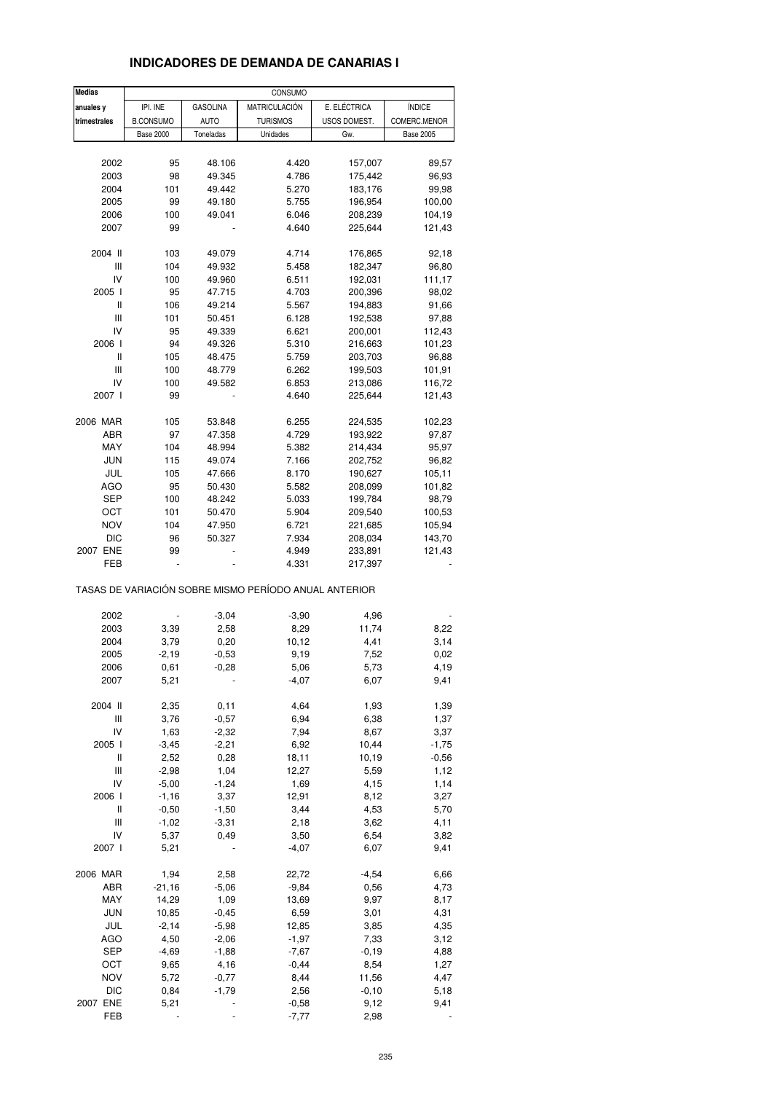### **INDICADORES DE DEMANDA DE CANARIAS I**

| <b>Medias</b>                      |                  |                 | CONSUMO                                               |              |                  |
|------------------------------------|------------------|-----------------|-------------------------------------------------------|--------------|------------------|
| anuales y                          | IPI. INE         | <b>GASOLINA</b> | MATRICULACIÓN                                         | E. ELÉCTRICA | ÍNDICE           |
| trimestrales                       | <b>B.CONSUMO</b> | <b>AUTO</b>     | <b>TURISMOS</b>                                       | USOS DOMEST. | COMERC.MENOR     |
|                                    | <b>Base 2000</b> | Toneladas       | Unidades                                              | Gw.          | <b>Base 2005</b> |
|                                    |                  |                 |                                                       |              |                  |
| 2002                               | 95               | 48.106          | 4.420                                                 | 157,007      | 89,57            |
| 2003                               | 98               | 49.345          | 4.786                                                 | 175,442      |                  |
| 2004                               | 101              |                 |                                                       |              | 96,93            |
|                                    |                  | 49.442          | 5.270                                                 | 183,176      | 99,98            |
| 2005                               | 99               | 49.180          | 5.755                                                 | 196,954      | 100,00           |
| 2006                               | 100              | 49.041          | 6.046                                                 | 208,239      | 104,19           |
| 2007                               | 99               |                 | 4.640                                                 | 225,644      | 121,43           |
| 2004 II                            | 103              | 49.079          | 4.714                                                 | 176,865      | 92,18            |
| Ш                                  | 104              | 49.932          | 5.458                                                 | 182,347      | 96,80            |
| IV                                 | 100              | 49.960          | 6.511                                                 | 192,031      | 111,17           |
| 2005 l                             | 95               | 47.715          | 4.703                                                 | 200,396      | 98,02            |
| Ш                                  | 106              | 49.214          | 5.567                                                 | 194,883      | 91,66            |
| $\ensuremath{\mathsf{III}}\xspace$ | 101              | 50.451          | 6.128                                                 | 192,538      | 97,88            |
| IV                                 | 95               | 49.339          | 6.621                                                 | 200,001      | 112,43           |
| 2006                               | 94               | 49.326          | 5.310                                                 | 216,663      | 101,23           |
| Ш                                  | 105              | 48.475          | 5.759                                                 | 203,703      | 96,88            |
| Ш                                  | 100              | 48.779          | 6.262                                                 | 199,503      | 101,91           |
| IV                                 | 100              | 49.582          | 6.853                                                 | 213,086      | 116,72           |
| 2007 l                             | 99               |                 | 4.640                                                 | 225,644      | 121,43           |
|                                    |                  |                 |                                                       |              |                  |
| 2006 MAR                           | 105              | 53.848          | 6.255                                                 | 224,535      | 102,23           |
| ABR                                | 97               | 47.358          | 4.729                                                 | 193,922      | 97,87            |
| MAY                                | 104              | 48.994          | 5.382                                                 | 214,434      | 95,97            |
| <b>JUN</b>                         | 115              | 49.074          | 7.166                                                 | 202,752      | 96,82            |
| JUL                                | 105              | 47.666          | 8.170                                                 | 190,627      | 105,11           |
| <b>AGO</b>                         | 95               | 50.430          | 5.582                                                 | 208,099      | 101,82           |
| SEP                                | 100              | 48.242          | 5.033                                                 | 199,784      | 98,79            |
| ОСТ                                | 101              | 50.470          | 5.904                                                 | 209,540      | 100,53           |
| <b>NOV</b>                         | 104              | 47.950          | 6.721                                                 | 221,685      | 105,94           |
| DIC                                | 96               | 50.327          | 7.934                                                 | 208,034      | 143,70           |
| 2007 ENE                           | 99               |                 | 4.949                                                 | 233,891      | 121,43           |
| FEB                                |                  |                 | 4.331                                                 | 217,397      |                  |
|                                    |                  |                 | TASAS DE VARIACIÓN SOBRE MISMO PERÍODO ANUAL ANTERIOR |              |                  |
| 2002                               |                  | $-3,04$         | $-3,90$                                               | 4,96         |                  |
| 2003                               | 3,39             | 2,58            | 8,29                                                  | 11,74        | 8,22             |
| 2004                               | 3,79             | 0,20            | 10,12                                                 | 4,41         | 3,14             |
| 2005                               | $-2,19$          | $-0,53$         | 9,19                                                  | 7,52         | 0,02             |
| 2006                               | 0,61             | $-0,28$         | 5,06                                                  | 5,73         | 4,19             |
| 2007                               | 5,21             |                 | $-4,07$                                               | 6,07         | 9,41             |
|                                    |                  |                 |                                                       |              |                  |
| 2004 II                            | 2,35             | 0,11            | 4,64                                                  | 1,93         | 1,39             |
| Ш                                  | 3,76             | $-0,57$         | 6,94                                                  | 6,38         | 1,37             |
| IV                                 | 1,63             | $-2,32$         | 7,94                                                  | 8,67         | 3,37             |
| 2005 l                             | $-3,45$          | $-2,21$         | 6,92                                                  | 10,44        | $-1,75$          |
| Ш                                  | 2,52             | 0,28            | 18,11                                                 | 10,19        | $-0,56$          |
| Ш                                  | $-2,98$          | 1,04            | 12,27                                                 | 5,59         | 1,12             |
| IV                                 | $-5,00$          | $-1,24$         | 1,69                                                  | 4,15         | 1,14             |
| 2006                               | $-1,16$          | 3,37            | 12,91                                                 | 8,12         | 3,27             |
| Ш                                  | $-0,50$          | $-1,50$         | 3,44                                                  | 4,53         | 5,70             |
| $\ensuremath{\mathsf{III}}\xspace$ | $-1,02$          | $-3,31$         | 2,18                                                  | 3,62         | 4,11             |
| IV                                 | 5,37             | 0,49            | 3,50                                                  | 6,54         | 3,82             |
| 2007 l                             | 5,21             |                 | $-4,07$                                               | 6,07         | 9,41             |
| 2006 MAR                           | 1,94             | 2,58            | 22,72                                                 | $-4,54$      | 6,66             |
| ABR                                | $-21,16$         | $-5,06$         | $-9,84$                                               | 0,56         | 4,73             |
| MAY                                | 14,29            | 1,09            | 13,69                                                 | 9,97         | 8,17             |
| <b>JUN</b>                         | 10,85            | $-0,45$         | 6,59                                                  | 3,01         | 4,31             |
| JUL                                | $-2,14$          | $-5,98$         | 12,85                                                 | 3,85         | 4,35             |
| AGO                                | 4,50             | $-2,06$         | $-1,97$                                               | 7,33         | 3,12             |
| SEP                                | $-4,69$          | $-1,88$         | $-7,67$                                               | $-0,19$      | 4,88             |
| ост                                | 9,65             | 4,16            | $-0,44$                                               | 8,54         | 1,27             |
| NOV                                | 5,72             | $-0,77$         | 8,44                                                  | 11,56        | 4,47             |
| DIC                                | 0,84             | $-1,79$         | 2,56                                                  | $-0,10$      | 5,18             |
| 2007 ENE                           | 5,21             |                 | $-0,58$                                               | 9,12         | 9,41             |
| FEB                                |                  |                 | $-7,77$                                               | 2,98         |                  |
|                                    |                  |                 |                                                       |              |                  |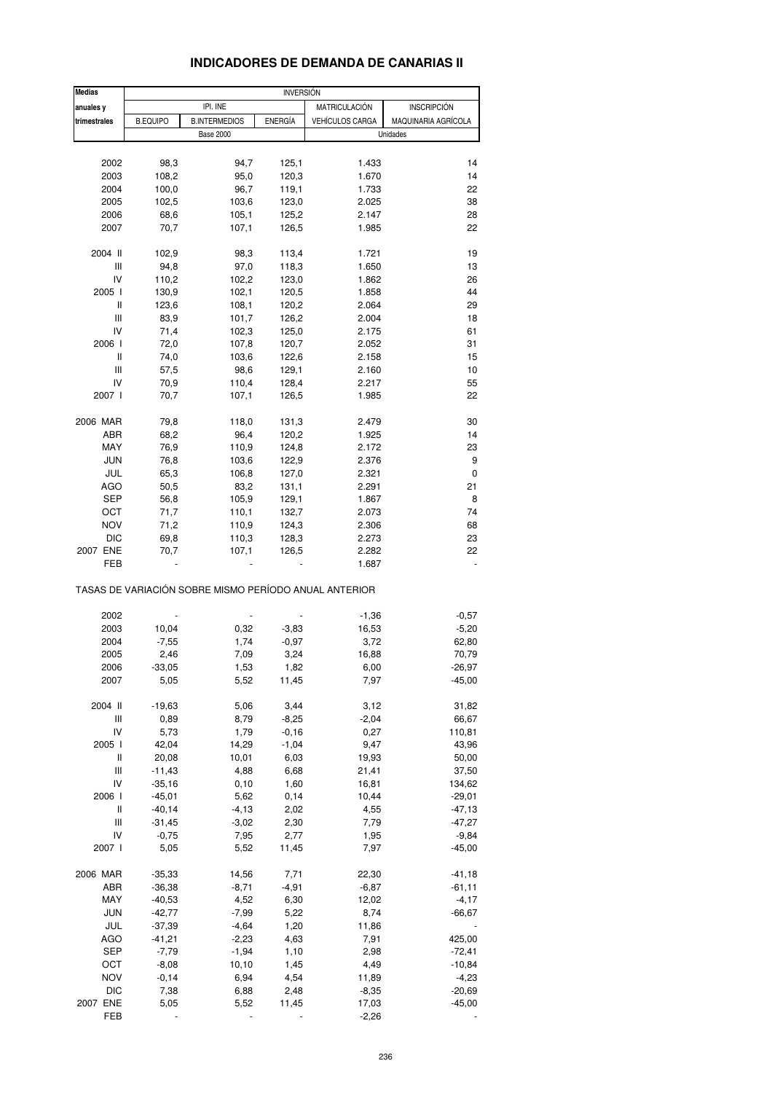### **INDICADORES DE DEMANDA DE CANARIAS II**

| <b>Medias</b> |                                                       |                      | <b>INVERSIÓN</b> |                        |                     |
|---------------|-------------------------------------------------------|----------------------|------------------|------------------------|---------------------|
| anuales y     |                                                       | IPI. INE             |                  | MATRICULACIÓN          | <b>INSCRIPCIÓN</b>  |
| trimestrales  | <b>B.EQUIPO</b>                                       | <b>B.INTERMEDIOS</b> | <b>ENERGÍA</b>   | <b>VEHÍCULOS CARGA</b> | MAQUINARIA AGRÍCOLA |
|               |                                                       | <b>Base 2000</b>     |                  |                        | Unidades            |
|               |                                                       |                      |                  |                        |                     |
| 2002          | 98,3                                                  | 94,7                 | 125,1            | 1.433                  | 14                  |
|               |                                                       |                      |                  |                        | 14                  |
| 2003          | 108,2                                                 | 95,0                 | 120,3            | 1.670                  |                     |
| 2004          | 100,0                                                 | 96,7                 | 119,1            | 1.733                  | 22                  |
| 2005          | 102,5                                                 | 103,6                | 123,0            | 2.025                  | 38                  |
| 2006          | 68,6                                                  | 105,1                | 125,2            | 2.147                  | 28                  |
| 2007          | 70,7                                                  | 107,1                | 126,5            | 1.985                  | 22                  |
|               |                                                       |                      |                  |                        |                     |
| 2004 II       | 102,9                                                 | 98,3                 | 113,4            | 1.721                  | 19                  |
| Ш             | 94,8                                                  | 97,0                 | 118,3            | 1.650                  | 13                  |
| IV            | 110,2                                                 | 102,2                | 123,0            | 1.862                  | 26                  |
| 2005 l        | 130,9                                                 | 102,1                | 120,5            | 1.858                  | 44                  |
| Ш             | 123,6                                                 | 108,1                | 120,2            | 2.064                  | 29                  |
| Ш             | 83,9                                                  | 101,7                | 126,2            | 2.004                  | 18                  |
| IV            |                                                       |                      |                  |                        |                     |
|               | 71,4                                                  | 102,3                | 125,0            | 2.175                  | 61                  |
| 2006 l        | 72,0                                                  | 107,8                | 120,7            | 2.052                  | 31                  |
| Ш             | 74,0                                                  | 103,6                | 122,6            | 2.158                  | 15                  |
| Ш             | 57,5                                                  | 98,6                 | 129,1            | 2.160                  | 10                  |
| IV            | 70,9                                                  | 110,4                | 128,4            | 2.217                  | 55                  |
| 2007 l        | 70,7                                                  | 107,1                | 126,5            | 1.985                  | 22                  |
|               |                                                       |                      |                  |                        |                     |
| 2006 MAR      | 79,8                                                  | 118,0                | 131,3            | 2.479                  | 30                  |
| ABR           | 68,2                                                  | 96,4                 | 120,2            | 1.925                  | 14                  |
| MAY           | 76,9                                                  | 110,9                | 124,8            | 2.172                  | 23                  |
|               |                                                       |                      |                  |                        |                     |
| JUN           | 76,8                                                  | 103,6                | 122,9            | 2.376                  | 9                   |
| JUL           | 65,3                                                  | 106,8                | 127,0            | 2.321                  | 0                   |
| AGO           | 50,5                                                  | 83,2                 | 131,1            | 2.291                  | 21                  |
| <b>SEP</b>    | 56,8                                                  | 105,9                | 129,1            | 1.867                  | 8                   |
| ОСТ           | 71,7                                                  | 110,1                | 132,7            | 2.073                  | 74                  |
| <b>NOV</b>    | 71,2                                                  | 110,9                | 124,3            | 2.306                  | 68                  |
|               |                                                       |                      |                  |                        |                     |
| <b>DIC</b>    | 69,8                                                  | 110,3                | 128,3            | 2.273                  | 23                  |
| 2007 ENE      | 70,7                                                  | 107,1                | 126,5            | 2.282                  | 22                  |
| FEB           |                                                       |                      |                  | 1.687                  |                     |
|               | TASAS DE VARIACIÓN SOBRE MISMO PERÍODO ANUAL ANTERIOR |                      |                  |                        |                     |
| 2002          |                                                       |                      |                  | $-1,36$                | $-0,57$             |
| 2003          | 10,04                                                 | 0,32                 | $-3,83$          | 16,53                  | $-5,20$             |
|               |                                                       |                      |                  |                        |                     |
| 2004          | $-7,55$                                               | 1,74                 | $-0,97$          | 3,72                   | 62,80               |
| 2005          | 2,46                                                  | 7,09                 | 3,24             | 16,88                  | 70,79               |
| 2006          | $-33,05$                                              | 1,53                 | 1,82             | 6,00                   | $-26,97$            |
| 2007          | 5,05                                                  | 5,52                 | 11,45            | 7,97                   | $-45,00$            |
|               |                                                       |                      |                  |                        |                     |
| 2004 II       | $-19,63$                                              | 5,06                 | 3,44             | 3,12                   | 31,82               |
| Ш             | 0,89                                                  | 8,79                 | $-8,25$          | $-2,04$                | 66,67               |
| IV            | 5,73                                                  | 1,79                 | $-0,16$          | 0,27                   | 110,81              |
| 2005 l        | 42,04                                                 | 14,29                | $-1,04$          | 9,47                   | 43,96               |
| Ш             | 20,08                                                 | 10,01                | 6,03             | 19,93                  | 50,00               |
| Ш             | $-11,43$                                              | 4,88                 | 6,68             | 21,41                  | 37,50               |
| IV            | $-35,16$                                              | 0, 10                | 1,60             | 16,81                  | 134,62              |
| 2006 l        |                                                       |                      |                  |                        |                     |
|               | $-45,01$                                              | 5,62                 | 0,14             | 10,44                  | $-29,01$            |
| Ш             | $-40,14$                                              | $-4, 13$             | 2,02             | 4,55                   | $-47, 13$           |
| Ш             | $-31,45$                                              | $-3,02$              | 2,30             | 7,79                   | $-47,27$            |
| IV            | $-0,75$                                               | 7,95                 | 2,77             | 1,95                   | $-9,84$             |
| 2007 l        | 5,05                                                  | 5,52                 | 11,45            | 7,97                   | $-45,00$            |
|               |                                                       |                      |                  |                        |                     |
| 2006 MAR      | $-35,33$                                              | 14,56                | 7,71             | 22,30                  | $-41,18$            |
| ABR           | $-36,38$                                              | $-8,71$              | $-4,91$          | $-6,87$                | $-61, 11$           |
| MAY           | $-40,53$                                              | 4,52                 | 6,30             | 12,02                  | $-4,17$             |
| <b>JUN</b>    | $-42,77$                                              | $-7,99$              | 5,22             | 8,74                   | $-66,67$            |
|               |                                                       |                      |                  |                        |                     |
| JUL           | $-37,39$                                              | $-4,64$              | 1,20             | 11,86                  |                     |
| <b>AGO</b>    | $-41,21$                                              | $-2,23$              | 4,63             | 7,91                   | 425,00              |
| <b>SEP</b>    | $-7,79$                                               | $-1,94$              | 1,10             | 2,98                   | $-72,41$            |
| OCT           | $-8,08$                                               | 10, 10               | 1,45             | 4,49                   | $-10,84$            |
| <b>NOV</b>    | $-0, 14$                                              | 6,94                 | 4,54             | 11,89                  | $-4,23$             |
| <b>DIC</b>    | 7,38                                                  | 6,88                 | 2,48             | $-8,35$                | $-20,69$            |
|               |                                                       |                      |                  |                        |                     |
| 2007 ENE      | 5,05                                                  | 5,52                 | 11,45            | 17,03                  | $-45,00$            |
| <b>FEB</b>    |                                                       |                      |                  | $-2,26$                |                     |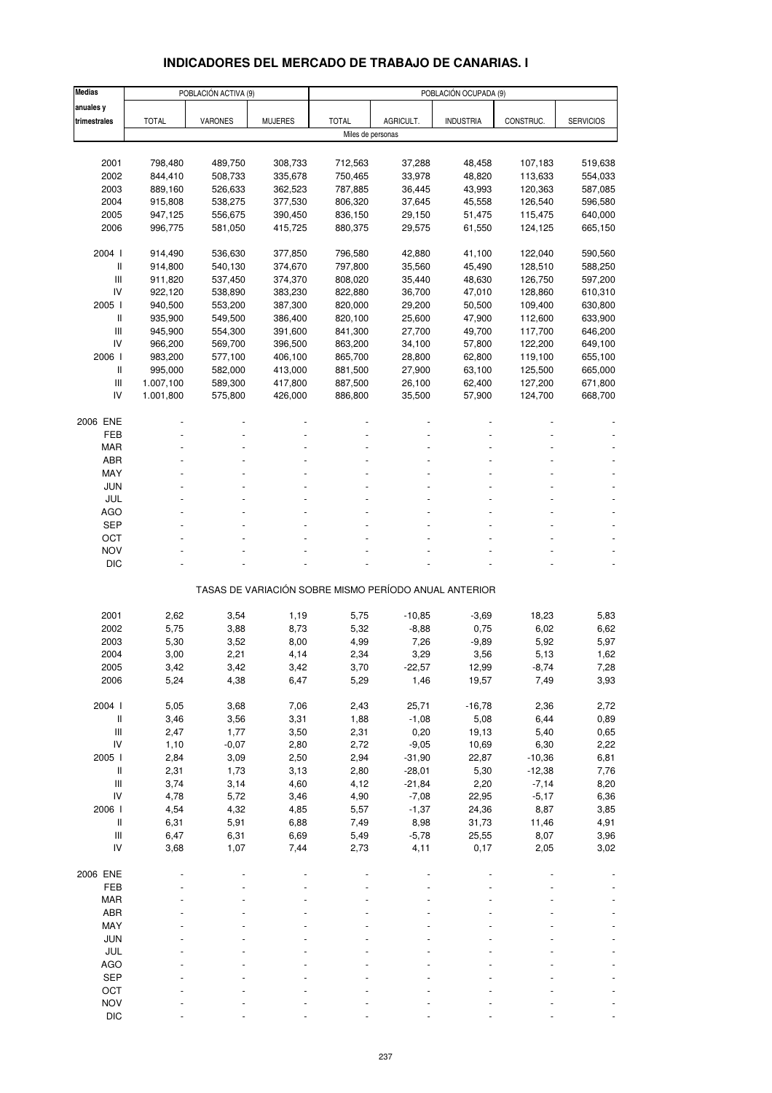## **INDICADORES DEL MERCADO DE TRABAJO DE CANARIAS. I**

| <b>Medias</b>                            | POBLACIÓN ACTIVA (9) |                    |                    | POBLACIÓN OCUPADA (9) |                     |                                                       |                    |                    |  |
|------------------------------------------|----------------------|--------------------|--------------------|-----------------------|---------------------|-------------------------------------------------------|--------------------|--------------------|--|
| anuales y                                |                      |                    |                    |                       |                     |                                                       |                    |                    |  |
| trimestrales                             | <b>TOTAL</b>         | VARONES            | <b>MUJERES</b>     | <b>TOTAL</b>          | AGRICULT.           | <b>INDUSTRIA</b>                                      | CONSTRUC.          | <b>SERVICIOS</b>   |  |
|                                          |                      |                    |                    | Miles de personas     |                     |                                                       |                    |                    |  |
|                                          |                      |                    |                    |                       |                     |                                                       |                    |                    |  |
| 2001                                     | 798,480              | 489,750            | 308,733            | 712,563               | 37,288              | 48,458                                                | 107,183            | 519,638            |  |
| 2002                                     | 844,410              | 508,733            | 335,678            | 750,465               | 33,978              | 48,820                                                | 113,633            | 554,033            |  |
| 2003                                     | 889,160              | 526,633            | 362,523            | 787,885               | 36,445              | 43,993                                                | 120,363            | 587,085            |  |
| 2004                                     | 915,808              | 538,275            | 377,530            | 806,320               | 37,645              | 45,558                                                | 126,540            | 596,580            |  |
| 2005<br>2006                             | 947,125<br>996,775   | 556,675<br>581,050 | 390,450<br>415,725 | 836,150<br>880,375    | 29,150<br>29,575    | 51,475<br>61,550                                      | 115,475<br>124,125 | 640,000<br>665,150 |  |
|                                          |                      |                    |                    |                       |                     |                                                       |                    |                    |  |
| 2004 l                                   | 914,490              | 536,630            | 377,850            | 796,580               | 42,880              | 41,100                                                | 122,040            | 590,560            |  |
| $\mathsf{I}$                             | 914,800              | 540,130            | 374,670            | 797,800               | 35,560              | 45,490                                                | 128,510            | 588,250            |  |
| Ш                                        | 911,820              | 537,450            | 374,370            | 808,020               | 35,440              | 48,630                                                | 126,750            | 597,200            |  |
| IV                                       | 922,120              | 538,890            | 383,230            | 822,880               | 36,700              | 47,010                                                | 128,860            | 610,310            |  |
| 2005 l                                   | 940,500              | 553,200            | 387,300            | 820,000               | 29,200              | 50,500                                                | 109,400            | 630,800            |  |
| Ш                                        | 935,900              | 549,500            | 386,400            | 820,100               | 25,600              | 47,900                                                | 112,600            | 633,900            |  |
| Ш                                        | 945,900              | 554,300            | 391,600            | 841,300               | 27,700              | 49,700                                                | 117,700            | 646,200            |  |
| IV                                       | 966,200              | 569,700            | 396,500            | 863,200               | 34,100              | 57,800                                                | 122,200            | 649,100            |  |
| 2006 l                                   | 983,200              | 577,100            | 406,100            | 865,700               | 28,800              | 62,800                                                | 119,100            | 655,100            |  |
| Ш                                        | 995,000              | 582,000            | 413,000            | 881,500               | 27,900              | 63,100                                                | 125,500            | 665,000            |  |
| $\mathbf{III}$                           | 1.007,100            | 589,300            | 417,800            | 887,500               | 26,100              | 62,400                                                | 127,200            | 671,800            |  |
| IV                                       | 1.001,800            | 575,800            | 426,000            | 886,800               | 35,500              | 57,900                                                | 124,700            | 668,700            |  |
| 2006 ENE                                 |                      |                    |                    |                       |                     |                                                       |                    |                    |  |
| FEB                                      |                      |                    |                    |                       |                     |                                                       |                    |                    |  |
| <b>MAR</b>                               |                      |                    |                    |                       |                     |                                                       |                    |                    |  |
| <b>ABR</b>                               |                      |                    |                    |                       |                     |                                                       |                    |                    |  |
| MAY                                      |                      |                    |                    |                       |                     |                                                       |                    |                    |  |
| JUN                                      |                      |                    |                    |                       |                     |                                                       |                    |                    |  |
| JUL                                      |                      |                    |                    |                       |                     |                                                       |                    |                    |  |
| <b>AGO</b>                               |                      |                    |                    |                       |                     |                                                       |                    |                    |  |
| SEP                                      |                      |                    |                    |                       |                     |                                                       |                    |                    |  |
| OCT                                      |                      |                    |                    |                       |                     |                                                       |                    |                    |  |
| <b>NOV</b>                               |                      |                    |                    |                       |                     |                                                       |                    |                    |  |
| <b>DIC</b>                               |                      |                    |                    |                       |                     |                                                       |                    |                    |  |
|                                          |                      |                    |                    |                       |                     | TASAS DE VARIACIÓN SOBRE MISMO PERÍODO ANUAL ANTERIOR |                    |                    |  |
| 2001                                     |                      |                    |                    |                       |                     |                                                       |                    |                    |  |
| 2002                                     | 2,62<br>5,75         | 3,54<br>3,88       | 1,19<br>8,73       | 5,75<br>5,32          | $-10,85$<br>$-8,88$ | $-3,69$<br>0,75                                       | 18,23<br>6,02      | 5,83<br>6,62       |  |
| 2003                                     | 5,30                 | 3,52               | 8,00               | 4,99                  | 7,26                | $-9,89$                                               | 5,92               | 5,97               |  |
| 2004                                     | 3,00                 | 2,21               | 4,14               | 2,34                  | 3,29                | 3,56                                                  | 5,13               | 1,62               |  |
| 2005                                     | 3,42                 | 3,42               | 3,42               | 3,70                  | -22,57              | 12,99                                                 | $-8,74$            | 7,28               |  |
| 2006                                     | 5,24                 | 4,38               | 6,47               | 5,29                  | 1,46                | 19,57                                                 | 7,49               | 3,93               |  |
|                                          |                      |                    |                    |                       |                     |                                                       |                    |                    |  |
| 2004 l                                   | 5,05                 | 3,68               | 7,06               | 2,43                  | 25,71               | $-16,78$                                              | 2,36               | 2,72               |  |
| $\, \parallel$                           | 3,46                 | 3,56               | 3,31               | 1,88                  | $-1,08$             | 5,08                                                  | 6,44               | 0,89               |  |
| $\ensuremath{\mathsf{III}}\xspace$       | 2,47                 | 1,77               | 3,50               | 2,31                  | 0,20                | 19,13                                                 | 5,40               | 0,65               |  |
| IV                                       | 1,10                 | $-0,07$            | 2,80               | 2,72                  | $-9,05$             | 10,69                                                 | 6,30               | 2,22               |  |
| 2005 l                                   | 2,84                 | 3,09               | 2,50               | 2,94                  | $-31,90$            | 22,87                                                 | $-10,36$           | 6,81               |  |
| $\, \parallel$                           | 2,31                 | 1,73               | 3,13               | 2,80                  | $-28,01$            | 5,30                                                  | $-12,38$           | 7,76               |  |
| $\ensuremath{\mathsf{III}}\xspace$<br>IV | 3,74                 | 3,14               | 4,60               | 4,12                  | $-21,84$            | 2,20                                                  | $-7,14$            | 8,20               |  |
|                                          | 4,78                 | 5,72               | 3,46               | 4,90                  | $-7,08$             | 22,95                                                 | $-5,17$            | 6,36               |  |
| 2006  <br>$\, \parallel$                 | 4,54<br>6,31         | 4,32<br>5,91       | 4,85<br>6,88       | 5,57<br>7,49          | $-1,37$<br>8,98     | 24,36<br>31,73                                        | 8,87<br>11,46      | 3,85<br>4,91       |  |
| III                                      | 6,47                 | 6,31               | 6,69               | 5,49                  | $-5,78$             | 25,55                                                 | 8,07               | 3,96               |  |
| IV                                       | 3,68                 | 1,07               | 7,44               | 2,73                  | 4,11                | 0,17                                                  | 2,05               | 3,02               |  |
|                                          |                      |                    |                    |                       |                     |                                                       |                    |                    |  |
| 2006 ENE                                 |                      |                    |                    |                       |                     |                                                       |                    |                    |  |
| FEB                                      |                      |                    |                    |                       |                     |                                                       |                    |                    |  |
| <b>MAR</b>                               |                      |                    |                    |                       |                     |                                                       |                    |                    |  |
| ABR                                      |                      |                    |                    |                       |                     |                                                       |                    |                    |  |
| MAY                                      |                      |                    |                    |                       |                     |                                                       |                    |                    |  |
| <b>JUN</b>                               |                      |                    |                    |                       |                     |                                                       |                    |                    |  |
| JUL                                      |                      |                    |                    |                       |                     |                                                       |                    |                    |  |
| <b>AGO</b>                               |                      |                    |                    |                       |                     |                                                       |                    |                    |  |
| <b>SEP</b>                               |                      |                    |                    |                       |                     |                                                       |                    |                    |  |
| OCT                                      |                      |                    |                    |                       |                     |                                                       |                    |                    |  |
| <b>NOV</b>                               |                      |                    |                    |                       |                     |                                                       |                    |                    |  |
| <b>DIC</b>                               |                      |                    |                    |                       |                     |                                                       |                    |                    |  |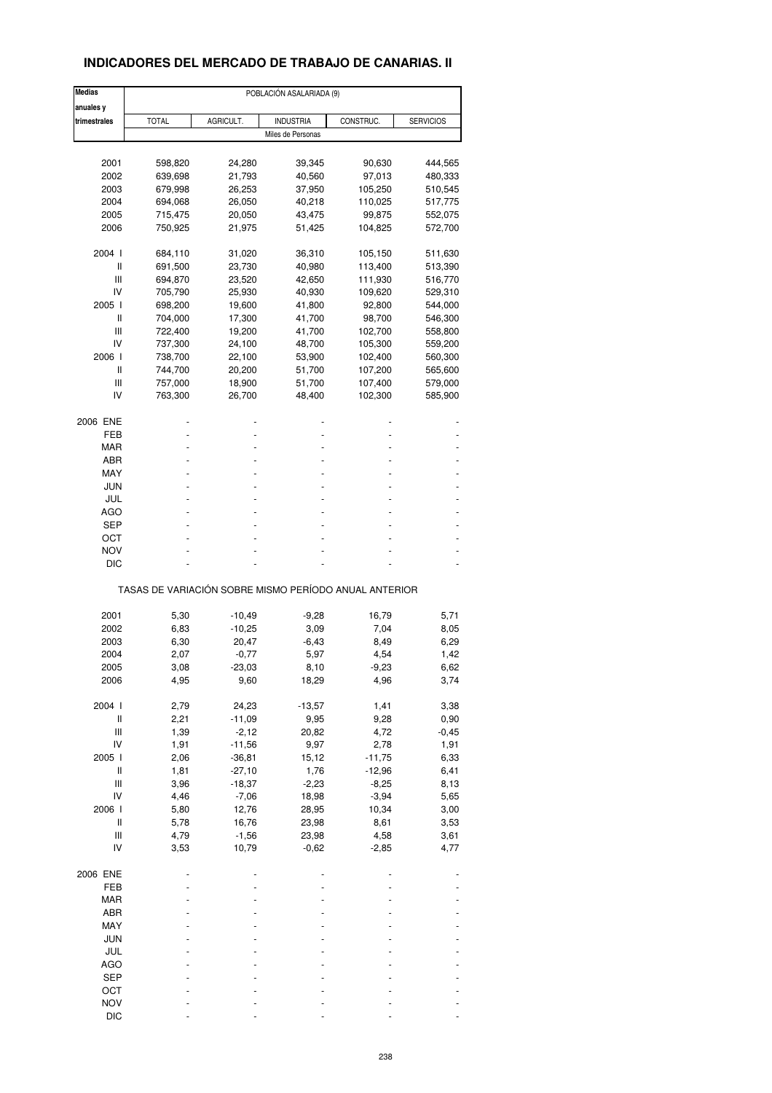### **INDICADORES DEL MERCADO DE TRABAJO DE CANARIAS. II**

| <b>Medias</b>                      | POBLACIÓN ASALARIADA (9)                              |           |                   |           |                  |  |  |  |  |
|------------------------------------|-------------------------------------------------------|-----------|-------------------|-----------|------------------|--|--|--|--|
| anuales y                          |                                                       |           |                   |           |                  |  |  |  |  |
| trimestrales                       | <b>TOTAL</b>                                          | AGRICULT. | <b>INDUSTRIA</b>  | CONSTRUC. | <b>SERVICIOS</b> |  |  |  |  |
|                                    |                                                       |           | Miles de Personas |           |                  |  |  |  |  |
|                                    |                                                       |           |                   |           |                  |  |  |  |  |
| 2001                               | 598,820                                               | 24,280    | 39,345            | 90,630    | 444,565          |  |  |  |  |
| 2002                               | 639,698                                               | 21,793    | 40,560            | 97,013    | 480,333          |  |  |  |  |
| 2003                               | 679,998                                               | 26,253    | 37,950            | 105,250   | 510,545          |  |  |  |  |
| 2004                               | 694,068                                               | 26,050    | 40,218            | 110,025   | 517,775          |  |  |  |  |
| 2005                               | 715,475                                               | 20,050    | 43,475            | 99,875    | 552,075          |  |  |  |  |
| 2006                               | 750,925                                               | 21,975    | 51,425            | 104,825   | 572,700          |  |  |  |  |
| 2004 l                             | 684,110                                               | 31,020    | 36,310            | 105,150   | 511,630          |  |  |  |  |
| Ш                                  | 691,500                                               | 23,730    | 40,980            | 113,400   | 513,390          |  |  |  |  |
| Ш                                  | 694,870                                               | 23,520    | 42,650            | 111,930   | 516,770          |  |  |  |  |
| IV                                 | 705,790                                               | 25,930    | 40,930            | 109,620   | 529,310          |  |  |  |  |
| 2005 l                             | 698,200                                               | 19,600    | 41,800            | 92,800    | 544,000          |  |  |  |  |
| Ш                                  | 704,000                                               | 17,300    | 41,700            | 98,700    | 546,300          |  |  |  |  |
| Ш                                  | 722,400                                               | 19,200    | 41,700            | 102,700   | 558,800          |  |  |  |  |
| IV                                 | 737,300                                               | 24,100    | 48,700            | 105,300   | 559,200          |  |  |  |  |
| 2006                               | 738,700                                               | 22,100    | 53,900            | 102,400   | 560,300          |  |  |  |  |
| Ш                                  | 744,700                                               | 20,200    | 51,700            | 107,200   | 565,600          |  |  |  |  |
| Ш                                  |                                                       |           | 51,700            |           |                  |  |  |  |  |
| IV                                 | 757,000                                               | 18,900    | 48,400            | 107,400   | 579,000          |  |  |  |  |
|                                    | 763,300                                               | 26,700    |                   | 102,300   | 585,900          |  |  |  |  |
| 2006 ENE                           |                                                       |           |                   |           |                  |  |  |  |  |
| FEB                                |                                                       |           |                   |           |                  |  |  |  |  |
| <b>MAR</b>                         |                                                       |           |                   |           |                  |  |  |  |  |
| ABR                                |                                                       |           |                   |           |                  |  |  |  |  |
| MAY                                |                                                       |           |                   |           |                  |  |  |  |  |
| JUN                                |                                                       |           |                   |           |                  |  |  |  |  |
| JUL                                |                                                       |           |                   |           |                  |  |  |  |  |
| AGO                                |                                                       |           |                   |           |                  |  |  |  |  |
| SEP                                |                                                       |           |                   |           |                  |  |  |  |  |
| ост                                |                                                       |           |                   |           |                  |  |  |  |  |
| <b>NOV</b>                         |                                                       |           |                   |           |                  |  |  |  |  |
| DIC                                |                                                       |           |                   |           |                  |  |  |  |  |
|                                    | TASAS DE VARIACIÓN SOBRE MISMO PERÍODO ANUAL ANTERIOR |           |                   |           |                  |  |  |  |  |
|                                    |                                                       |           |                   |           |                  |  |  |  |  |
| 2001                               | 5,30                                                  | $-10,49$  | $-9,28$           | 16,79     | 5,71             |  |  |  |  |
| 2002                               | 6,83                                                  | $-10,25$  | 3,09              | 7,04      | 8,05             |  |  |  |  |
| 2003                               | 6,30                                                  | 20,47     | -6,43             | 8,49      | 6,29             |  |  |  |  |
| 2004                               | 2,07                                                  | $-0,77$   | 5,97              | 4,54      | 1,42             |  |  |  |  |
| 2005                               | 3,08                                                  | -23,03    | 8,10              | -9,23     | 6,62             |  |  |  |  |
| 2006                               | 4,95                                                  | 9,60      | 18,29             | 4,96      | 3,74             |  |  |  |  |
| 2004 l                             | 2,79                                                  | 24,23     | $-13,57$          | 1,41      | 3,38             |  |  |  |  |
| $\sf II$                           | 2,21                                                  | $-11,09$  | 9,95              | 9,28      | 0,90             |  |  |  |  |
| $\ensuremath{\mathsf{III}}\xspace$ | 1,39                                                  | $-2,12$   | 20,82             | 4,72      | $-0,45$          |  |  |  |  |
| IV                                 | 1,91                                                  | $-11,56$  | 9,97              | 2,78      | 1,91             |  |  |  |  |
| 2005 l                             | 2,06                                                  | $-36,81$  | 15,12             | $-11,75$  | 6,33             |  |  |  |  |
| $\sf II$                           | 1,81                                                  | $-27,10$  | 1,76              | $-12,96$  | 6,41             |  |  |  |  |
| $\ensuremath{\mathsf{III}}\xspace$ | 3,96                                                  | $-18,37$  | $-2,23$           | $-8,25$   | 8,13             |  |  |  |  |
| IV                                 | 4,46                                                  | $-7,06$   | 18,98             | $-3,94$   | 5,65             |  |  |  |  |
| 2006                               | 5,80                                                  | 12,76     | 28,95             | 10,34     | 3,00             |  |  |  |  |
| Ш                                  | 5,78                                                  | 16,76     | 23,98             | 8,61      | 3,53             |  |  |  |  |
|                                    |                                                       |           |                   |           |                  |  |  |  |  |
| Ш                                  | 4,79                                                  | $-1,56$   | 23,98             | 4,58      | 3,61             |  |  |  |  |
| IV                                 | 3,53                                                  | 10,79     | $-0,62$           | $-2,85$   | 4,77             |  |  |  |  |
| 2006 ENE                           |                                                       |           |                   |           |                  |  |  |  |  |
| FEB                                |                                                       |           |                   |           |                  |  |  |  |  |
| MAR                                |                                                       |           |                   |           |                  |  |  |  |  |
| ABR                                |                                                       |           |                   |           |                  |  |  |  |  |
| MAY                                |                                                       |           |                   |           |                  |  |  |  |  |
| <b>JUN</b>                         |                                                       |           |                   |           |                  |  |  |  |  |
| JUL                                |                                                       |           |                   |           |                  |  |  |  |  |
| <b>AGO</b>                         |                                                       |           |                   |           |                  |  |  |  |  |
| <b>SEP</b>                         |                                                       |           |                   |           |                  |  |  |  |  |
| OCT                                |                                                       |           |                   |           |                  |  |  |  |  |
| <b>NOV</b>                         |                                                       |           |                   |           |                  |  |  |  |  |
| <b>DIC</b>                         |                                                       |           |                   |           |                  |  |  |  |  |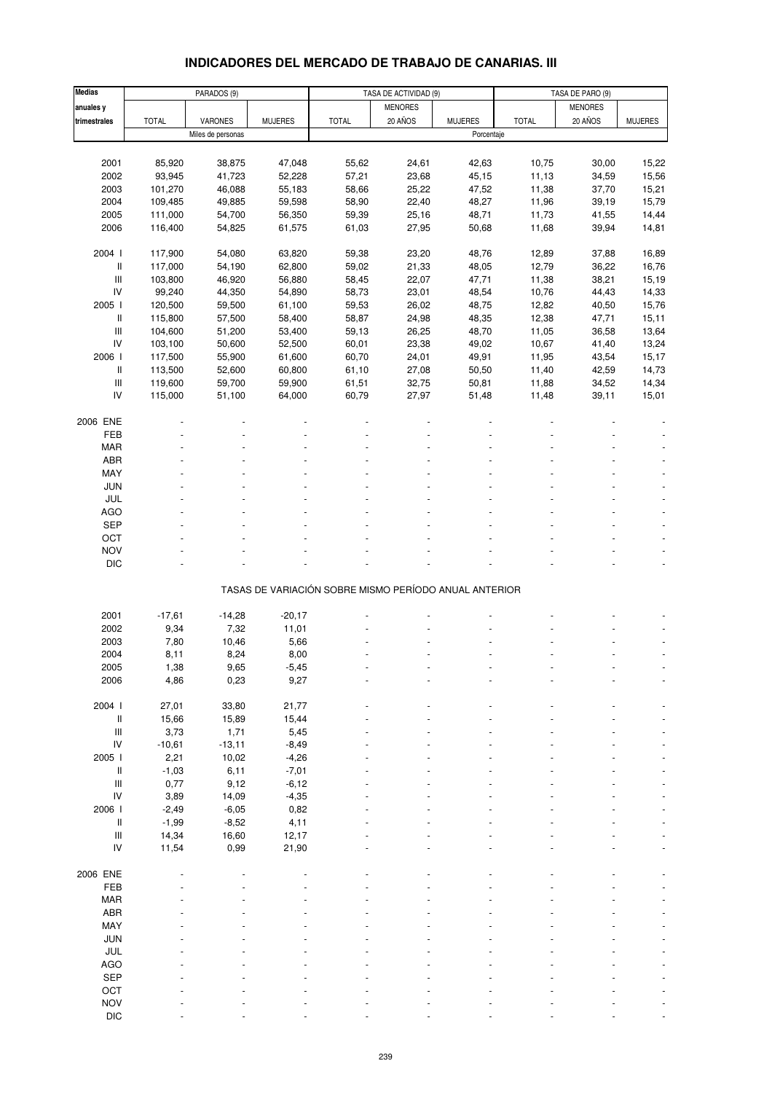# **INDICADORES DEL MERCADO DE TRABAJO DE CANARIAS. III**

| <b>Medias</b>                      |              | PARADOS (9)       |                |                                                       | TASA DE ACTIVIDAD (9) |                | TASA DE PARO (9) |                |                |
|------------------------------------|--------------|-------------------|----------------|-------------------------------------------------------|-----------------------|----------------|------------------|----------------|----------------|
| anuales y                          |              |                   |                |                                                       | <b>MENORES</b>        |                |                  | <b>MENORES</b> |                |
| trimestrales                       | <b>TOTAL</b> | VARONES           | <b>MUJERES</b> | <b>TOTAL</b>                                          | 20 AÑOS               | <b>MUJERES</b> | <b>TOTAL</b>     | 20 AÑOS        | <b>MUJERES</b> |
|                                    |              | Miles de personas |                |                                                       |                       | Porcentaje     |                  |                |                |
|                                    |              |                   |                |                                                       |                       |                |                  |                |                |
| 2001                               | 85,920       | 38,875            | 47,048         | 55,62                                                 | 24,61                 | 42,63          | 10,75            | 30,00          | 15,22          |
| 2002                               |              | 41,723            |                |                                                       |                       |                |                  |                |                |
|                                    | 93,945       |                   | 52,228         | 57,21                                                 | 23,68                 | 45,15          | 11,13            | 34,59          | 15,56          |
| 2003                               | 101,270      | 46,088            | 55,183         | 58,66                                                 | 25,22                 | 47,52          | 11,38            | 37,70          | 15,21          |
| 2004                               | 109,485      | 49,885            | 59,598         | 58,90                                                 | 22,40                 | 48,27          | 11,96            | 39,19          | 15,79          |
| 2005                               | 111,000      | 54,700            | 56,350         | 59,39                                                 | 25,16                 | 48,71          | 11,73            | 41,55          | 14,44          |
| 2006                               | 116,400      | 54,825            | 61,575         | 61,03                                                 | 27,95                 | 50,68          | 11,68            | 39,94          | 14,81          |
|                                    |              |                   |                |                                                       |                       |                |                  |                |                |
| 2004 l                             | 117,900      | 54,080            | 63,820         | 59,38                                                 | 23,20                 | 48,76          | 12,89            | 37,88          | 16,89          |
| $\ensuremath{\mathsf{II}}$         | 117,000      | 54,190            | 62,800         | 59,02                                                 | 21,33                 | 48,05          | 12,79            | 36,22          | 16,76          |
| III                                | 103,800      | 46,920            | 56,880         | 58,45                                                 | 22,07                 | 47,71          | 11,38            | 38,21          | 15,19          |
| IV                                 | 99,240       | 44,350            | 54,890         | 58,73                                                 | 23,01                 | 48,54          | 10,76            | 44,43          | 14,33          |
| 2005 l                             | 120,500      | 59,500            | 61,100         | 59,53                                                 | 26,02                 | 48,75          | 12,82            | 40,50          | 15,76          |
| II                                 | 115,800      | 57,500            | 58,400         | 58,87                                                 | 24,98                 | 48,35          | 12,38            | 47,71          | 15,11          |
| $\ensuremath{\mathsf{III}}\xspace$ | 104,600      | 51,200            | 53,400         | 59,13                                                 | 26,25                 | 48,70          | 11,05            | 36,58          | 13,64          |
| IV                                 | 103,100      | 50,600            | 52,500         | 60,01                                                 | 23,38                 | 49,02          | 10,67            | 41,40          | 13,24          |
| 2006                               | 117,500      | 55,900            | 61,600         | 60,70                                                 | 24,01                 | 49,91          | 11,95            | 43,54          | 15,17          |
| II                                 | 113,500      | 52,600            | 60,800         | 61,10                                                 | 27,08                 | 50,50          | 11,40            | 42,59          | 14,73          |
| $\ensuremath{\mathsf{III}}\xspace$ | 119,600      | 59,700            | 59,900         | 61,51                                                 | 32,75                 | 50,81          | 11,88            | 34,52          | 14,34          |
| IV                                 | 115,000      | 51,100            | 64,000         | 60,79                                                 | 27,97                 | 51,48          | 11,48            | 39,11          | 15,01          |
|                                    |              |                   |                |                                                       |                       |                |                  |                |                |
| 2006 ENE                           |              |                   |                |                                                       |                       |                |                  |                |                |
| FEB                                |              |                   |                |                                                       |                       |                |                  |                |                |
| <b>MAR</b>                         |              |                   |                |                                                       |                       |                |                  |                |                |
| ABR                                |              |                   |                |                                                       |                       |                |                  |                |                |
|                                    |              |                   |                |                                                       |                       |                |                  |                |                |
| MAY                                |              |                   |                |                                                       |                       |                |                  |                |                |
| <b>JUN</b>                         |              |                   |                |                                                       |                       |                |                  |                |                |
| JUL                                |              |                   |                |                                                       |                       |                |                  |                |                |
| <b>AGO</b>                         |              |                   |                |                                                       |                       |                |                  |                |                |
| SEP                                |              |                   |                |                                                       |                       |                |                  |                |                |
| OCT                                |              |                   |                |                                                       |                       |                |                  |                |                |
| <b>NOV</b>                         |              |                   |                |                                                       |                       |                |                  |                |                |
| DIC                                |              |                   |                |                                                       |                       |                |                  |                |                |
|                                    |              |                   |                |                                                       |                       |                |                  |                |                |
|                                    |              |                   |                | TASAS DE VARIACIÓN SOBRE MISMO PERÍODO ANUAL ANTERIOR |                       |                |                  |                |                |
|                                    |              |                   |                |                                                       |                       |                |                  |                |                |
| 2001                               | $-17,61$     | $-14,28$          | $-20,17$       |                                                       |                       |                |                  |                |                |
| 2002                               | 9,34         | 7,32              | 11,01          |                                                       |                       |                |                  |                |                |
| 2003                               | 7,80         | 10,46             | 5,66           |                                                       |                       |                |                  |                |                |
| 2004                               | 8,11         | 8,24              | 8,00           |                                                       |                       |                |                  |                |                |
| 2005                               | 1,38         | 9,65              | $-5,45$        |                                                       |                       |                |                  |                |                |
| 2006                               | 4,86         | 0,23              | 9,27           |                                                       |                       |                |                  |                |                |
|                                    |              |                   |                |                                                       |                       |                |                  |                |                |
| 2004 l                             | 27,01        | 33,80             | 21,77          |                                                       |                       |                |                  |                |                |
| II                                 | 15,66        | 15,89             | 15,44          |                                                       |                       |                |                  |                |                |
| $\ensuremath{\mathsf{III}}\xspace$ | 3,73         | 1,71              | 5,45           |                                                       |                       |                |                  |                |                |
| ${\sf IV}$                         | $-10,61$     | $-13,11$          | $-8,49$        |                                                       |                       |                |                  |                |                |
| 2005 l                             | 2,21         | 10,02             | $-4,26$        |                                                       |                       |                |                  |                |                |
| II                                 | $-1,03$      | 6,11              | $-7,01$        |                                                       |                       |                |                  |                |                |
| $\ensuremath{\mathsf{III}}\xspace$ | 0,77         | 9,12              | $-6, 12$       |                                                       |                       |                |                  |                |                |
|                                    |              |                   |                |                                                       |                       |                |                  |                |                |
| IV                                 | 3,89         | 14,09             | $-4,35$        |                                                       |                       |                |                  |                |                |
| 2006                               | $-2,49$      | $-6,05$           | 0,82           |                                                       |                       |                |                  |                |                |
| $\, \parallel$                     | $-1,99$      | $-8,52$           | 4,11           |                                                       |                       |                |                  |                |                |
| $\ensuremath{\mathsf{III}}\xspace$ | 14,34        | 16,60             | 12,17          |                                                       |                       |                |                  |                |                |
| IV                                 | 11,54        | 0,99              | 21,90          |                                                       |                       |                |                  |                |                |
|                                    |              |                   |                |                                                       |                       |                |                  |                |                |
| 2006 ENE                           |              |                   |                |                                                       |                       |                |                  |                |                |
| FEB                                |              |                   |                |                                                       |                       |                |                  |                |                |
| <b>MAR</b>                         |              |                   |                |                                                       |                       |                |                  |                |                |
| ABR                                |              |                   |                |                                                       |                       |                |                  |                |                |
| MAY                                |              |                   |                |                                                       |                       |                |                  |                |                |
| JUN                                |              |                   |                |                                                       |                       |                |                  |                |                |
| JUL                                |              |                   |                |                                                       |                       |                |                  |                |                |
| AGO                                |              |                   |                |                                                       |                       |                |                  |                |                |
| <b>SEP</b>                         |              |                   |                |                                                       |                       |                |                  |                |                |
| OCT                                |              |                   |                |                                                       |                       |                |                  |                |                |
| <b>NOV</b>                         |              |                   |                |                                                       |                       |                |                  |                |                |
| <b>DIC</b>                         |              |                   |                |                                                       |                       |                |                  |                |                |
|                                    |              |                   |                |                                                       |                       |                |                  |                |                |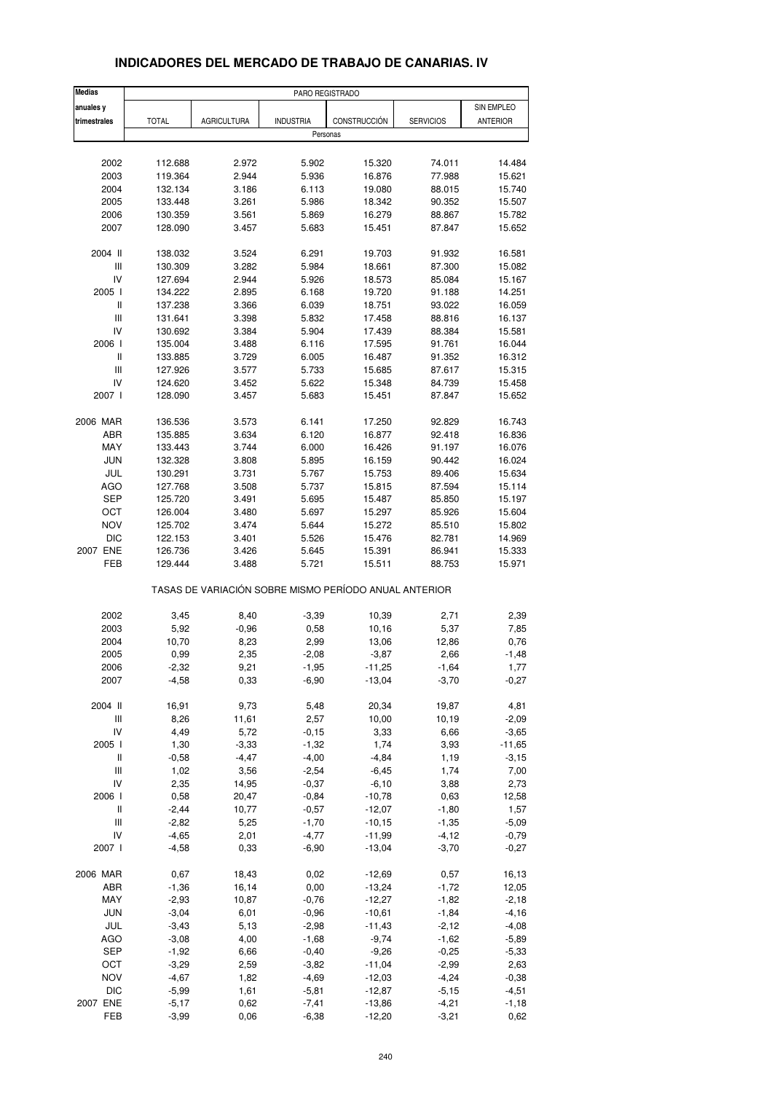| <b>Medias</b>                      |              |                    |                                                       | PARO REGISTRADO |                  |                 |
|------------------------------------|--------------|--------------------|-------------------------------------------------------|-----------------|------------------|-----------------|
| anuales y                          |              |                    |                                                       |                 |                  | SIN EMPLEO      |
| trimestrales                       | <b>TOTAL</b> | <b>AGRICULTURA</b> | <b>INDUSTRIA</b>                                      | CONSTRUCCIÓN    | <b>SERVICIOS</b> | <b>ANTERIOR</b> |
|                                    |              |                    |                                                       | Personas        |                  |                 |
|                                    |              |                    |                                                       |                 |                  |                 |
| 2002                               | 112.688      | 2.972              | 5.902                                                 | 15.320          | 74.011           | 14.484          |
| 2003                               | 119.364      | 2.944              | 5.936                                                 | 16.876          | 77.988           | 15.621          |
| 2004                               | 132.134      | 3.186              | 6.113                                                 | 19.080          | 88.015           | 15.740          |
| 2005                               | 133.448      | 3.261              | 5.986                                                 | 18.342          | 90.352           | 15.507          |
| 2006                               | 130.359      | 3.561              | 5.869                                                 | 16.279          | 88.867           | 15.782          |
| 2007                               | 128.090      | 3.457              | 5.683                                                 | 15.451          | 87.847           | 15.652          |
| 2004 II                            | 138.032      | 3.524              | 6.291                                                 | 19.703          | 91.932           | 16.581          |
| Ш                                  | 130.309      | 3.282              | 5.984                                                 | 18.661          | 87.300           | 15.082          |
| IV                                 | 127.694      | 2.944              | 5.926                                                 | 18.573          | 85.084           | 15.167          |
| 2005 l                             | 134.222      | 2.895              | 6.168                                                 | 19.720          | 91.188           | 14.251          |
| Ш                                  | 137.238      | 3.366              | 6.039                                                 | 18.751          | 93.022           | 16.059          |
| Ш                                  | 131.641      | 3.398              | 5.832                                                 | 17.458          | 88.816           | 16.137          |
| IV                                 | 130.692      | 3.384              | 5.904                                                 | 17.439          | 88.384           | 15.581          |
| 2006                               | 135.004      | 3.488              | 6.116                                                 | 17.595          | 91.761           | 16.044          |
| Ш                                  | 133.885      | 3.729              | 6.005                                                 | 16.487          | 91.352           | 16.312          |
| Ш                                  | 127.926      | 3.577              | 5.733                                                 | 15.685          | 87.617           | 15.315          |
| IV                                 | 124.620      | 3.452              | 5.622                                                 | 15.348          | 84.739           | 15.458          |
| 2007 l                             | 128.090      | 3.457              | 5.683                                                 | 15.451          | 87.847           | 15.652          |
| 2006 MAR                           | 136.536      | 3.573              | 6.141                                                 | 17.250          | 92.829           | 16.743          |
| ABR                                | 135.885      | 3.634              | 6.120                                                 | 16.877          | 92.418           | 16.836          |
| MAY                                | 133.443      | 3.744              | 6.000                                                 | 16.426          | 91.197           | 16.076          |
| <b>JUN</b>                         | 132.328      | 3.808              | 5.895                                                 | 16.159          | 90.442           | 16.024          |
| JUL                                | 130.291      | 3.731              | 5.767                                                 | 15.753          | 89.406           | 15.634          |
| AGO                                | 127.768      | 3.508              | 5.737                                                 | 15.815          | 87.594           | 15.114          |
| <b>SEP</b>                         | 125.720      | 3.491              | 5.695                                                 | 15.487          | 85.850           | 15.197          |
| OCT                                | 126.004      | 3.480              | 5.697                                                 | 15.297          | 85.926           | 15.604          |
| <b>NOV</b>                         | 125.702      | 3.474              | 5.644                                                 | 15.272          | 85.510           | 15.802          |
| <b>DIC</b>                         | 122.153      | 3.401              | 5.526                                                 | 15.476          | 82.781           | 14.969          |
| 2007 ENE                           | 126.736      | 3.426              | 5.645                                                 | 15.391          | 86.941           | 15.333          |
| FEB                                | 129.444      | 3.488              | 5.721                                                 | 15.511          | 88.753           | 15.971          |
|                                    |              |                    | TASAS DE VARIACIÓN SOBRE MISMO PERÍODO ANUAL ANTERIOR |                 |                  |                 |
| 2002                               | 3,45         | 8,40               | $-3,39$                                               | 10,39           | 2,71             | 2,39            |
| 2003                               | 5,92         | $-0,96$            | 0,58                                                  | 10,16           | 5,37             | 7,85            |
| 2004                               | 10,70        | 8,23               | 2,99                                                  | 13,06           | 12,86            | 0,76            |
| 2005                               | 0,99         | 2,35               | $-2,08$                                               | $-3,87$         | 2,66             | $-1,48$         |
| 2006                               | -2,32        | 9,21               | $-1,95$                                               | $-11,25$        | $-1,64$          | 1,77            |
| 2007                               | $-4,58$      | 0,33               | $-6,90$                                               | $-13,04$        | $-3,70$          | $-0,27$         |
| 2004 II                            | 16,91        | 9,73               | 5,48                                                  | 20,34           | 19,87            | 4,81            |
| $\ensuremath{\mathsf{III}}\xspace$ | 8,26         | 11,61              | 2,57                                                  | 10,00           | 10,19            | $-2,09$         |
| IV                                 | 4,49         | 5,72               | $-0,15$                                               | 3,33            | 6,66             | $-3,65$         |
| 2005 l                             | 1,30         | $-3,33$            | $-1,32$                                               | 1,74            | 3,93             | $-11,65$        |
| Ш                                  | $-0,58$      | $-4,47$            | $-4,00$                                               | $-4,84$         | 1,19             | $-3,15$         |
| Ш                                  | 1,02         | 3,56               | $-2,54$                                               | $-6,45$         | 1,74             | 7,00            |
| IV                                 | 2,35         | 14,95              | $-0,37$                                               | $-6, 10$        | 3,88             | 2,73            |
| 2006                               | 0,58         | 20,47              | $-0,84$                                               | $-10,78$        | 0,63             | 12,58           |
| Ш                                  | $-2,44$      | 10,77              | $-0,57$                                               | $-12,07$        | $-1,80$          | 1,57            |
| $\ensuremath{\mathsf{III}}\xspace$ | $-2,82$      | 5,25               | $-1,70$                                               | $-10, 15$       | $-1,35$          | $-5,09$         |
| IV                                 | $-4,65$      | 2,01               | $-4,77$                                               | $-11,99$        | $-4, 12$         | $-0,79$         |
| 2007 l                             | $-4,58$      | 0,33               | $-6,90$                                               | $-13,04$        | $-3,70$          | $-0,27$         |
| 2006 MAR                           | 0,67         | 18,43              | 0,02                                                  | $-12,69$        | 0,57             | 16,13           |
| ABR                                | $-1,36$      | 16,14              | 0,00                                                  | $-13,24$        | $-1,72$          | 12,05           |
| MAY                                | $-2,93$      | 10,87              | $-0,76$                                               | $-12,27$        | $-1,82$          | $-2,18$         |
| <b>JUN</b>                         | $-3,04$      | 6,01               | $-0,96$                                               | $-10,61$        | $-1,84$          | $-4,16$         |
| JUL                                | $-3,43$      | 5,13               | $-2,98$                                               | $-11,43$        | $-2,12$          | $-4,08$         |
| AGO                                | $-3,08$      | 4,00               | $-1,68$                                               | $-9,74$         | $-1,62$          | $-5,89$         |
| <b>SEP</b>                         | $-1,92$      | 6,66               | $-0,40$                                               | $-9,26$         | $-0,25$          | $-5,33$         |
| OCT                                | $-3,29$      | 2,59               | $-3,82$                                               | $-11,04$        | $-2,99$          | 2,63            |
| <b>NOV</b>                         | $-4,67$      | 1,82               | $-4,69$                                               | $-12,03$        | $-4,24$          | $-0,38$         |
| <b>DIC</b>                         | $-5,99$      | 1,61               | $-5,81$                                               | $-12,87$        | $-5, 15$         | $-4,51$         |
| 2007 ENE                           | $-5,17$      | 0,62               | $-7,41$                                               | $-13,86$        | $-4,21$          | $-1,18$         |
| FEB                                | $-3,99$      | 0,06               | $-6,38$                                               | $-12,20$        | $-3,21$          | 0,62            |

#### **INDICADORES DEL MERCADO DE TRABAJO DE CANARIAS. IV**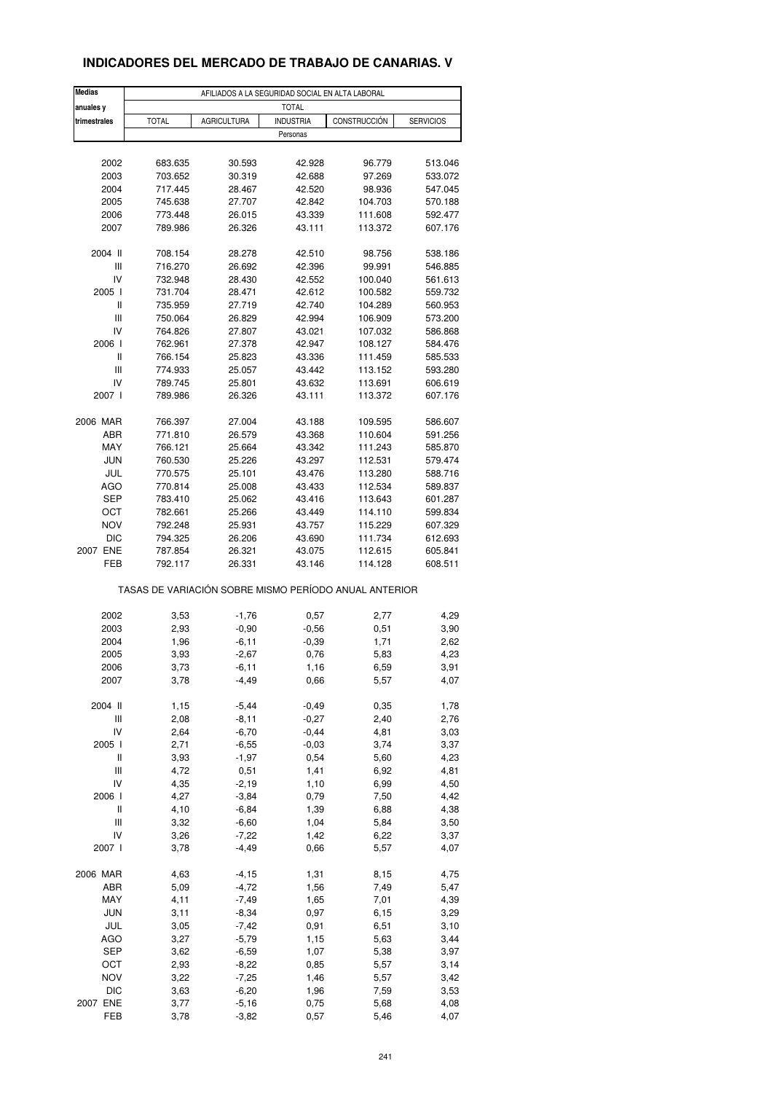### **INDICADORES DEL MERCADO DE TRABAJO DE CANARIAS. V**

| <b>Medias</b>                      | AFILIADOS A LA SEGURIDAD SOCIAL EN ALTA LABORAL       |                  |                  |                   |                    |  |  |  |
|------------------------------------|-------------------------------------------------------|------------------|------------------|-------------------|--------------------|--|--|--|
| anuales y                          |                                                       |                  | <b>TOTAL</b>     |                   |                    |  |  |  |
| trimestrales                       | <b>TOTAL</b>                                          | AGRICULTURA      | <b>INDUSTRIA</b> | CONSTRUCCIÓN      | <b>SERVICIOS</b>   |  |  |  |
|                                    |                                                       |                  | Personas         |                   |                    |  |  |  |
|                                    |                                                       |                  |                  |                   |                    |  |  |  |
| 2002                               | 683.635                                               | 30.593           | 42.928           | 96.779            | 513.046            |  |  |  |
| 2003                               | 703.652                                               | 30.319           | 42.688           | 97.269            | 533.072            |  |  |  |
| 2004                               | 717.445                                               | 28.467<br>27.707 | 42.520           | 98.936<br>104.703 | 547.045            |  |  |  |
| 2005<br>2006                       | 745.638<br>773.448                                    | 26.015           | 42.842<br>43.339 | 111.608           | 570.188<br>592.477 |  |  |  |
| 2007                               | 789.986                                               | 26.326           | 43.111           | 113.372           | 607.176            |  |  |  |
|                                    |                                                       |                  |                  |                   |                    |  |  |  |
| 2004 II                            | 708.154                                               | 28.278           | 42.510           | 98.756            | 538.186            |  |  |  |
| Ш                                  | 716.270                                               | 26.692           | 42.396           | 99.991            | 546.885            |  |  |  |
| IV                                 | 732.948                                               | 28.430           | 42.552           | 100.040           | 561.613            |  |  |  |
| 2005 l                             | 731.704                                               | 28.471           | 42.612           | 100.582           | 559.732            |  |  |  |
| Ш                                  | 735.959                                               | 27.719           | 42.740           | 104.289           | 560.953            |  |  |  |
| $\ensuremath{\mathsf{III}}\xspace$ | 750.064                                               | 26.829           | 42.994           | 106.909           | 573.200            |  |  |  |
| IV                                 | 764.826                                               | 27.807           | 43.021           | 107.032           | 586.868            |  |  |  |
| 2006                               | 762.961                                               | 27.378           | 42.947           | 108.127           | 584.476            |  |  |  |
| Ш                                  | 766.154                                               | 25.823           | 43.336           | 111.459           | 585.533            |  |  |  |
| Ш                                  | 774.933                                               | 25.057           | 43.442           | 113.152           | 593.280            |  |  |  |
| IV                                 | 789.745                                               | 25.801           | 43.632           | 113.691           | 606.619            |  |  |  |
| 2007 l                             | 789.986                                               | 26.326           | 43.111           | 113.372           | 607.176            |  |  |  |
|                                    |                                                       |                  |                  |                   |                    |  |  |  |
| 2006 MAR                           | 766.397                                               | 27.004           | 43.188           | 109.595           | 586.607            |  |  |  |
| ABR                                | 771.810                                               | 26.579           | 43.368           | 110.604           | 591.256            |  |  |  |
| MAY                                | 766.121                                               | 25.664           | 43.342           | 111.243           | 585.870            |  |  |  |
| <b>JUN</b>                         | 760.530                                               | 25.226           | 43.297           | 112.531           | 579.474            |  |  |  |
| JUL                                | 770.575                                               | 25.101           | 43.476           | 113.280           | 588.716            |  |  |  |
| AGO                                | 770.814                                               | 25.008           | 43.433           | 112.534           | 589.837            |  |  |  |
| <b>SEP</b>                         | 783.410                                               | 25.062           | 43.416           | 113.643           | 601.287            |  |  |  |
| OCT                                | 782.661                                               | 25.266           | 43.449           | 114.110           | 599.834            |  |  |  |
| NOV                                | 792.248                                               | 25.931           | 43.757           | 115.229           | 607.329            |  |  |  |
| <b>DIC</b>                         | 794.325                                               | 26.206           | 43.690           | 111.734           | 612.693            |  |  |  |
| 2007 ENE                           | 787.854                                               | 26.321           | 43.075           | 112.615           | 605.841            |  |  |  |
| FEB                                | 792.117                                               | 26.331           | 43.146           | 114.128           | 608.511            |  |  |  |
|                                    | TASAS DE VARIACIÓN SOBRE MISMO PERÍODO ANUAL ANTERIOR |                  |                  |                   |                    |  |  |  |
|                                    |                                                       |                  |                  |                   |                    |  |  |  |
| 2002                               | 3,53                                                  | $-1,76$          | 0,57             | 2,77              | 4,29               |  |  |  |
| 2003                               | 2,93                                                  | $-0,90$          | $-0,56$          | 0,51              | 3,90               |  |  |  |
| 2004<br>2005                       | 1,96                                                  | $-6,11$          | $-0,39$          | 1,71              | 2,62               |  |  |  |
|                                    | 3,93                                                  | $-2,67$          | 0,76             | 5,83              | 4,23               |  |  |  |
| 2006<br>2007                       | 3,73<br>3,78                                          | -6,11<br>$-4,49$ | 1,16<br>0,66     | 6,59<br>5,57      | 3,91<br>4,07       |  |  |  |
|                                    |                                                       |                  |                  |                   |                    |  |  |  |
| 2004 II                            | 1,15                                                  | $-5,44$          | $-0,49$          | 0,35              | 1,78               |  |  |  |
| Ш                                  | 2,08                                                  | $-8,11$          | $-0,27$          | 2,40              | 2,76               |  |  |  |
| IV                                 | 2,64                                                  | $-6,70$          | $-0,44$          | 4,81              | 3,03               |  |  |  |
| 2005 l                             | 2,71                                                  | $-6,55$          | $-0,03$          | 3,74              | 3,37               |  |  |  |
| Ш                                  | 3,93                                                  | $-1,97$          | 0,54             | 5,60              | 4,23               |  |  |  |
| Ш                                  | 4,72                                                  | 0,51             | 1,41             | 6,92              | 4,81               |  |  |  |
| IV                                 | 4,35                                                  | $-2,19$          | 1,10             | 6,99              | 4,50               |  |  |  |
| 2006                               | 4,27                                                  | $-3,84$          | 0,79             | 7,50              | 4,42               |  |  |  |
| Ш                                  | 4,10                                                  | $-6,84$          | 1,39             | 6,88              | 4,38               |  |  |  |
| Ш                                  | 3,32                                                  | $-6,60$          | 1,04             | 5,84              | 3,50               |  |  |  |
| IV                                 | 3,26                                                  | $-7,22$          | 1,42             | 6,22              | 3,37               |  |  |  |
| 2007 l                             | 3,78                                                  | $-4,49$          | 0,66             | 5,57              | 4,07               |  |  |  |
|                                    |                                                       |                  |                  |                   |                    |  |  |  |
| 2006 MAR                           | 4,63                                                  | $-4,15$          | 1,31             | 8,15              | 4,75               |  |  |  |
| ABR                                | 5,09                                                  | $-4,72$          | 1,56             | 7,49              | 5,47               |  |  |  |
| MAY                                | 4,11                                                  | $-7,49$          | 1,65             | 7,01              | 4,39               |  |  |  |
| <b>JUN</b>                         | 3,11                                                  | $-8,34$          | 0,97             | 6,15              | 3,29               |  |  |  |
| JUL                                | 3,05                                                  | $-7,42$          | 0,91             | 6,51              | 3,10               |  |  |  |
| AGO                                | 3,27                                                  | $-5,79$          | 1,15             | 5,63              | 3,44               |  |  |  |
| SEP                                | 3,62                                                  | $-6,59$          | 1,07             | 5,38              | 3,97               |  |  |  |
| OCT                                | 2,93                                                  | $-8,22$          | 0,85             | 5,57              | 3,14               |  |  |  |
| NOV                                | 3,22                                                  | $-7,25$          | 1,46             | 5,57              | 3,42               |  |  |  |
| <b>DIC</b>                         | 3,63                                                  | $-6,20$          | 1,96             | 7,59              | 3,53               |  |  |  |
| 2007 ENE                           | 3,77                                                  | $-5,16$          | 0,75             | 5,68              | 4,08               |  |  |  |
| FEB                                | 3,78                                                  | $-3,82$          | 0,57             | 5,46              | 4,07               |  |  |  |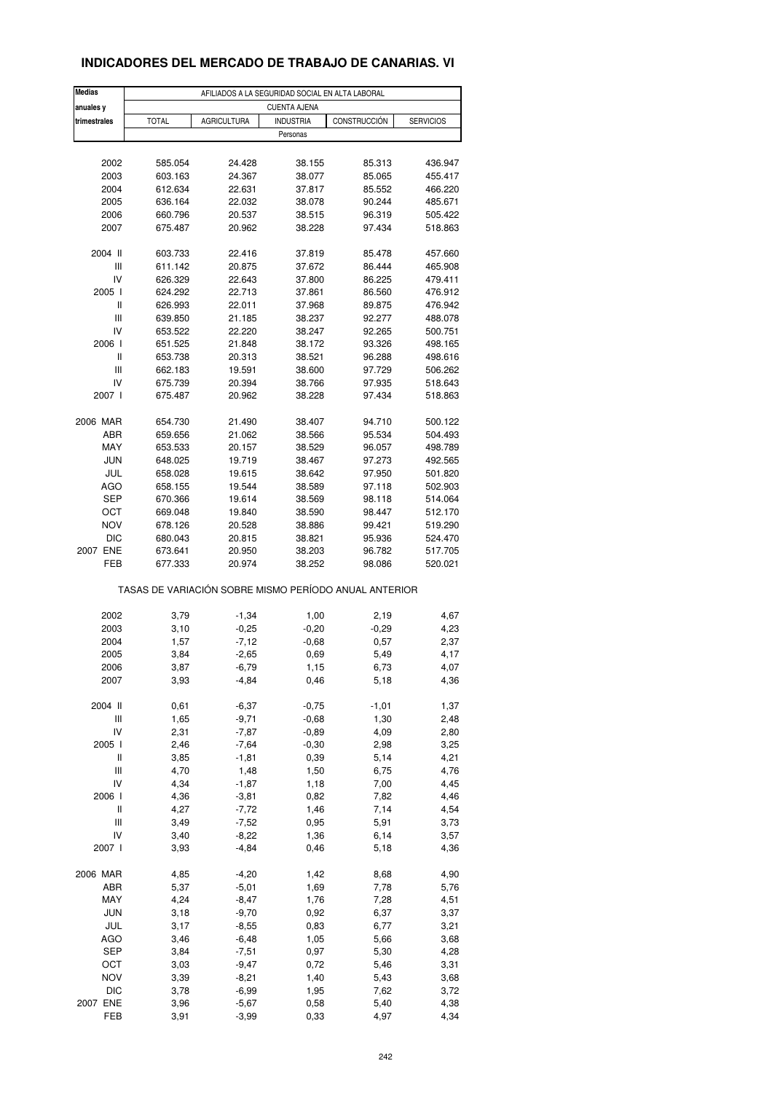### **INDICADORES DEL MERCADO DE TRABAJO DE CANARIAS. VI**

| Medias<br>anuales y | AFILIADOS A LA SEGURIDAD SOCIAL EN ALTA LABORAL<br><b>CUENTA AJENA</b> |                                                       |                  |              |                  |  |  |  |
|---------------------|------------------------------------------------------------------------|-------------------------------------------------------|------------------|--------------|------------------|--|--|--|
| trimestrales        | <b>TOTAL</b>                                                           | <b>AGRICULTURA</b>                                    | <b>INDUSTRIA</b> | CONSTRUCCIÓN | <b>SERVICIOS</b> |  |  |  |
|                     |                                                                        |                                                       | Personas         |              |                  |  |  |  |
|                     |                                                                        |                                                       |                  |              |                  |  |  |  |
| 2002                | 585.054                                                                | 24.428                                                | 38.155           | 85.313       | 436.947          |  |  |  |
| 2003                | 603.163                                                                | 24.367                                                | 38.077           | 85.065       | 455.417          |  |  |  |
| 2004                | 612.634                                                                | 22.631                                                | 37.817           | 85.552       | 466.220          |  |  |  |
| 2005                | 636.164                                                                | 22.032                                                | 38.078           | 90.244       | 485.671          |  |  |  |
| 2006                | 660.796                                                                | 20.537                                                | 38.515           | 96.319       | 505.422          |  |  |  |
| 2007                | 675.487                                                                | 20.962                                                | 38.228           | 97.434       | 518.863          |  |  |  |
| 2004 II             | 603.733                                                                | 22.416                                                | 37.819           | 85.478       | 457.660          |  |  |  |
| Ш                   | 611.142                                                                | 20.875                                                | 37.672           | 86.444       | 465.908          |  |  |  |
| IV                  | 626.329                                                                | 22.643                                                | 37.800           | 86.225       | 479.411          |  |  |  |
| 2005 l              | 624.292                                                                | 22.713                                                | 37.861           | 86.560       | 476.912          |  |  |  |
| Ш                   | 626.993                                                                | 22.011                                                | 37.968           | 89.875       | 476.942          |  |  |  |
| Ш                   | 639.850                                                                | 21.185                                                | 38.237           | 92.277       | 488.078          |  |  |  |
|                     |                                                                        |                                                       |                  |              |                  |  |  |  |
| IV                  | 653.522                                                                | 22.220                                                | 38.247           | 92.265       | 500.751          |  |  |  |
| 2006 l              | 651.525                                                                | 21.848                                                | 38.172           | 93.326       | 498.165          |  |  |  |
| Ш                   | 653.738                                                                | 20.313                                                | 38.521           | 96.288       | 498.616          |  |  |  |
| Ш                   | 662.183                                                                | 19.591                                                | 38.600           | 97.729       | 506.262          |  |  |  |
| IV                  | 675.739                                                                | 20.394                                                | 38.766           | 97.935       | 518.643          |  |  |  |
| 2007 l              | 675.487                                                                | 20.962                                                | 38.228           | 97.434       | 518.863          |  |  |  |
| 2006 MAR            | 654.730                                                                | 21.490                                                | 38.407           | 94.710       | 500.122          |  |  |  |
| ABR                 | 659.656                                                                | 21.062                                                | 38.566           | 95.534       | 504.493          |  |  |  |
| MAY                 | 653.533                                                                | 20.157                                                | 38.529           | 96.057       | 498.789          |  |  |  |
| <b>JUN</b>          | 648.025                                                                | 19.719                                                | 38.467           | 97.273       | 492.565          |  |  |  |
| JUL                 | 658.028                                                                | 19.615                                                | 38.642           | 97.950       | 501.820          |  |  |  |
| AGO                 | 658.155                                                                | 19.544                                                | 38.589           | 97.118       | 502.903          |  |  |  |
| <b>SEP</b>          |                                                                        |                                                       |                  |              |                  |  |  |  |
|                     | 670.366                                                                | 19.614                                                | 38.569           | 98.118       | 514.064          |  |  |  |
| OCT                 | 669.048                                                                | 19.840                                                | 38.590           | 98.447       | 512.170          |  |  |  |
| <b>NOV</b>          | 678.126                                                                | 20.528                                                | 38.886           | 99.421       | 519.290          |  |  |  |
| <b>DIC</b>          | 680.043                                                                | 20.815                                                | 38.821           | 95.936       | 524.470          |  |  |  |
| 2007 ENE            | 673.641                                                                | 20.950                                                | 38.203           | 96.782       | 517.705          |  |  |  |
| FEB                 | 677.333                                                                | 20.974                                                | 38.252           | 98.086       | 520.021          |  |  |  |
|                     |                                                                        | TASAS DE VARIACIÓN SOBRE MISMO PERÍODO ANUAL ANTERIOR |                  |              |                  |  |  |  |
| 2002                | 3,79                                                                   | $-1,34$                                               | 1,00             | 2,19         | 4,67             |  |  |  |
| 2003                | 3,10                                                                   | $-0,25$                                               | $-0,20$          | $-0,29$      | 4,23             |  |  |  |
| 2004                | 1,57                                                                   | $-7,12$                                               | $-0,68$          | 0,57         | 2,37             |  |  |  |
| 2005                | 3,84                                                                   | $-2,65$                                               | 0,69             | 5,49         | 4,17             |  |  |  |
| 2006                | 3,87                                                                   | $-6,79$                                               | 1,15             | 6,73         | 4,07             |  |  |  |
| 2007                | 3,93                                                                   | $-4,84$                                               | 0,46             | 5,18         | 4,36             |  |  |  |
|                     |                                                                        |                                                       |                  |              |                  |  |  |  |
| 2004 II             | 0,61                                                                   | $-6,37$                                               | $-0,75$          | $-1,01$      | 1,37             |  |  |  |
| Ш                   | 1,65                                                                   | $-9,71$                                               | $-0,68$          | 1,30         | 2,48             |  |  |  |
| IV                  | 2,31                                                                   | $-7,87$                                               | $-0,89$          | 4,09         | 2,80             |  |  |  |
| 2005 l              | 2,46                                                                   | $-7,64$                                               | $-0,30$          | 2,98         | 3,25             |  |  |  |
| Ш                   | 3,85                                                                   | $-1,81$                                               | 0,39             | 5,14         | 4,21             |  |  |  |
| Ш                   | 4,70                                                                   | 1,48                                                  | 1,50             | 6,75         | 4,76             |  |  |  |
| IV                  | 4,34                                                                   | $-1,87$                                               | 1,18             | 7,00         | 4,45             |  |  |  |
| 2006 l              | 4,36                                                                   | $-3,81$                                               | 0,82             | 7,82         | 4,46             |  |  |  |
| Ш                   | 4,27                                                                   | $-7,72$                                               | 1,46             | 7,14         | 4,54             |  |  |  |
| Ш                   | 3,49                                                                   | $-7,52$                                               | 0,95             | 5,91         | 3,73             |  |  |  |
| IV                  | 3,40                                                                   | $-8,22$                                               | 1,36             | 6,14         | 3,57             |  |  |  |
| 2007 l              | 3,93                                                                   | $-4,84$                                               | 0,46             | 5,18         |                  |  |  |  |
|                     |                                                                        |                                                       |                  |              | 4,36             |  |  |  |
| 2006 MAR            | 4,85                                                                   | $-4,20$                                               | 1,42             | 8,68         | 4,90             |  |  |  |
| ABR                 | 5,37                                                                   | $-5,01$                                               | 1,69             | 7,78         | 5,76             |  |  |  |
| MAY                 | 4,24                                                                   | $-8,47$                                               | 1,76             | 7,28         | 4,51             |  |  |  |
| <b>JUN</b>          | 3,18                                                                   | $-9,70$                                               | 0,92             | 6,37         | 3,37             |  |  |  |
| JUL                 | 3,17                                                                   | $-8,55$                                               | 0,83             | 6,77         | 3,21             |  |  |  |
| AGO                 | 3,46                                                                   | $-6,48$                                               | 1,05             | 5,66         | 3,68             |  |  |  |
| <b>SEP</b>          | 3,84                                                                   | $-7,51$                                               | 0,97             | 5,30         | 4,28             |  |  |  |
| OCT                 | 3,03                                                                   | $-9,47$                                               | 0,72             | 5,46         | 3,31             |  |  |  |
| <b>NOV</b>          | 3,39                                                                   | $-8,21$                                               | 1,40             | 5,43         | 3,68             |  |  |  |
| <b>DIC</b>          | 3,78                                                                   | $-6,99$                                               | 1,95             | 7,62         |                  |  |  |  |
|                     | 3,96                                                                   |                                                       |                  |              | 3,72             |  |  |  |
| 2007 ENE            |                                                                        | $-5,67$                                               | 0,58             | 5,40         | 4,38             |  |  |  |
| FEB                 | 3,91                                                                   | $-3,99$                                               | 0,33             | 4,97         | 4,34             |  |  |  |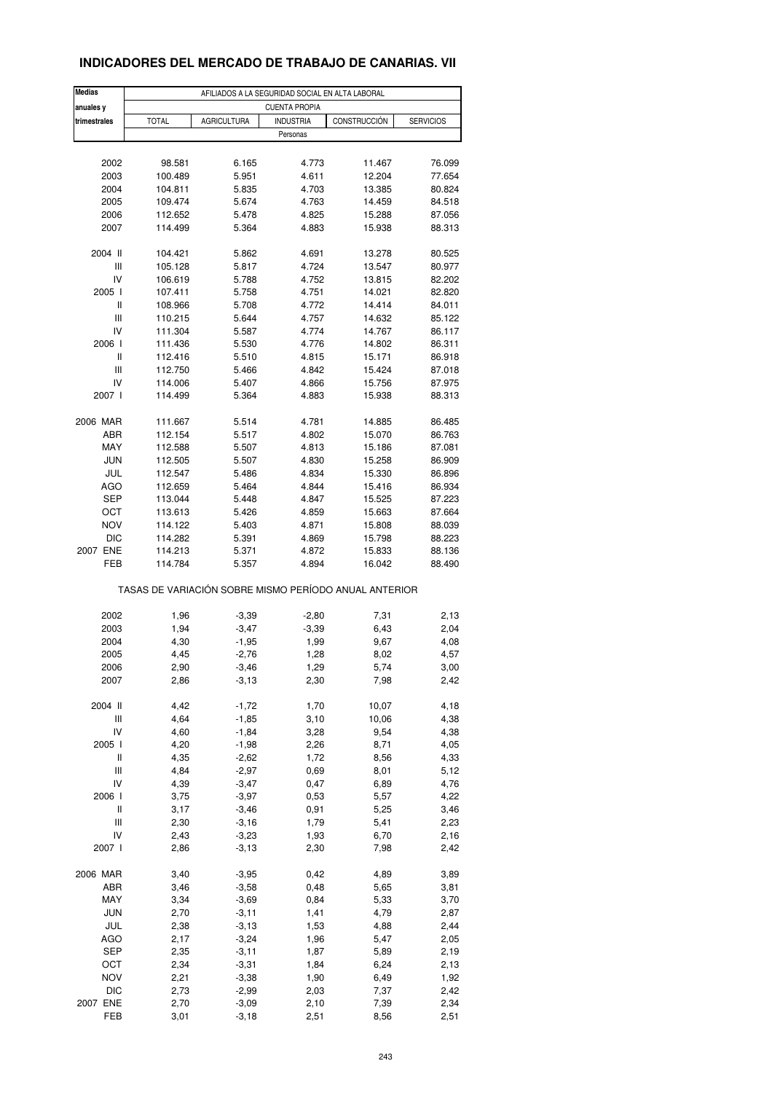### **INDICADORES DEL MERCADO DE TRABAJO DE CANARIAS. VII**

| <b>Medias</b>                      | AFILIADOS A LA SEGURIDAD SOCIAL EN ALTA LABORAL |                    |                  |                                                       |                  |  |  |  |
|------------------------------------|-------------------------------------------------|--------------------|------------------|-------------------------------------------------------|------------------|--|--|--|
| anuales y                          | <b>CUENTA PROPIA</b>                            |                    |                  |                                                       |                  |  |  |  |
| trimestrales                       | <b>TOTAL</b>                                    | <b>AGRICULTURA</b> | <b>INDUSTRIA</b> | CONSTRUCCIÓN                                          | <b>SERVICIOS</b> |  |  |  |
|                                    |                                                 |                    | Personas         |                                                       |                  |  |  |  |
|                                    |                                                 |                    |                  |                                                       |                  |  |  |  |
| 2002                               | 98.581                                          | 6.165              | 4.773            | 11.467                                                | 76.099           |  |  |  |
| 2003                               | 100.489                                         | 5.951              | 4.611            | 12.204                                                | 77.654           |  |  |  |
| 2004                               | 104.811                                         | 5.835              | 4.703            | 13.385                                                | 80.824           |  |  |  |
| 2005                               | 109.474                                         | 5.674              | 4.763            | 14.459                                                | 84.518           |  |  |  |
| 2006                               | 112.652                                         | 5.478              | 4.825            | 15.288                                                | 87.056           |  |  |  |
| 2007                               | 114.499                                         | 5.364              | 4.883            | 15.938                                                | 88.313           |  |  |  |
| 2004 II                            | 104.421                                         | 5.862              | 4.691            | 13.278                                                | 80.525           |  |  |  |
| Ш                                  | 105.128                                         | 5.817              | 4.724            | 13.547                                                | 80.977           |  |  |  |
| IV                                 | 106.619                                         | 5.788              | 4.752            | 13.815                                                | 82.202           |  |  |  |
| 2005 l                             | 107.411                                         | 5.758              | 4.751            | 14.021                                                | 82.820           |  |  |  |
| Ш                                  | 108.966                                         | 5.708              | 4.772            | 14.414                                                | 84.011           |  |  |  |
| $\ensuremath{\mathsf{III}}\xspace$ | 110.215                                         | 5.644              | 4.757            | 14.632                                                | 85.122           |  |  |  |
| IV                                 | 111.304                                         | 5.587              | 4.774            | 14.767                                                | 86.117           |  |  |  |
| 2006                               | 111.436                                         | 5.530              | 4.776            | 14.802                                                | 86.311           |  |  |  |
| Ш                                  | 112.416                                         | 5.510              | 4.815            | 15.171                                                | 86.918           |  |  |  |
| Ш                                  | 112.750                                         | 5.466              | 4.842            | 15.424                                                | 87.018           |  |  |  |
| IV                                 | 114.006                                         | 5.407              | 4.866            | 15.756                                                | 87.975           |  |  |  |
| 2007 l                             | 114.499                                         | 5.364              | 4.883            | 15.938                                                | 88.313           |  |  |  |
| 2006 MAR                           | 111.667                                         | 5.514              | 4.781            | 14.885                                                | 86.485           |  |  |  |
| ABR                                | 112.154                                         | 5.517              | 4.802            | 15.070                                                | 86.763           |  |  |  |
| MAY                                | 112.588                                         | 5.507              | 4.813            | 15.186                                                | 87.081           |  |  |  |
| <b>JUN</b>                         | 112.505                                         | 5.507              | 4.830            | 15.258                                                | 86.909           |  |  |  |
| JUL                                | 112.547                                         | 5.486              | 4.834            | 15.330                                                | 86.896           |  |  |  |
| AGO                                | 112.659                                         | 5.464              | 4.844            | 15.416                                                | 86.934           |  |  |  |
| <b>SEP</b>                         | 113.044                                         | 5.448              | 4.847            | 15.525                                                | 87.223           |  |  |  |
| OCT                                | 113.613                                         | 5.426              | 4.859            | 15.663                                                | 87.664           |  |  |  |
| <b>NOV</b>                         | 114.122                                         | 5.403              | 4.871            | 15.808                                                | 88.039           |  |  |  |
| <b>DIC</b>                         | 114.282                                         | 5.391              | 4.869            | 15.798                                                | 88.223           |  |  |  |
| 2007 ENE                           | 114.213                                         | 5.371              | 4.872            | 15.833                                                | 88.136           |  |  |  |
| FEB                                | 114.784                                         | 5.357              | 4.894            | 16.042                                                | 88.490           |  |  |  |
|                                    |                                                 |                    |                  | TASAS DE VARIACIÓN SOBRE MISMO PERÍODO ANUAL ANTERIOR |                  |  |  |  |
| 2002                               | 1,96                                            | $-3,39$            | $-2,80$          | 7,31                                                  | 2,13             |  |  |  |
| 2003                               | 1,94                                            | $-3,47$            | $-3,39$          | 6,43                                                  | 2,04             |  |  |  |
| 2004                               | 4,30                                            | $-1,95$            | 1,99             | 9,67                                                  | 4,08             |  |  |  |
| 2005                               | 4,45                                            | $-2,76$            | 1,28             | 8,02                                                  | 4,57             |  |  |  |
| 2006                               | 2,90                                            | -3,46              | 1,29             | 5,74                                                  | 3,00             |  |  |  |
| 2007                               | 2,86                                            | -3,13              | 2,30             | 7,98                                                  | 2,42             |  |  |  |
| 2004 II                            | 4,42                                            | $-1,72$            | 1,70             | 10,07                                                 | 4,18             |  |  |  |
| Ш                                  | 4,64                                            | $-1,85$            | 3,10             | 10,06                                                 | 4,38             |  |  |  |
| IV                                 | 4,60                                            | $-1,84$            | 3,28             | 9,54                                                  | 4,38             |  |  |  |
| 2005 l                             | 4,20                                            | $-1,98$            | 2,26             | 8,71                                                  | 4,05             |  |  |  |
| Ш                                  | 4,35                                            | $-2,62$            | 1,72             | 8,56                                                  | 4,33             |  |  |  |
| Ш                                  | 4,84                                            | $-2,97$            | 0,69             | 8,01                                                  | 5,12             |  |  |  |
| IV                                 | 4,39                                            | $-3,47$            | 0,47             | 6,89                                                  | 4,76             |  |  |  |
| 2006                               | 3,75                                            | $-3,97$            | 0,53             | 5,57                                                  | 4,22             |  |  |  |
| Ш                                  | 3,17                                            | $-3,46$            | 0,91             | 5,25                                                  | 3,46             |  |  |  |
| $\ensuremath{\mathsf{III}}\xspace$ | 2,30                                            | $-3,16$            | 1,79             | 5,41                                                  | 2,23             |  |  |  |
| IV                                 | 2,43                                            | $-3,23$            | 1,93             | 6,70                                                  | 2,16             |  |  |  |
| 2007 l                             | 2,86                                            | $-3,13$            | 2,30             | 7,98                                                  | 2,42             |  |  |  |
| 2006 MAR                           | 3,40                                            | $-3,95$            | 0,42             | 4,89                                                  | 3,89             |  |  |  |
| ABR                                | 3,46                                            | $-3,58$            | 0,48             | 5,65                                                  | 3,81             |  |  |  |
| MAY                                | 3,34                                            | $-3,69$            | 0,84             | 5,33                                                  | 3,70             |  |  |  |
| <b>JUN</b>                         | 2,70                                            | $-3,11$            | 1,41             | 4,79                                                  | 2,87             |  |  |  |
| JUL                                | 2,38                                            | $-3,13$            | 1,53             | 4,88                                                  | 2,44             |  |  |  |
| AGO                                | 2,17                                            | $-3,24$            | 1,96             | 5,47                                                  | 2,05             |  |  |  |
| SEP                                | 2,35                                            | $-3, 11$           | 1,87             | 5,89                                                  | 2,19             |  |  |  |
| OCT                                | 2,34                                            | $-3,31$            | 1,84             | 6,24                                                  | 2,13             |  |  |  |
| <b>NOV</b>                         | 2,21                                            | $-3,38$            | 1,90             | 6,49                                                  | 1,92             |  |  |  |
| <b>DIC</b>                         | 2,73                                            | $-2,99$            | 2,03             | 7,37                                                  | 2,42             |  |  |  |
| 2007 ENE                           | 2,70                                            | $-3,09$            | 2,10             | 7,39                                                  | 2,34             |  |  |  |
| FEB                                | 3,01                                            | $-3,18$            | 2,51             | 8,56                                                  | 2,51             |  |  |  |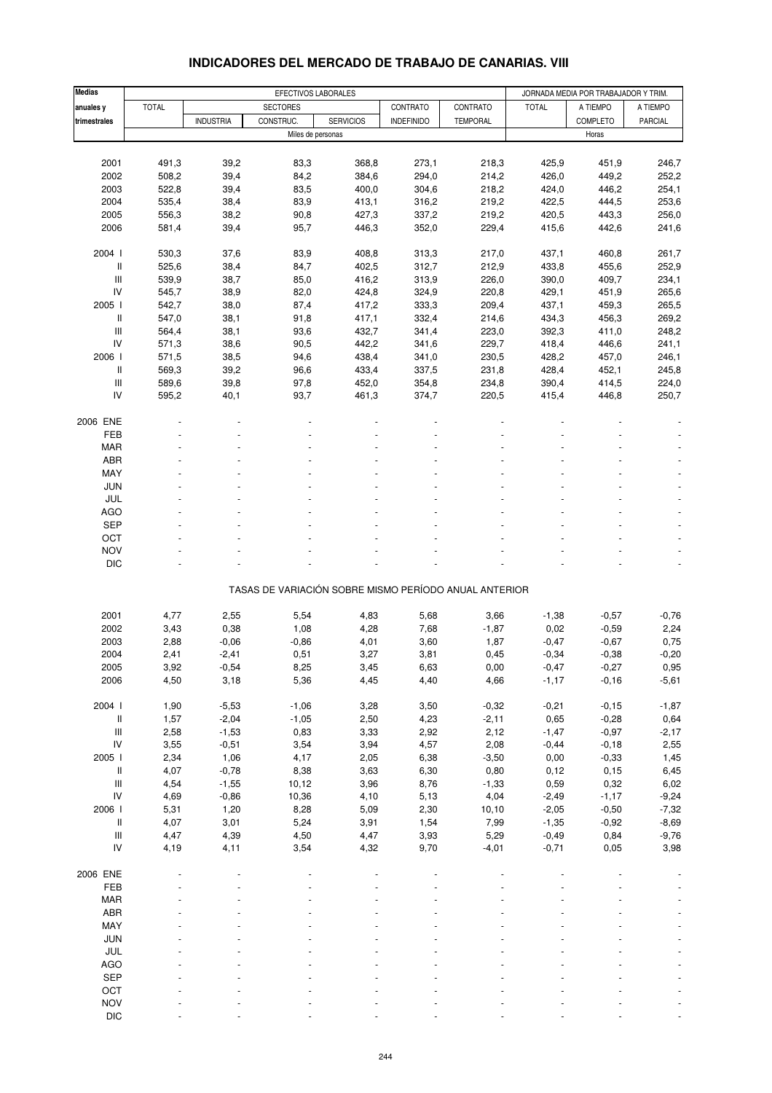| <b>Medias</b>                                    |              |                  | EFECTIVOS LABORALES                                   |                  |                   |                 |                    | JORNADA MEDIA POR TRABAJADOR Y TRIM. |              |
|--------------------------------------------------|--------------|------------------|-------------------------------------------------------|------------------|-------------------|-----------------|--------------------|--------------------------------------|--------------|
| anuales y                                        | <b>TOTAL</b> |                  | <b>SECTORES</b>                                       |                  | CONTRATO          | CONTRATO        | <b>TOTAL</b>       | A TIEMPO                             | A TIEMPO     |
| trimestrales                                     |              | <b>INDUSTRIA</b> | CONSTRUC.                                             | <b>SERVICIOS</b> | <b>INDEFINIDO</b> | <b>TEMPORAL</b> |                    | <b>COMPLETO</b>                      | PARCIAL      |
|                                                  |              |                  | Miles de personas                                     |                  |                   |                 |                    | Horas                                |              |
|                                                  |              |                  |                                                       |                  |                   |                 |                    |                                      |              |
| 2001                                             | 491,3        | 39,2             | 83,3                                                  | 368,8            | 273,1             | 218,3           | 425,9              | 451,9                                | 246,7        |
| 2002                                             | 508,2        | 39,4             | 84,2                                                  | 384,6            | 294,0             | 214,2           | 426,0              | 449,2                                | 252,2        |
| 2003                                             | 522,8        | 39,4             | 83,5                                                  | 400,0            | 304,6             | 218,2           | 424,0              | 446,2                                | 254,1        |
| 2004                                             | 535,4        | 38,4             | 83,9                                                  | 413,1            | 316,2             | 219,2           | 422,5              | 444,5                                | 253,6        |
| 2005                                             | 556,3        | 38,2             | 90,8                                                  | 427,3            | 337,2             | 219,2           | 420,5              | 443,3                                | 256,0        |
| 2006                                             | 581,4        | 39,4             | 95,7                                                  | 446,3            | 352,0             | 229,4           | 415,6              | 442,6                                | 241,6        |
|                                                  |              |                  |                                                       |                  |                   |                 |                    |                                      |              |
| 2004 l                                           | 530,3        | 37,6             | 83,9                                                  | 408,8            | 313,3             | 217,0           | 437,1              | 460,8                                | 261,7        |
| Ш                                                | 525,6        | 38,4             | 84,7                                                  | 402,5            | 312,7             | 212,9           | 433,8              | 455,6                                | 252,9        |
| Ш                                                | 539,9        | 38,7             | 85,0                                                  | 416,2            | 313,9             | 226,0           | 390,0              | 409,7                                | 234,1        |
| IV                                               | 545,7        | 38,9             | 82,0                                                  | 424,8            | 324,9             | 220,8           | 429,1              | 451,9                                | 265,6        |
| 2005 l                                           | 542,7        | 38,0             | 87,4                                                  | 417,2            | 333,3             | 209,4           | 437,1              | 459,3                                | 265,5        |
| Ш                                                | 547,0        | 38,1             | 91,8                                                  | 417,1            | 332,4             | 214,6           | 434,3              | 456,3                                | 269,2        |
| $\mathbf{III}$                                   | 564,4        | 38,1             | 93,6                                                  | 432,7            | 341,4             | 223,0           | 392,3              | 411,0                                | 248,2        |
| IV                                               | 571,3        | 38,6             | 90,5                                                  | 442,2            | 341,6             | 229,7           | 418,4              | 446,6                                | 241,1        |
| 2006 l                                           | 571,5        | 38,5             | 94,6                                                  | 438,4            | 341,0             | 230,5           | 428,2              | 457,0                                | 246,1        |
| Ш                                                | 569,3        | 39,2             | 96,6                                                  | 433,4            | 337,5             | 231,8           | 428,4              | 452,1                                | 245,8        |
| $\mathsf{III}$<br>IV                             | 589,6        | 39,8             | 97,8                                                  | 452,0            | 354,8             | 234,8           | 390,4              | 414,5                                | 224,0        |
|                                                  | 595,2        | 40,1             | 93,7                                                  | 461,3            | 374,7             | 220,5           | 415,4              | 446,8                                | 250,7        |
| 2006 ENE                                         |              |                  |                                                       |                  |                   |                 |                    |                                      |              |
| FEB                                              |              |                  |                                                       |                  |                   |                 |                    |                                      |              |
| <b>MAR</b>                                       |              |                  |                                                       |                  |                   |                 |                    |                                      |              |
| ABR                                              |              |                  |                                                       |                  |                   |                 |                    |                                      |              |
| MAY                                              |              |                  |                                                       |                  |                   |                 |                    |                                      |              |
| <b>JUN</b>                                       |              |                  |                                                       |                  |                   |                 |                    |                                      |              |
| JUL                                              |              |                  |                                                       |                  |                   |                 |                    |                                      |              |
| <b>AGO</b>                                       |              |                  |                                                       |                  |                   |                 |                    |                                      |              |
| <b>SEP</b>                                       |              |                  |                                                       |                  |                   |                 |                    |                                      |              |
| OCT                                              |              |                  |                                                       |                  |                   |                 |                    |                                      |              |
| <b>NOV</b>                                       |              |                  |                                                       |                  |                   |                 |                    |                                      |              |
| <b>DIC</b>                                       |              |                  |                                                       |                  |                   |                 |                    |                                      |              |
|                                                  |              |                  | TASAS DE VARIACIÓN SOBRE MISMO PERÍODO ANUAL ANTERIOR |                  |                   |                 |                    |                                      |              |
|                                                  |              |                  |                                                       |                  |                   |                 |                    |                                      |              |
| 2001                                             | 4,77         | 2,55             | 5,54                                                  | 4,83             | 5,68              | 3,66            | $-1,38$            | $-0,57$                              | $-0,76$      |
| 2002                                             | 3,43         | 0,38             | 1,08                                                  | 4,28             | 7,68              | $-1,87$         | 0,02               | $-0,59$                              | 2,24         |
| 2003                                             | 2,88         | $-0,06$          | $-0,86$                                               | 4,01             | 3,60              | 1,87            | $-0,47$            | $-0,67$                              | 0,75         |
| 2004                                             | 2,41         | $-2,41$          | 0,51                                                  | 3,27             | 3,81              | 0,45            | $-0,34$            | $-0,38$                              | $-0,20$      |
| 2005                                             | 3,92         | -0,54            | 8,25                                                  | 3,45             | 6,63              | 0,00            | $-0,47$            | $-0,27$                              | 0,95         |
| 2006                                             | 4,50         | 3,18             | 5,36                                                  | 4,45             | 4,40              | 4,66            | $-1,17$            | $-0,16$                              | $-5,61$      |
|                                                  |              |                  |                                                       |                  |                   |                 |                    |                                      |              |
| 2004 l                                           | 1,90         | $-5,53$          | $-1,06$                                               | 3,28             | 3,50              | $-0,32$         | $-0,21$            | $-0,15$                              | $-1,87$      |
| Ш                                                | 1,57         | $-2,04$          | $-1,05$                                               | 2,50             | 4,23              | $-2,11$         | 0,65               | $-0,28$                              | 0,64         |
| $\ensuremath{\mathsf{III}}\xspace$<br>${\sf IV}$ | 2,58         | $-1,53$          | 0,83                                                  | 3,33             | 2,92              | 2,12            | $-1,47$<br>$-0,44$ | $-0,97$                              | $-2,17$      |
| 2005 l                                           | 3,55<br>2,34 | $-0,51$<br>1,06  | 3,54<br>4,17                                          | 3,94<br>2,05     | 4,57<br>6,38      | 2,08<br>$-3,50$ | 0,00               | $-0,18$<br>$-0,33$                   | 2,55<br>1,45 |
| Ш                                                | 4,07         | $-0,78$          | 8,38                                                  | 3,63             | 6,30              | 0,80            | 0,12               | 0,15                                 | 6,45         |
| $\begin{array}{c} \Pi \end{array}$               | 4,54         | $-1,55$          | 10, 12                                                | 3,96             | 8,76              | $-1,33$         | 0,59               | 0,32                                 | 6,02         |
| ${\sf IV}$                                       | 4,69         | $-0,86$          | 10,36                                                 | 4,10             | 5,13              | 4,04            | $-2,49$            | $-1,17$                              | $-9,24$      |
| 2006 l                                           | 5,31         | 1,20             | 8,28                                                  | 5,09             | 2,30              | 10, 10          | $-2,05$            | $-0,50$                              | $-7,32$      |
| $\mathop{  }$                                    | 4,07         | 3,01             | 5,24                                                  | 3,91             | 1,54              | 7,99            | $-1,35$            | $-0,92$                              | $-8,69$      |
| $\ensuremath{\mathsf{III}}\xspace$               | 4,47         | 4,39             | 4,50                                                  | 4,47             | 3,93              | 5,29            | $-0,49$            | 0,84                                 | $-9,76$      |
| IV                                               | 4,19         | 4,11             | 3,54                                                  | 4,32             | 9,70              | $-4,01$         | $-0,71$            | 0,05                                 | 3,98         |
|                                                  |              |                  |                                                       |                  |                   |                 |                    |                                      |              |
| 2006 ENE                                         |              |                  |                                                       |                  |                   |                 |                    |                                      |              |
| FEB                                              |              |                  |                                                       |                  |                   |                 |                    |                                      |              |
| MAR                                              |              |                  |                                                       |                  |                   |                 |                    |                                      |              |
| ABR                                              |              |                  |                                                       |                  |                   |                 |                    |                                      |              |
| MAY                                              |              |                  |                                                       |                  |                   |                 |                    |                                      |              |
| JUN                                              |              |                  |                                                       |                  |                   |                 |                    |                                      |              |
| <b>JUL</b>                                       |              |                  |                                                       |                  |                   |                 |                    |                                      |              |
| <b>AGO</b>                                       |              |                  |                                                       |                  |                   |                 |                    |                                      |              |
| SEP                                              |              |                  |                                                       |                  |                   |                 |                    |                                      |              |
| OCT                                              |              |                  |                                                       |                  |                   |                 |                    |                                      |              |
| <b>NOV</b>                                       |              |                  |                                                       |                  |                   |                 |                    |                                      |              |

#### **INDICADORES DEL MERCADO DE TRABAJO DE CANARIAS. VIII**

DIC the set of the set of the set of the set of the set of the set of the set of the set of the set of the set of the set of the set of the set of the set of the set of the set of the set of the set of the set of the set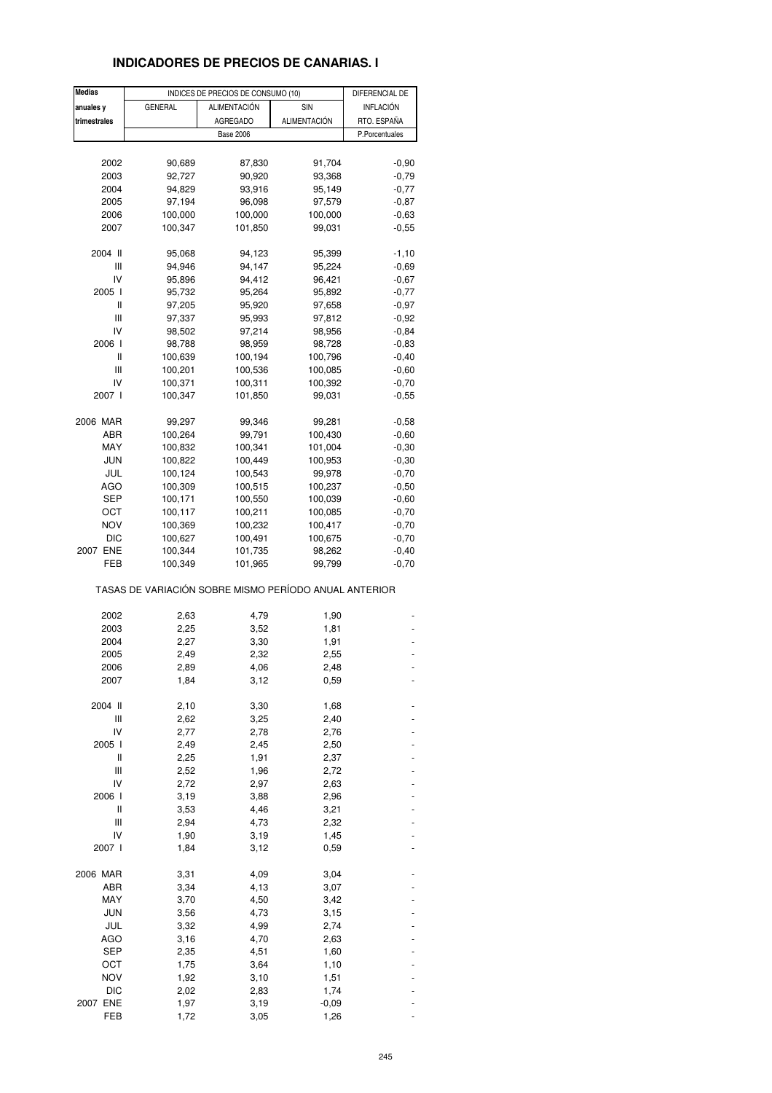### **INDICADORES DE PRECIOS DE CANARIAS. I**

| <b>Medias</b>          |                                                       | INDICES DE PRECIOS DE CONSUMO (10) |                     | DIFERENCIAL DE     |
|------------------------|-------------------------------------------------------|------------------------------------|---------------------|--------------------|
| anuales y              | <b>GENERAL</b>                                        | <b>ALIMENTACIÓN</b>                | SIN                 | INFLACIÓN          |
| trimestrales           |                                                       | <b>AGREGADO</b>                    | <b>ALIMENTACIÓN</b> | RTO. ESPAÑA        |
|                        |                                                       | <b>Base 2006</b>                   |                     | P.Porcentuales     |
|                        |                                                       |                                    |                     |                    |
| 2002                   | 90,689                                                | 87,830                             | 91,704              | $-0,90$            |
| 2003                   | 92,727                                                | 90,920                             | 93,368              | $-0,79$            |
| 2004                   | 94,829                                                | 93,916                             | 95,149              | $-0,77$            |
| 2005                   | 97,194                                                | 96,098                             | 97,579              | $-0,87$            |
| 2006                   | 100,000                                               | 100,000                            | 100,000             | $-0,63$            |
| 2007                   | 100,347                                               | 101,850                            | 99,031              | $-0,55$            |
|                        |                                                       |                                    |                     |                    |
| 2004 II                | 95,068                                                | 94,123                             | 95,399              | $-1,10$            |
| Ш<br>IV                | 94,946<br>95,896                                      | 94,147<br>94,412                   | 95,224<br>96,421    | $-0,69$            |
| 2005 l                 | 95,732                                                | 95,264                             | 95,892              | $-0,67$<br>$-0,77$ |
| Ш                      | 97,205                                                | 95,920                             | 97,658              | $-0,97$            |
| Ш                      | 97,337                                                | 95,993                             | 97,812              | $-0,92$            |
| IV                     | 98,502                                                | 97,214                             | 98,956              | $-0,84$            |
| 2006 l                 | 98,788                                                | 98,959                             | 98,728              | $-0,83$            |
| Ш                      | 100,639                                               | 100,194                            | 100,796             | $-0,40$            |
| Ш                      | 100,201                                               | 100,536                            | 100,085             | $-0,60$            |
| IV                     | 100,371                                               | 100,311                            | 100,392             | $-0,70$            |
| 2007 l                 | 100,347                                               | 101,850                            | 99,031              | $-0,55$            |
|                        |                                                       |                                    |                     |                    |
| 2006 MAR               | 99,297                                                | 99,346                             | 99,281              | $-0,58$            |
| ABR                    | 100,264                                               | 99,791                             | 100,430             | $-0,60$            |
| MAY                    | 100,832                                               | 100,341                            | 101,004             | $-0,30$            |
| JUN                    | 100,822                                               | 100,449                            | 100,953             | $-0,30$            |
| JUL                    | 100,124                                               | 100,543                            | 99,978              | $-0,70$            |
| AGO                    | 100,309                                               | 100,515                            | 100,237             | $-0,50$            |
| SEP                    | 100,171                                               | 100,550                            | 100,039             | $-0,60$            |
| ОСТ                    | 100,117                                               | 100,211                            | 100,085             | $-0,70$            |
| <b>NOV</b>             | 100,369                                               | 100,232                            | 100,417             | $-0,70$            |
| <b>DIC</b><br>2007 ENE | 100,627                                               | 100,491<br>101,735                 | 100,675             | $-0,70$<br>$-0,40$ |
| FEB                    | 100,344<br>100,349                                    | 101,965                            | 98,262<br>99,799    | $-0,70$            |
|                        | TASAS DE VARIACIÓN SOBRE MISMO PERÍODO ANUAL ANTERIOR |                                    |                     |                    |
|                        |                                                       |                                    |                     |                    |
| 2002                   | 2,63                                                  | 4,79                               | 1,90                |                    |
| 2003                   | 2,25                                                  | 3,52                               | 1,81                |                    |
| 2004                   | 2,27                                                  | 3,30                               | 1,91                |                    |
| 2005                   | 2,49                                                  | 2,32                               | 2,55                |                    |
| 2006<br>2007           | 2,89<br>1,84                                          | 4,06<br>3,12                       | 2,48<br>0,59        |                    |
|                        |                                                       |                                    |                     |                    |
| 2004 II                | 2,10                                                  | 3,30                               | 1,68                |                    |
| Ш                      | 2,62                                                  | 3,25                               | 2,40                |                    |
| IV                     | 2,77                                                  | 2,78                               | 2,76                |                    |
| 2005 l                 | 2,49                                                  | 2,45                               | 2,50                |                    |
| Ш                      | 2,25                                                  | 1,91                               | 2,37                |                    |
| Ш                      | 2,52                                                  | 1,96                               | 2,72                |                    |
| IV                     | 2,72                                                  | 2,97                               | 2,63                |                    |
| 2006 l                 | 3,19                                                  | 3,88                               | 2,96                |                    |
| Ш                      | 3,53                                                  | 4,46                               | 3,21                |                    |
| Ш                      | 2,94                                                  | 4,73                               | 2,32                |                    |
| IV                     | 1,90                                                  | 3,19                               | 1,45                |                    |
| 2007 l                 | 1,84                                                  | 3,12                               | 0,59                |                    |
| 2006 MAR               | 3,31                                                  | 4,09                               | 3,04                |                    |
| ABR                    | 3,34                                                  | 4,13                               | 3,07                |                    |
| MAY                    | 3,70                                                  | 4,50                               | 3,42                |                    |
| <b>JUN</b>             | 3,56                                                  | 4,73                               | 3,15                |                    |
| JUL                    | 3,32                                                  | 4,99                               | 2,74                |                    |
| <b>AGO</b>             | 3,16                                                  | 4,70                               | 2,63                |                    |
| SEP                    | 2,35                                                  | 4,51                               | 1,60                |                    |
| OCT                    | 1,75                                                  | 3,64                               | 1,10                |                    |
| <b>NOV</b><br>DIC      | 1,92                                                  | 3,10                               | 1,51<br>1,74        |                    |
| 2007 ENE               | 2,02<br>1,97                                          | 2,83<br>3,19                       | $-0,09$             |                    |
| FEB                    | 1,72                                                  | 3,05                               | 1,26                |                    |
|                        |                                                       |                                    |                     |                    |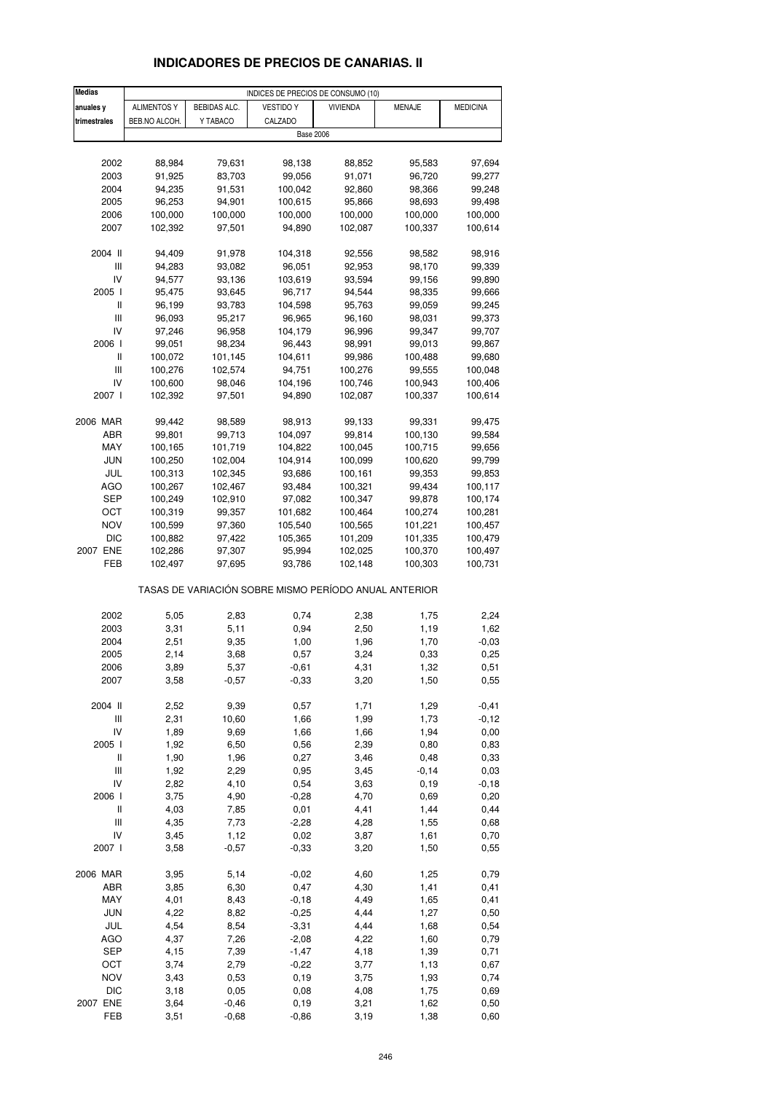# **INDICADORES DE PRECIOS DE CANARIAS. II**

| <b>Medias</b>                      |                    |              | INDICES DE PRECIOS DE CONSUMO (10)                    |                 |              |                 |
|------------------------------------|--------------------|--------------|-------------------------------------------------------|-----------------|--------------|-----------------|
| anuales y                          | <b>ALIMENTOS Y</b> | BEBIDAS ALC. | <b>VESTIDO Y</b>                                      | <b>VIVIENDA</b> | MENAJE       | <b>MEDICINA</b> |
| trimestrales                       | BEB.NO ALCOH.      | Y TABACO     | CALZADO                                               |                 |              |                 |
|                                    |                    |              | <b>Base 2006</b>                                      |                 |              |                 |
|                                    |                    |              |                                                       |                 |              |                 |
| 2002                               | 88,984             | 79,631       | 98,138                                                | 88,852          | 95,583       | 97,694          |
| 2003                               | 91,925             | 83,703       | 99,056                                                | 91,071          | 96,720       | 99,277          |
| 2004                               | 94,235             | 91,531       | 100,042                                               | 92,860          | 98,366       | 99,248          |
| 2005                               | 96,253             | 94,901       | 100,615                                               | 95,866          | 98,693       | 99,498          |
| 2006                               | 100,000            | 100,000      | 100,000                                               | 100,000         | 100,000      | 100,000         |
| 2007                               | 102,392            | 97,501       | 94,890                                                | 102,087         | 100,337      | 100,614         |
|                                    |                    |              |                                                       |                 |              |                 |
| 2004 II                            | 94,409             | 91,978       | 104,318                                               | 92,556          | 98,582       | 98,916          |
| Ш                                  | 94,283             | 93,082       | 96,051                                                | 92,953          | 98,170       | 99,339          |
| IV                                 | 94,577             | 93,136       | 103,619                                               | 93,594          | 99,156       | 99,890          |
| 2005 l                             | 95,475             | 93,645       | 96,717                                                | 94,544          | 98,335       | 99,666          |
| Ш                                  | 96,199             | 93,783       | 104,598                                               | 95,763          | 99,059       | 99,245          |
| Ш                                  | 96,093             | 95,217       | 96,965                                                | 96,160          | 98,031       | 99,373          |
| IV                                 | 97,246             | 96,958       | 104,179                                               | 96,996          | 99,347       | 99,707          |
| 2006                               | 99,051             | 98,234       | 96,443                                                | 98,991          | 99,013       | 99,867          |
| Ш                                  | 100,072            | 101,145      | 104,611                                               | 99,986          | 100,488      | 99,680          |
| Ш                                  | 100,276            | 102,574      | 94,751                                                | 100,276         | 99,555       | 100,048         |
| IV                                 | 100,600            | 98,046       | 104,196                                               | 100,746         | 100,943      | 100,406         |
| 2007 l                             | 102,392            | 97,501       | 94,890                                                | 102,087         | 100,337      | 100,614         |
|                                    |                    |              |                                                       |                 |              |                 |
| 2006 MAR                           | 99,442             | 98,589       | 98,913                                                | 99,133          | 99,331       | 99,475          |
| ABR                                | 99,801             | 99,713       | 104,097                                               | 99,814          | 100,130      | 99,584          |
| MAY                                | 100,165            | 101,719      | 104,822                                               | 100,045         | 100,715      | 99,656          |
| JUN                                | 100,250            | 102,004      | 104,914                                               | 100,099         | 100,620      | 99,799          |
| JUL                                | 100,313            | 102,345      | 93,686                                                | 100,161         | 99,353       | 99,853          |
| AGO                                | 100,267            | 102,467      | 93,484                                                | 100,321         | 99,434       | 100,117         |
| SEP                                | 100,249            | 102,910      | 97,082                                                | 100,347         | 99,878       | 100,174         |
| ОСТ                                | 100,319            | 99,357       | 101,682                                               | 100,464         | 100,274      | 100,281         |
| <b>NOV</b>                         | 100,599            | 97,360       | 105,540                                               | 100,565         | 101,221      | 100,457         |
| DIC                                | 100,882            | 97,422       | 105,365                                               | 101,209         | 101,335      | 100,479         |
| 2007 ENE                           | 102,286            | 97,307       | 95,994                                                | 102,025         | 100,370      | 100,497         |
| FEB                                | 102,497            | 97,695       | 93,786                                                | 102,148         | 100,303      | 100,731         |
|                                    |                    |              |                                                       |                 |              |                 |
|                                    |                    |              | TASAS DE VARIACIÓN SOBRE MISMO PERÍODO ANUAL ANTERIOR |                 |              |                 |
|                                    |                    |              |                                                       |                 |              |                 |
| 2002                               | 5,05               | 2,83         | 0,74                                                  | 2,38            | 1,75         | 2,24            |
| 2003                               | 3,31               | 5,11         | 0,94                                                  | 2,50            | 1,19         | 1,62            |
| 2004                               | 2,51               | 9,35         | 1,00                                                  | 1,96            | 1,70         | $-0,03$         |
| 2005                               | 2,14               | 3,68         | 0,57                                                  | 3,24            | 0,33         | 0,25            |
| 2006                               | 3,89               | 5,37         | -0,61                                                 | 4,31            | 1,32         | 0,51            |
| 2007                               | 3,58               | $-0,57$      | $-0,33$                                               | 3,20            | 1,50         | 0,55            |
| 2004 II                            | 2,52               | 9,39         | 0,57                                                  | 1,71            | 1,29         |                 |
| Ш                                  | 2,31               | 10,60        | 1,66                                                  | 1,99            | 1,73         | $-0,41$         |
| IV                                 | 1,89               | 9,69         | 1,66                                                  | 1,66            | 1,94         | $-0,12$<br>0,00 |
| 2005 l                             | 1,92               | 6,50         | 0,56                                                  | 2,39            | 0,80         | 0,83            |
| $\, \parallel$                     | 1,90               | 1,96         | 0,27                                                  | 3,46            | 0,48         | 0,33            |
| Ш                                  | 1,92               | 2,29         | 0,95                                                  | 3,45            | $-0,14$      | 0,03            |
| IV                                 | 2,82               | 4,10         | 0,54                                                  | 3,63            | 0, 19        | $-0,18$         |
| 2006 l                             | 3,75               | 4,90         | $-0,28$                                               | 4,70            | 0,69         | 0,20            |
| Ш                                  | 4,03               | 7,85         | 0,01                                                  | 4,41            | 1,44         | 0,44            |
| $\ensuremath{\mathsf{III}}\xspace$ | 4,35               | 7,73         | $-2,28$                                               |                 |              |                 |
| IV                                 | 3,45               | 1,12         | 0,02                                                  | 4,28<br>3,87    | 1,55<br>1,61 | 0,68<br>0,70    |
| 2007 l                             | 3,58               | $-0,57$      | $-0,33$                                               | 3,20            | 1,50         | 0,55            |
|                                    |                    |              |                                                       |                 |              |                 |
| 2006 MAR                           | 3,95               | 5,14         | $-0,02$                                               | 4,60            | 1,25         | 0,79            |
| ABR                                | 3,85               | 6,30         | 0,47                                                  | 4,30            | 1,41         | 0,41            |
| MAY                                | 4,01               | 8,43         | $-0,18$                                               | 4,49            | 1,65         | 0,41            |
| JUN                                | 4,22               | 8,82         | $-0,25$                                               | 4,44            | 1,27         | 0,50            |
| JUL                                | 4,54               | 8,54         | $-3,31$                                               | 4,44            | 1,68         | 0,54            |
| AGO                                | 4,37               | 7,26         | $-2,08$                                               | 4,22            | 1,60         | 0,79            |
| <b>SEP</b>                         | 4,15               | 7,39         | $-1,47$                                               | 4,18            | 1,39         | 0,71            |
| OCT                                | 3,74               | 2,79         | $-0,22$                                               | 3,77            | 1,13         | 0,67            |
| <b>NOV</b>                         | 3,43               | 0,53         | 0, 19                                                 | 3,75            | 1,93         | 0,74            |
| <b>DIC</b>                         | 3,18               | 0,05         | 0,08                                                  | 4,08            | 1,75         | 0,69            |
| 2007 ENE                           | 3,64               | $-0,46$      | 0, 19                                                 | 3,21            | 1,62         | 0,50            |
| FEB                                | 3,51               | $-0,68$      | $-0,86$                                               | 3,19            | 1,38         | 0,60            |
|                                    |                    |              |                                                       |                 |              |                 |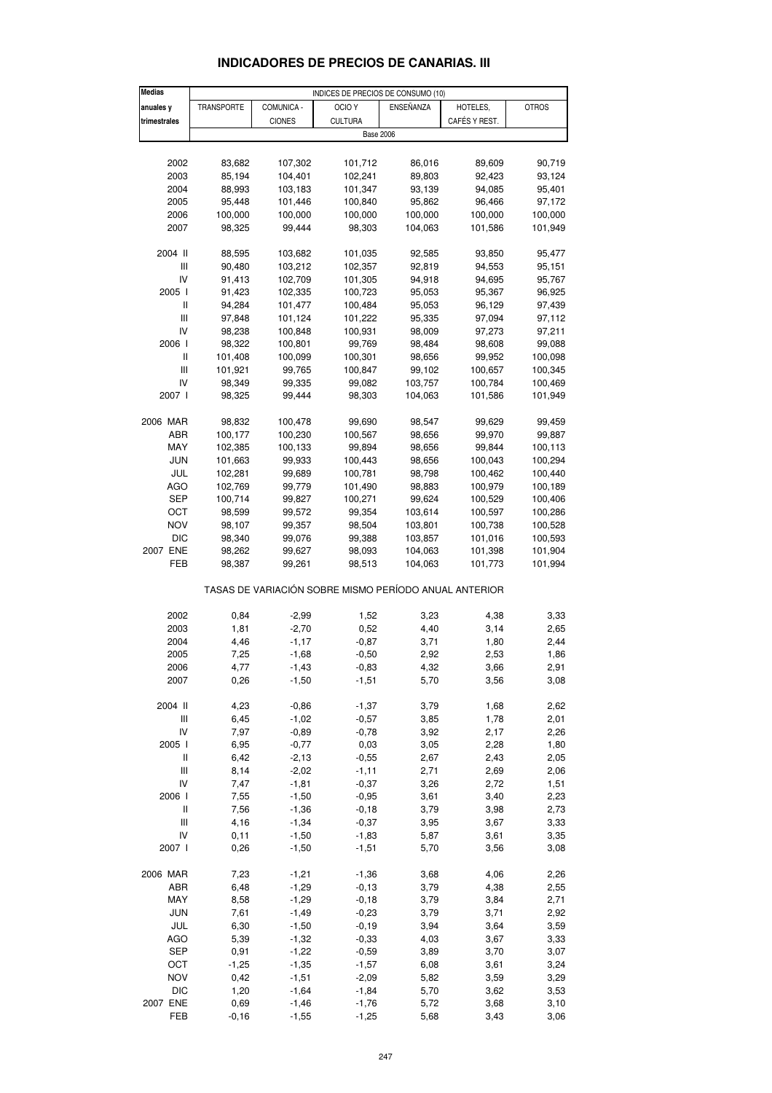| <b>Medias</b>                                         |            |                  | INDICES DE PRECIOS DE CONSUMO (10) |           |               |              |  |
|-------------------------------------------------------|------------|------------------|------------------------------------|-----------|---------------|--------------|--|
| anuales y                                             | TRANSPORTE | COMUNICA -       | OCIO Y                             | ENSEÑANZA | HOTELES,      | <b>OTROS</b> |  |
| trimestrales                                          |            | <b>CIONES</b>    | <b>CULTURA</b>                     |           | CAFÉS Y REST. |              |  |
|                                                       |            |                  | <b>Base 2006</b>                   |           |               |              |  |
|                                                       |            |                  |                                    |           |               |              |  |
| 2002                                                  | 83,682     | 107,302          | 101,712                            | 86,016    | 89,609        | 90,719       |  |
| 2003                                                  | 85,194     | 104,401          | 102,241                            | 89,803    | 92,423        | 93,124       |  |
| 2004                                                  | 88,993     | 103,183          | 101,347                            | 93,139    | 94,085        | 95,401       |  |
| 2005                                                  | 95,448     | 101,446          | 100,840                            | 95,862    | 96,466        | 97,172       |  |
| 2006                                                  | 100,000    | 100,000          | 100,000                            | 100,000   | 100,000       | 100,000      |  |
| 2007                                                  | 98,325     | 99,444           | 98,303                             | 104,063   | 101,586       | 101,949      |  |
|                                                       |            |                  |                                    |           |               |              |  |
| 2004 II                                               | 88,595     | 103,682          | 101,035                            | 92,585    | 93,850        | 95,477       |  |
| $\mathop{\rm III}\nolimits$                           | 90,480     | 103,212          | 102,357                            | 92,819    | 94,553        | 95,151       |  |
| IV                                                    | 91,413     | 102,709          | 101,305                            | 94,918    | 94,695        | 95,767       |  |
| 2005 l                                                | 91,423     | 102,335          | 100,723                            | 95,053    | 95,367        | 96,925       |  |
| Ш                                                     | 94,284     | 101,477          | 100,484                            | 95,053    | 96,129        | 97,439       |  |
| $\mathop{\rm III}\nolimits$                           | 97,848     | 101,124          | 101,222                            | 95,335    | 97,094        | 97,112       |  |
| IV                                                    | 98,238     | 100,848          | 100,931                            | 98,009    | 97,273        | 97,211       |  |
| 2006 l                                                | 98,322     | 100,801          | 99,769                             | 98,484    | 98,608        | 99,088       |  |
| Ш                                                     | 101,408    | 100,099          | 100,301                            | 98,656    | 99,952        | 100,098      |  |
| $\mathbf{III}$                                        | 101,921    | 99,765           | 100,847                            | 99,102    | 100,657       | 100,345      |  |
| IV                                                    | 98,349     | 99,335<br>99,444 | 99,082                             | 103,757   | 100,784       | 100,469      |  |
| 2007 l                                                | 98,325     |                  | 98,303                             | 104,063   | 101,586       | 101,949      |  |
| 2006 MAR                                              | 98,832     | 100,478          | 99,690                             | 98,547    | 99,629        | 99,459       |  |
| ABR                                                   | 100,177    | 100,230          | 100,567                            | 98,656    | 99,970        | 99,887       |  |
| MAY                                                   | 102,385    | 100,133          | 99,894                             | 98,656    | 99,844        | 100,113      |  |
| JUN                                                   | 101,663    | 99,933           | 100,443                            | 98,656    | 100,043       | 100,294      |  |
| JUL                                                   | 102,281    | 99,689           | 100,781                            | 98,798    | 100,462       | 100,440      |  |
| <b>AGO</b>                                            | 102,769    | 99,779           | 101,490                            | 98,883    | 100,979       | 100,189      |  |
| SEP                                                   | 100,714    | 99,827           | 100,271                            | 99,624    | 100,529       | 100,406      |  |
| ОСТ                                                   | 98,599     | 99,572           | 99,354                             | 103,614   | 100,597       | 100,286      |  |
| NOV                                                   | 98,107     | 99,357           | 98,504                             | 103,801   | 100,738       | 100,528      |  |
| DIC                                                   | 98,340     | 99,076           | 99,388                             | 103,857   | 101,016       | 100,593      |  |
| 2007 ENE                                              | 98,262     | 99,627           | 98,093                             | 104,063   | 101,398       | 101,904      |  |
| FEB                                                   | 98,387     | 99,261           | 98,513                             | 104,063   | 101,773       | 101,994      |  |
| TASAS DE VARIACIÓN SOBRE MISMO PERÍODO ANUAL ANTERIOR |            |                  |                                    |           |               |              |  |
|                                                       |            |                  |                                    |           |               |              |  |
| 2002                                                  | 0,84       | $-2,99$          | 1,52                               | 3,23      | 4,38          | 3,33         |  |
| 2003                                                  | 1,81       | $-2,70$          | 0,52                               | 4,40      | 3,14          | 2,65         |  |
| 2004                                                  | 4,46       | $-1,17$          | $-0,87$                            | 3,71      | 1,80          | 2,44         |  |
| 2005                                                  | 7,25       | $-1,68$          | $-0,50$                            | 2,92      | 2,53          | 1,86         |  |
| 2006                                                  | 4,77       | $-1,43$          | $-0,83$                            | 4,32      | 3,66          | 2,91         |  |
| 2007                                                  | 0,26       | $-1,50$          | $-1,51$                            | 5,70      | 3,56          | 3,08         |  |
| 2004 II                                               | 4,23       | $-0,86$          | $-1,37$                            | 3,79      | 1,68          | 2,62         |  |
| Ш                                                     | 6,45       | $-1,02$          | $-0,57$                            | 3,85      | 1,78          | 2,01         |  |
| IV                                                    | 7,97       | $-0,89$          | $-0,78$                            | 3,92      | 2,17          | 2,26         |  |
| 2005 l                                                | 6,95       | $-0,77$          | 0,03                               | 3,05      | 2,28          | 1,80         |  |
| Ш                                                     | 6,42       | $-2, 13$         | $-0,55$                            | 2,67      | 2,43          | 2,05         |  |
| $\ensuremath{\mathsf{III}}\xspace$                    | 8,14       | $-2,02$          | $-1, 11$                           | 2,71      | 2,69          | 2,06         |  |
| IV                                                    | 7,47       | $-1,81$          | $-0,37$                            | 3,26      | 2,72          | 1,51         |  |
| 2006 l                                                | 7,55       | $-1,50$          | $-0,95$                            | 3,61      | 3,40          | 2,23         |  |
| Ш                                                     | 7,56       | $-1,36$          | $-0,18$                            | 3,79      | 3,98          | 2,73         |  |
| $\mathbf{III}$                                        | 4,16       | $-1,34$          | $-0,37$                            | 3,95      | 3,67          | 3,33         |  |
| IV                                                    | 0,11       | $-1,50$          | $-1,83$                            | 5,87      | 3,61          | 3,35         |  |
| 2007 l                                                | 0,26       | $-1,50$          | $-1,51$                            | 5,70      | 3,56          | 3,08         |  |
| 2006 MAR                                              | 7,23       | $-1,21$          | $-1,36$                            | 3,68      | 4,06          | 2,26         |  |
| ABR                                                   | 6,48       | $-1,29$          | $-0,13$                            | 3,79      | 4,38          | 2,55         |  |
| MAY                                                   | 8,58       | $-1,29$          | $-0,18$                            | 3,79      | 3,84          | 2,71         |  |
| <b>JUN</b>                                            | 7,61       | $-1,49$          | $-0,23$                            | 3,79      | 3,71          | 2,92         |  |
| JUL                                                   | 6,30       | $-1,50$          | $-0,19$                            | 3,94      | 3,64          | 3,59         |  |
| AGO                                                   | 5,39       | $-1,32$          | $-0,33$                            | 4,03      | 3,67          | 3,33         |  |
| SEP                                                   | 0,91       | $-1,22$          | $-0,59$                            | 3,89      | 3,70          | 3,07         |  |
| OCT                                                   | $-1,25$    | $-1,35$          | $-1,57$                            | 6,08      | 3,61          | 3,24         |  |
| NOV                                                   | 0,42       | $-1,51$          | $-2,09$                            | 5,82      | 3,59          | 3,29         |  |
| <b>DIC</b>                                            | 1,20       | $-1,64$          | $-1,84$                            | 5,70      | 3,62          | 3,53         |  |
| 2007 ENE                                              | 0,69       | $-1,46$          | $-1,76$                            | 5,72      | 3,68          | 3,10         |  |

### **INDICADORES DE PRECIOS DE CANARIAS. III**

FEB -0,16 -1,55 -1,25 5,68 3,43 3,06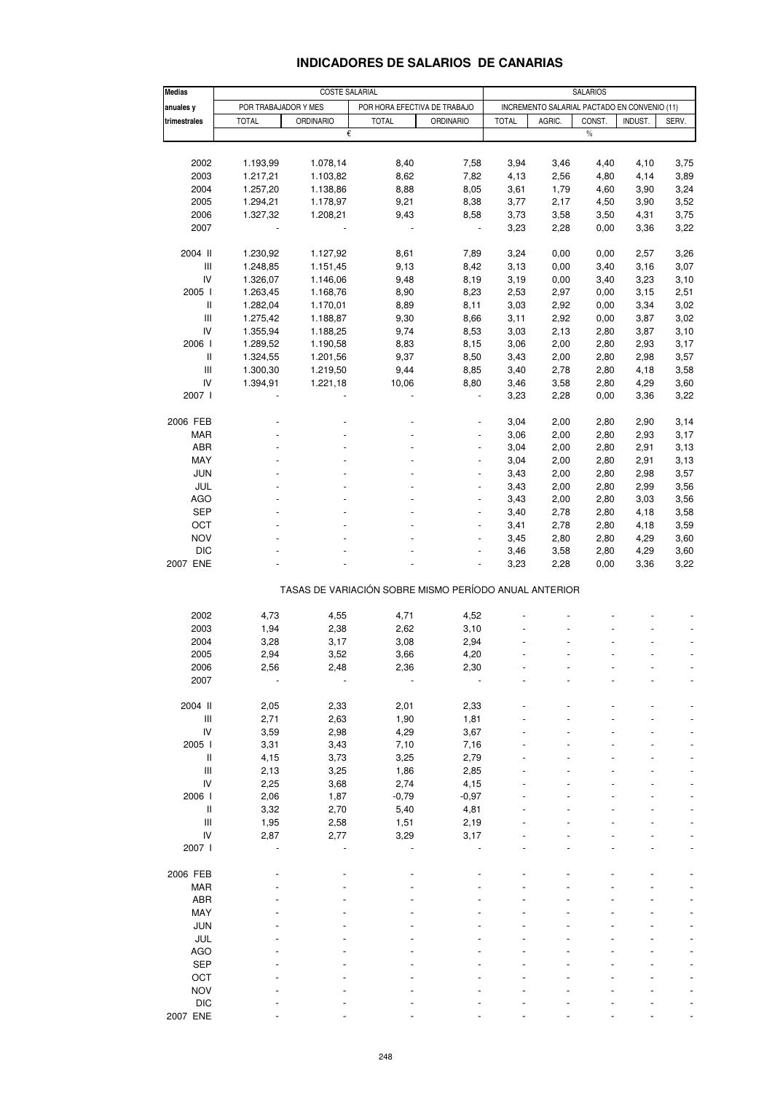# **INDICADORES DE SALARIOS DE CANARIAS**

| <b>Medias</b>                      | <b>COSTE SALARIAL</b><br><b>SALARIOS</b> |                  |              |                                                       |              |                                              |               |         |       |
|------------------------------------|------------------------------------------|------------------|--------------|-------------------------------------------------------|--------------|----------------------------------------------|---------------|---------|-------|
| anuales y                          | POR TRABAJADOR Y MES                     |                  |              | POR HORA EFECTIVA DE TRABAJO                          |              | INCREMENTO SALARIAL PACTADO EN CONVENIO (11) |               |         |       |
| trimestrales                       | <b>TOTAL</b>                             | <b>ORDINARIO</b> | <b>TOTAL</b> | <b>ORDINARIO</b>                                      | <b>TOTAL</b> | AGRIC.                                       | CONST.        | INDUST. | SERV. |
|                                    |                                          | €                |              |                                                       |              |                                              | $\frac{0}{0}$ |         |       |
|                                    |                                          |                  |              |                                                       |              |                                              |               |         |       |
| 2002                               | 1.193,99                                 | 1.078,14         | 8,40         | 7,58                                                  | 3,94         | 3,46                                         | 4,40          | 4,10    | 3,75  |
| 2003                               | 1.217,21                                 | 1.103,82         | 8,62         | 7,82                                                  | 4,13         | 2,56                                         | 4,80          | 4,14    | 3,89  |
| 2004                               | 1.257,20                                 | 1.138,86         | 8,88         | 8,05                                                  | 3,61         | 1,79                                         | 4,60          | 3,90    | 3,24  |
| 2005                               | 1.294,21                                 | 1.178,97         | 9,21         | 8,38                                                  | 3,77         | 2,17                                         | 4,50          | 3,90    | 3,52  |
|                                    |                                          |                  |              |                                                       |              |                                              |               |         |       |
| 2006                               | 1.327,32                                 | 1.208,21         | 9,43         | 8,58                                                  | 3,73         | 3,58                                         | 3,50          | 4,31    | 3,75  |
| 2007                               |                                          |                  |              | $\overline{\phantom{a}}$                              | 3,23         | 2,28                                         | 0,00          | 3,36    | 3,22  |
| 2004 II                            | 1.230,92                                 | 1.127,92         | 8,61         | 7,89                                                  | 3,24         | 0,00                                         | 0,00          | 2,57    | 3,26  |
| $\ensuremath{\mathsf{III}}\xspace$ | 1.248,85                                 | 1.151,45         | 9,13         | 8,42                                                  | 3,13         | 0,00                                         | 3,40          | 3,16    | 3,07  |
| ${\sf IV}$                         | 1.326,07                                 | 1.146,06         | 9,48         | 8,19                                                  | 3,19         | 0,00                                         | 3,40          | 3,23    | 3,10  |
| 2005                               | 1.263,45                                 | 1.168,76         | 8,90         | 8,23                                                  | 2,53         | 2,97                                         | 0,00          | 3,15    | 2,51  |
| Ш                                  | 1.282,04                                 | 1.170,01         | 8,89         | 8,11                                                  | 3,03         | 2,92                                         | 0,00          | 3,34    | 3,02  |
| $\ensuremath{\mathsf{III}}\xspace$ | 1.275,42                                 | 1.188,87         | 9,30         | 8,66                                                  | 3,11         | 2,92                                         | 0,00          | 3,87    | 3,02  |
| IV                                 | 1.355,94                                 | 1.188,25         | 9,74         | 8,53                                                  | 3,03         | 2,13                                         | 2,80          | 3,87    | 3,10  |
| 2006                               | 1.289,52                                 | 1.190,58         | 8,83         | 8,15                                                  | 3,06         | 2,00                                         | 2,80          | 2,93    | 3,17  |
|                                    |                                          |                  |              |                                                       |              |                                              |               |         |       |
| $\ensuremath{\mathsf{II}}$         | 1.324,55                                 | 1.201,56         | 9,37         | 8,50                                                  | 3,43         | 2,00                                         | 2,80          | 2,98    | 3,57  |
| $\ensuremath{\mathsf{III}}\xspace$ | 1.300,30                                 | 1.219,50         | 9,44         | 8,85                                                  | 3,40         | 2,78                                         | 2,80          | 4,18    | 3,58  |
| IV                                 | 1.394,91                                 | 1.221,18         | 10,06        | 8,80                                                  | 3,46         | 3,58                                         | 2,80          | 4,29    | 3,60  |
| 2007                               |                                          |                  |              |                                                       | 3,23         | 2,28                                         | 0,00          | 3,36    | 3,22  |
| 2006 FEB                           |                                          |                  |              |                                                       | 3,04         | 2,00                                         | 2,80          | 2,90    | 3,14  |
| MAR                                |                                          |                  |              |                                                       | 3,06         | 2,00                                         | 2,80          | 2,93    | 3,17  |
| ABR                                |                                          |                  |              | $\blacksquare$                                        | 3,04         | 2,00                                         | 2,80          | 2,91    | 3,13  |
| MAY                                |                                          |                  |              | $\overline{\phantom{a}}$                              | 3,04         | 2,00                                         | 2,80          | 2,91    | 3,13  |
| <b>JUN</b>                         |                                          |                  |              |                                                       | 3,43         | 2,00                                         | 2,80          | 2,98    | 3,57  |
| JUL                                |                                          |                  | L,           | $\overline{\phantom{a}}$                              | 3,43         | 2,00                                         | 2,80          | 2,99    | 3,56  |
| AGO                                |                                          |                  |              | $\overline{\phantom{a}}$                              | 3,43         | 2,00                                         | 2,80          | 3,03    | 3,56  |
|                                    |                                          |                  |              |                                                       |              |                                              |               |         |       |
| <b>SEP</b>                         |                                          |                  |              |                                                       | 3,40         | 2,78                                         | 2,80          | 4,18    | 3,58  |
| OCT                                |                                          |                  |              | $\blacksquare$                                        | 3,41         | 2,78                                         | 2,80          | 4,18    | 3,59  |
| <b>NOV</b>                         |                                          |                  |              | $\blacksquare$                                        | 3,45         | 2,80                                         | 2,80          | 4,29    | 3,60  |
| $DIC$                              |                                          |                  |              |                                                       | 3,46         | 3,58                                         | 2,80          | 4,29    | 3,60  |
| 2007 ENE                           |                                          |                  |              | $\overline{a}$                                        | 3,23         | 2,28                                         | 0,00          | 3,36    | 3,22  |
|                                    |                                          |                  |              | TASAS DE VARIACIÓN SOBRE MISMO PERÍODO ANUAL ANTERIOR |              |                                              |               |         |       |
|                                    |                                          |                  |              |                                                       |              |                                              |               |         |       |
| 2002                               | 4,73                                     | 4,55             | 4,71         | 4,52                                                  |              |                                              |               |         |       |
| 2003                               | 1,94                                     | 2,38             | 2,62         | 3,10                                                  |              |                                              |               |         |       |
| 2004                               | 3,28                                     | 3,17             | 3,08         | 2,94                                                  |              |                                              |               |         |       |
| 2005                               | 2,94                                     | 3,52             | 3,66         | 4,20                                                  |              |                                              |               |         |       |
| 2006                               | 2,56                                     | 2,48             | 2,36         | 2,30                                                  |              |                                              |               |         |       |
| 2007                               |                                          |                  |              |                                                       |              |                                              |               |         |       |
| 2004 II                            | 2,05                                     | 2,33             | 2,01         | 2,33                                                  |              |                                              |               |         |       |
|                                    |                                          |                  |              |                                                       |              |                                              |               |         |       |
| Ш                                  | 2,71                                     | 2,63             | 1,90         | 1,81                                                  |              |                                              |               |         |       |
| IV                                 | 3,59                                     | 2,98             | 4,29         | 3,67                                                  |              |                                              |               |         |       |
| 2005                               | 3,31                                     | 3,43             | 7,10         | 7,16                                                  |              |                                              |               |         |       |
| Ш                                  | 4,15                                     | 3,73             | 3,25         | 2,79                                                  |              |                                              |               |         |       |
| $\ensuremath{\mathsf{III}}\xspace$ | 2,13                                     | 3,25             | 1,86         | 2,85                                                  |              |                                              |               |         |       |
| IV                                 | 2,25                                     | 3,68             | 2,74         | 4,15                                                  |              |                                              |               |         |       |
| 2006                               | 2,06                                     | 1,87             | $-0,79$      | $-0,97$                                               |              |                                              |               |         |       |
| Ш                                  | 3,32                                     | 2,70             | 5,40         | 4,81                                                  |              |                                              |               |         |       |
| Ш                                  | 1,95                                     | 2,58             | 1,51         | 2,19                                                  |              |                                              |               |         |       |
| IV                                 | 2,87                                     | 2,77             | 3,29         | 3,17                                                  |              |                                              |               |         |       |
| 2007                               |                                          |                  |              |                                                       |              |                                              |               |         |       |
|                                    |                                          |                  |              |                                                       |              |                                              |               |         |       |
| 2006 FEB                           |                                          |                  |              |                                                       |              |                                              |               |         |       |
| MAR                                |                                          |                  |              |                                                       |              |                                              |               |         |       |
| ABR                                |                                          |                  |              |                                                       |              |                                              |               |         |       |
| MAY                                |                                          |                  |              |                                                       |              |                                              |               |         |       |
| <b>JUN</b>                         |                                          |                  |              |                                                       |              |                                              |               |         |       |
| JUL                                |                                          |                  |              |                                                       |              |                                              |               |         |       |
| <b>AGO</b>                         |                                          |                  |              |                                                       |              |                                              |               |         |       |
| <b>SEP</b>                         |                                          |                  |              |                                                       |              |                                              |               |         |       |
| OCT                                |                                          |                  |              |                                                       |              |                                              |               |         |       |
| <b>NOV</b>                         |                                          |                  |              |                                                       |              |                                              |               |         |       |
|                                    |                                          |                  |              |                                                       |              |                                              |               |         |       |
| <b>DIC</b>                         |                                          |                  |              |                                                       |              |                                              |               |         |       |
| 2007 ENE                           |                                          |                  |              |                                                       |              |                                              |               |         |       |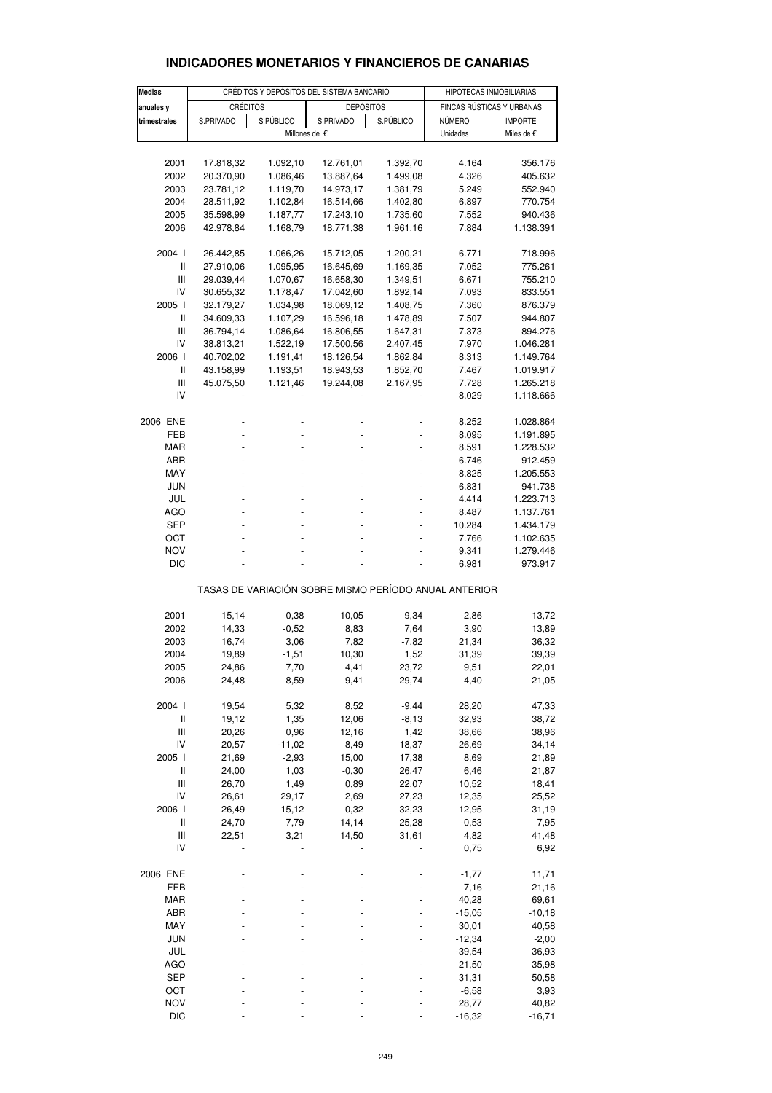| <b>Medias</b>                                   | CRÉDITOS Y DEPÓSITOS DEL SISTEMA BANCARIO |               |                                                       |                | HIPOTECAS INMOBILIARIAS   |                              |  |  |
|-------------------------------------------------|-------------------------------------------|---------------|-------------------------------------------------------|----------------|---------------------------|------------------------------|--|--|
|                                                 |                                           |               |                                                       |                |                           |                              |  |  |
| anuales y                                       | <b>CRÉDITOS</b>                           |               | <b>DEPÓSITOS</b>                                      |                |                           | FINCAS RÚSTICAS Y URBANAS    |  |  |
| trimestrales                                    | S.PRIVADO                                 | S.PÚBLICO     | S.PRIVADO<br>Millones de €                            | S.PÚBLICO      | <b>NÚMERO</b><br>Unidades | <b>IMPORTE</b><br>Miles de € |  |  |
|                                                 |                                           |               |                                                       |                |                           |                              |  |  |
|                                                 |                                           |               |                                                       |                |                           |                              |  |  |
| 2001                                            | 17.818,32                                 | 1.092,10      | 12.761,01                                             | 1.392,70       | 4.164                     | 356.176                      |  |  |
| 2002                                            | 20.370,90                                 | 1.086,46      | 13.887,64                                             | 1.499,08       | 4.326                     | 405.632                      |  |  |
| 2003                                            | 23.781,12                                 | 1.119,70      | 14.973,17                                             | 1.381,79       | 5.249                     | 552.940                      |  |  |
| 2004                                            | 28.511,92                                 | 1.102,84      | 16.514,66                                             | 1.402,80       | 6.897                     | 770.754                      |  |  |
| 2005                                            | 35.598,99                                 | 1.187,77      | 17.243,10                                             | 1.735,60       | 7.552                     | 940.436                      |  |  |
| 2006                                            | 42.978,84                                 | 1.168,79      | 18.771,38                                             | 1.961,16       | 7.884                     | 1.138.391                    |  |  |
| 2004 l                                          | 26.442,85                                 | 1.066,26      | 15.712,05                                             | 1.200,21       | 6.771                     | 718.996                      |  |  |
| Ш                                               | 27.910,06                                 | 1.095,95      | 16.645,69                                             | 1.169,35       | 7.052                     | 775.261                      |  |  |
| $\mathbf{III}$                                  | 29.039,44                                 | 1.070,67      | 16.658,30                                             | 1.349,51       | 6.671                     | 755.210                      |  |  |
| IV                                              | 30.655,32                                 | 1.178,47      | 17.042,60                                             | 1.892,14       | 7.093                     | 833.551                      |  |  |
| 2005 l                                          | 32.179,27                                 | 1.034,98      | 18.069,12                                             | 1.408,75       | 7.360                     | 876.379                      |  |  |
| $\mathbf{I}$                                    | 34.609,33                                 | 1.107,29      | 16.596,18                                             | 1.478,89       | 7.507                     | 944.807                      |  |  |
| Ш                                               | 36.794,14                                 | 1.086,64      | 16.806,55                                             | 1.647,31       | 7.373                     | 894.276                      |  |  |
| IV                                              | 38.813,21                                 | 1.522,19      | 17.500,56                                             | 2.407,45       | 7.970                     | 1.046.281                    |  |  |
| 2006 l                                          | 40.702,02                                 | 1.191,41      | 18.126,54                                             | 1.862,84       | 8.313                     | 1.149.764                    |  |  |
| Ш                                               | 43.158,99                                 | 1.193,51      | 18.943,53                                             | 1.852,70       | 7.467                     | 1.019.917                    |  |  |
| $\mathbf{III}$                                  | 45.075,50                                 | 1.121,46      | 19.244,08                                             | 2.167,95       | 7.728                     | 1.265.218                    |  |  |
| IV                                              |                                           |               |                                                       |                | 8.029                     | 1.118.666                    |  |  |
|                                                 |                                           |               |                                                       |                |                           |                              |  |  |
| 2006 ENE                                        |                                           |               |                                                       |                | 8.252                     | 1.028.864                    |  |  |
| FEB                                             |                                           |               |                                                       |                | 8.095                     | 1.191.895                    |  |  |
| <b>MAR</b>                                      |                                           |               |                                                       |                | 8.591                     | 1.228.532                    |  |  |
| ABR                                             |                                           |               |                                                       |                | 6.746                     | 912.459                      |  |  |
| MAY                                             |                                           |               |                                                       |                | 8.825                     | 1.205.553                    |  |  |
| JUN                                             |                                           |               |                                                       |                | 6.831                     | 941.738                      |  |  |
| JUL                                             |                                           |               |                                                       |                | 4.414                     | 1.223.713                    |  |  |
| AGO                                             |                                           |               |                                                       |                | 8.487                     | 1.137.761                    |  |  |
| SEP                                             |                                           |               |                                                       |                | 10.284                    | 1.434.179                    |  |  |
| ост                                             |                                           |               |                                                       |                | 7.766                     | 1.102.635                    |  |  |
| <b>NOV</b><br>DIC                               |                                           |               |                                                       |                | 9.341<br>6.981            | 1.279.446<br>973.917         |  |  |
|                                                 |                                           |               |                                                       |                |                           |                              |  |  |
|                                                 |                                           |               | TASAS DE VARIACIÓN SOBRE MISMO PERÍODO ANUAL ANTERIOR |                |                           |                              |  |  |
| 2001                                            | 15,14                                     | $-0,38$       | 10,05                                                 | 9,34           | $-2,86$                   | 13,72                        |  |  |
| 2002                                            | 14,33                                     | $-0,52$       | 8,83                                                  | 7,64           | 3,90                      | 13,89                        |  |  |
| 2003                                            | 16,74                                     | 3,06          | 7,82                                                  | $-7,82$        | 21,34                     | 36,32                        |  |  |
| 2004                                            | 19,89                                     | $-1,51$       | 10,30                                                 | 1,52           | 31,39                     | 39,39                        |  |  |
| 2005                                            | 24,86                                     | 7,70          | 4,41                                                  | 23,72          | 9,51                      | 22,01                        |  |  |
| 2006                                            | 24,48                                     | 8,59          | 9,41                                                  | 29,74          | 4,40                      | 21,05                        |  |  |
|                                                 |                                           |               |                                                       |                |                           |                              |  |  |
| 2004 l                                          | 19,54                                     | 5,32          | 8,52                                                  | $-9,44$        | 28,20                     | 47,33                        |  |  |
| $\begin{array}{c} \hline \end{array}$           | 19,12                                     | 1,35          | 12,06                                                 | $-8,13$        | 32,93                     | 38,72                        |  |  |
| $\mathbf{III}$                                  | 20,26                                     | 0,96          | 12,16                                                 | 1,42           | 38,66                     | 38,96                        |  |  |
| IV                                              | 20,57                                     | $-11,02$      | 8,49                                                  | 18,37          | 26,69                     | 34,14                        |  |  |
| 2005 l                                          | 21,69                                     | $-2,93$       | 15,00                                                 | 17,38          | 8,69                      | 21,89                        |  |  |
| $\begin{array}{c} \hline \end{array}$           | 24,00                                     | 1,03          | $-0,30$                                               | 26,47          | 6,46                      | 21,87                        |  |  |
| $\begin{array}{c} \hline \end{array}$           | 26,70                                     | 1,49          | 0,89                                                  | 22,07          | 10,52                     | 18,41                        |  |  |
| IV                                              | 26,61<br>26,49                            | 29,17         | 2,69                                                  | 27,23          | 12,35                     | 25,52                        |  |  |
| 2006 l<br>$\begin{array}{c} \hline \end{array}$ | 24,70                                     | 15,12<br>7,79 | 0,32<br>14,14                                         | 32,23<br>25,28 | 12,95<br>$-0,53$          | 31,19<br>7,95                |  |  |
| Ш                                               | 22,51                                     | 3,21          | 14,50                                                 | 31,61          |                           |                              |  |  |
| IV                                              |                                           |               |                                                       |                | 4,82<br>0,75              | 41,48<br>6,92                |  |  |
|                                                 |                                           |               |                                                       |                |                           |                              |  |  |
| 2006 ENE                                        |                                           |               |                                                       |                | $-1,77$                   | 11,71                        |  |  |
| FEB                                             |                                           |               |                                                       |                | 7,16                      | 21,16                        |  |  |
| <b>MAR</b>                                      |                                           |               |                                                       |                | 40,28                     | 69,61                        |  |  |
| ABR                                             |                                           |               |                                                       |                | $-15,05$                  | $-10,18$                     |  |  |
| MAY                                             |                                           |               |                                                       |                | 30,01                     | 40,58                        |  |  |
| <b>JUN</b>                                      |                                           |               |                                                       |                | $-12,34$                  | $-2,00$                      |  |  |
| JUL                                             |                                           |               |                                                       |                | $-39,54$                  | 36,93                        |  |  |
| <b>AGO</b>                                      |                                           |               |                                                       |                | 21,50                     | 35,98                        |  |  |
| <b>SEP</b>                                      |                                           |               |                                                       |                | 31,31                     | 50,58                        |  |  |
| OCT                                             |                                           |               |                                                       |                | $-6,58$                   | 3,93                         |  |  |
| <b>NOV</b>                                      |                                           |               |                                                       |                | 28,77                     | 40,82                        |  |  |
| <b>DIC</b>                                      |                                           |               |                                                       |                | $-16,32$                  | $-16,71$                     |  |  |

### **INDICADORES MONETARIOS Y FINANCIEROS DE CANARIAS**